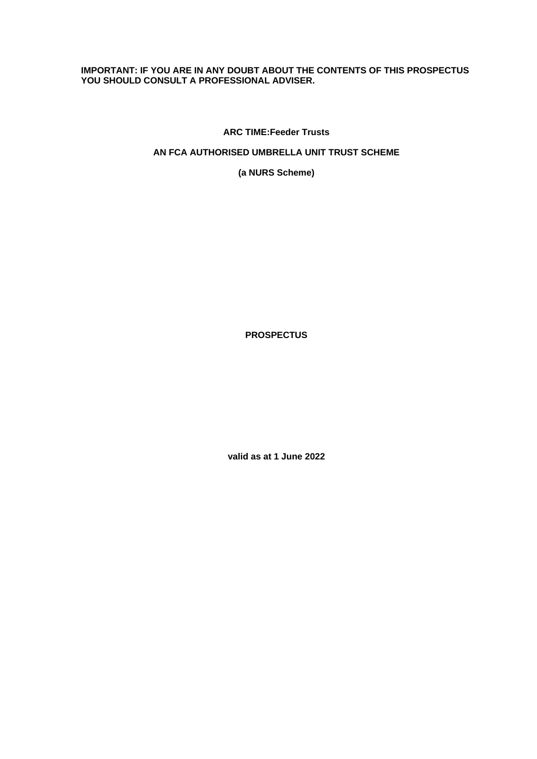## **IMPORTANT: IF YOU ARE IN ANY DOUBT ABOUT THE CONTENTS OF THIS PROSPECTUS YOU SHOULD CONSULT A PROFESSIONAL ADVISER.**

**ARC TIME:Feeder Trusts**

## **AN FCA AUTHORISED UMBRELLA UNIT TRUST SCHEME**

**(a NURS Scheme)**

**PROSPECTUS**

**valid as at 1 June 2022**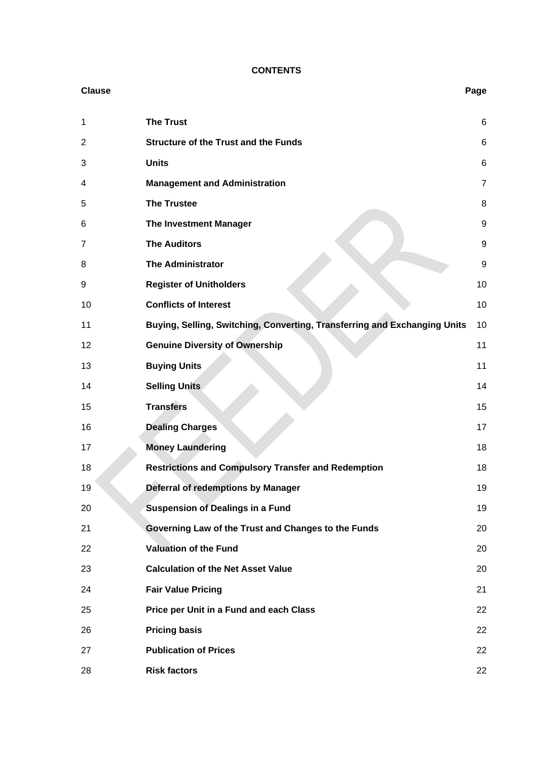## **CONTENTS**

| <b>Clause</b>  |                                                                           | Page |
|----------------|---------------------------------------------------------------------------|------|
| 1              | <b>The Trust</b>                                                          | 6    |
| $\overline{2}$ | <b>Structure of the Trust and the Funds</b>                               | 6    |
| 3              | <b>Units</b>                                                              | 6    |
| 4              | <b>Management and Administration</b>                                      | 7    |
| 5              | <b>The Trustee</b>                                                        | 8    |
| 6              | The Investment Manager                                                    | 9    |
| 7              | <b>The Auditors</b>                                                       | g    |
| 8              | <b>The Administrator</b>                                                  | g    |
| 9              | <b>Register of Unitholders</b>                                            | 10   |
| 10             | <b>Conflicts of Interest</b>                                              | 10   |
| 11             | Buying, Selling, Switching, Converting, Transferring and Exchanging Units | 10   |
| 12             | <b>Genuine Diversity of Ownership</b>                                     | 11   |
| 13             | <b>Buying Units</b>                                                       | 11   |
| 14             | <b>Selling Units</b>                                                      | 14   |
| 15             | <b>Transfers</b>                                                          | 15   |
| 16             | <b>Dealing Charges</b>                                                    | 17   |
| 17             | <b>Money Laundering</b>                                                   | 18   |
| 18             | <b>Restrictions and Compulsory Transfer and Redemption</b>                | 18   |
| 19             | Deferral of redemptions by Manager                                        | 19   |
| 20             | <b>Suspension of Dealings in a Fund</b>                                   | 19   |
| 21             | Governing Law of the Trust and Changes to the Funds                       | 20   |
| 22             | <b>Valuation of the Fund</b>                                              | 20   |
| 23             | <b>Calculation of the Net Asset Value</b>                                 | 20   |
| 24             | <b>Fair Value Pricing</b>                                                 | 21   |
| 25             | Price per Unit in a Fund and each Class                                   | 22   |
| 26             | <b>Pricing basis</b>                                                      | 22   |
| 27             | <b>Publication of Prices</b>                                              | 22   |
| 28             | <b>Risk factors</b>                                                       | 22   |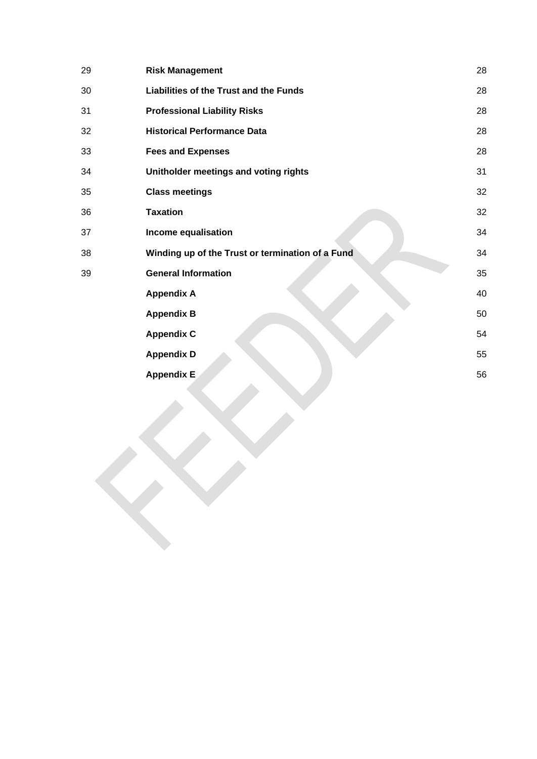| 29 | <b>Risk Management</b>                           | 28 |
|----|--------------------------------------------------|----|
| 30 | Liabilities of the Trust and the Funds           | 28 |
| 31 | <b>Professional Liability Risks</b>              | 28 |
| 32 | <b>Historical Performance Data</b>               | 28 |
| 33 | <b>Fees and Expenses</b>                         | 28 |
| 34 | Unitholder meetings and voting rights            | 31 |
| 35 | <b>Class meetings</b>                            | 32 |
| 36 | <b>Taxation</b>                                  | 32 |
| 37 | Income equalisation                              | 34 |
| 38 | Winding up of the Trust or termination of a Fund | 34 |
| 39 | <b>General Information</b>                       | 35 |
|    | <b>Appendix A</b>                                | 40 |
|    | <b>Appendix B</b>                                | 50 |
|    | <b>Appendix C</b>                                | 54 |
|    | <b>Appendix D</b>                                | 55 |
|    | <b>Appendix E</b>                                | 56 |
|    |                                                  |    |
|    |                                                  |    |
|    |                                                  |    |
|    |                                                  |    |
|    |                                                  |    |
|    |                                                  |    |
|    |                                                  |    |
|    |                                                  |    |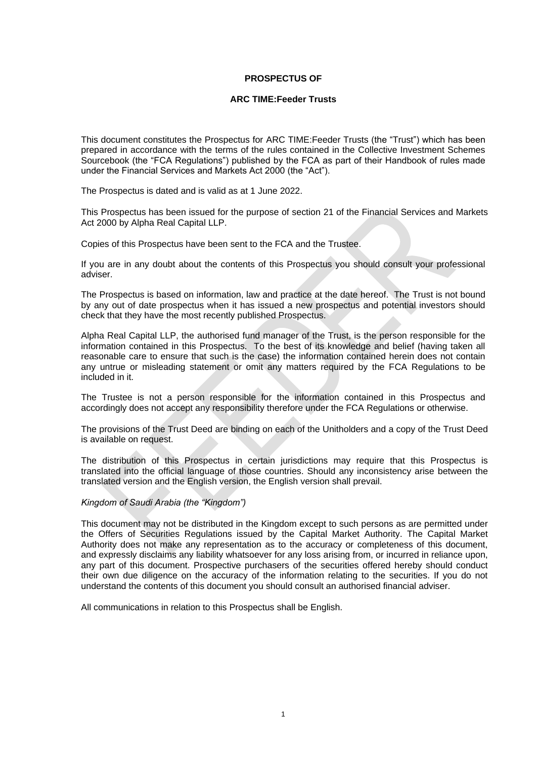#### **PROSPECTUS OF**

#### **ARC TIME:Feeder Trusts**

This document constitutes the Prospectus for ARC TIME:Feeder Trusts (the "Trust") which has been prepared in accordance with the terms of the rules contained in the Collective Investment Schemes Sourcebook (the "FCA Regulations") published by the FCA as part of their Handbook of rules made under the Financial Services and Markets Act 2000 (the "Act").

The Prospectus is dated and is valid as at 1 June 2022.

This Prospectus has been issued for the purpose of section 21 of the Financial Services and Markets Act 2000 by Alpha Real Capital LLP.

Copies of this Prospectus have been sent to the FCA and the Trustee.

If you are in any doubt about the contents of this Prospectus you should consult your professional adviser.

The Prospectus is based on information, law and practice at the date hereof. The Trust is not bound by any out of date prospectus when it has issued a new prospectus and potential investors should check that they have the most recently published Prospectus.

Alpha Real Capital LLP, the authorised fund manager of the Trust, is the person responsible for the information contained in this Prospectus. To the best of its knowledge and belief (having taken all reasonable care to ensure that such is the case) the information contained herein does not contain any untrue or misleading statement or omit any matters required by the FCA Regulations to be included in it.

The Trustee is not a person responsible for the information contained in this Prospectus and accordingly does not accept any responsibility therefore under the FCA Regulations or otherwise.

The provisions of the Trust Deed are binding on each of the Unitholders and a copy of the Trust Deed is available on request.

The distribution of this Prospectus in certain jurisdictions may require that this Prospectus is translated into the official language of those countries. Should any inconsistency arise between the translated version and the English version, the English version shall prevail.

#### *Kingdom of Saudi Arabia (the "Kingdom")*

This document may not be distributed in the Kingdom except to such persons as are permitted under the Offers of Securities Regulations issued by the Capital Market Authority. The Capital Market Authority does not make any representation as to the accuracy or completeness of this document, and expressly disclaims any liability whatsoever for any loss arising from, or incurred in reliance upon, any part of this document. Prospective purchasers of the securities offered hereby should conduct their own due diligence on the accuracy of the information relating to the securities. If you do not understand the contents of this document you should consult an authorised financial adviser.

All communications in relation to this Prospectus shall be English.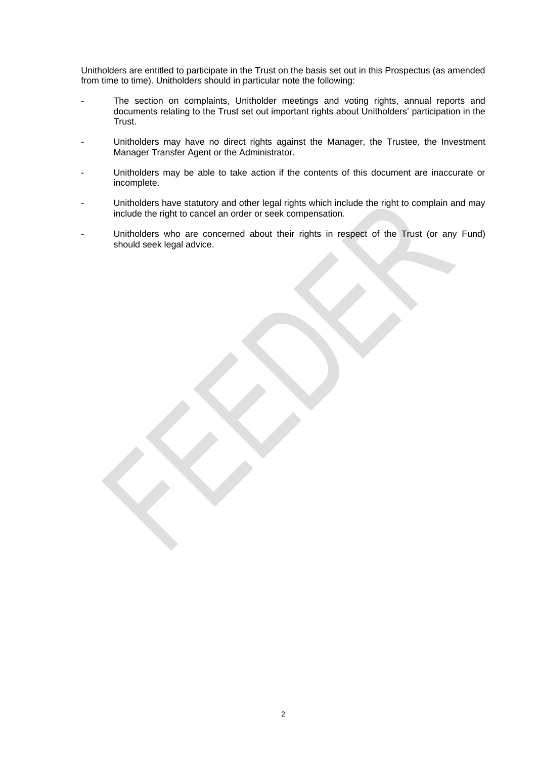Unitholders are entitled to participate in the Trust on the basis set out in this Prospectus (as amended from time to time). Unitholders should in particular note the following:

- The section on complaints, Unitholder meetings and voting rights, annual reports and documents relating to the Trust set out important rights about Unitholders' participation in the Trust.
- Unitholders may have no direct rights against the Manager, the Trustee, the Investment Manager Transfer Agent or the Administrator.
- Unitholders may be able to take action if the contents of this document are inaccurate or incomplete.
- Unitholders have statutory and other legal rights which include the right to complain and may include the right to cancel an order or seek compensation.
- Unitholders who are concerned about their rights in respect of the Trust (or any Fund) should seek legal advice.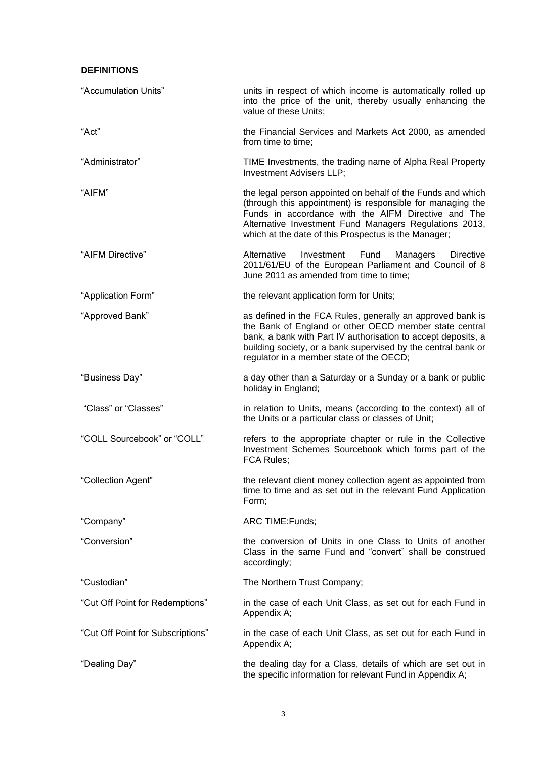## **DEFINITIONS**

| "Accumulation Units"              | units in respect of which income is automatically rolled up<br>into the price of the unit, thereby usually enhancing the<br>value of these Units;                                                                                                                                                  |
|-----------------------------------|----------------------------------------------------------------------------------------------------------------------------------------------------------------------------------------------------------------------------------------------------------------------------------------------------|
| "Act"                             | the Financial Services and Markets Act 2000, as amended<br>from time to time:                                                                                                                                                                                                                      |
| "Administrator"                   | TIME Investments, the trading name of Alpha Real Property<br>Investment Advisers LLP;                                                                                                                                                                                                              |
| "AIFM"                            | the legal person appointed on behalf of the Funds and which<br>(through this appointment) is responsible for managing the<br>Funds in accordance with the AIFM Directive and The<br>Alternative Investment Fund Managers Regulations 2013,<br>which at the date of this Prospectus is the Manager; |
| "AIFM Directive"                  | Alternative<br>Investment<br>Fund<br>Managers<br><b>Directive</b><br>2011/61/EU of the European Parliament and Council of 8<br>June 2011 as amended from time to time;                                                                                                                             |
| "Application Form"                | the relevant application form for Units;                                                                                                                                                                                                                                                           |
| "Approved Bank"                   | as defined in the FCA Rules, generally an approved bank is<br>the Bank of England or other OECD member state central<br>bank, a bank with Part IV authorisation to accept deposits, a<br>building society, or a bank supervised by the central bank or<br>regulator in a member state of the OECD; |
| "Business Day"                    | a day other than a Saturday or a Sunday or a bank or public<br>holiday in England;                                                                                                                                                                                                                 |
| "Class" or "Classes"              | in relation to Units, means (according to the context) all of<br>the Units or a particular class or classes of Unit;                                                                                                                                                                               |
| "COLL Sourcebook" or "COLL"       | refers to the appropriate chapter or rule in the Collective<br>Investment Schemes Sourcebook which forms part of the<br>FCA Rules;                                                                                                                                                                 |
| "Collection Agent"                | the relevant client money collection agent as appointed from<br>time to time and as set out in the relevant Fund Application<br>Form;                                                                                                                                                              |
| "Company"                         | ARC TIME: Funds;                                                                                                                                                                                                                                                                                   |
| "Conversion"                      | the conversion of Units in one Class to Units of another<br>Class in the same Fund and "convert" shall be construed<br>accordingly;                                                                                                                                                                |
| "Custodian"                       | The Northern Trust Company;                                                                                                                                                                                                                                                                        |
| "Cut Off Point for Redemptions"   | in the case of each Unit Class, as set out for each Fund in<br>Appendix A;                                                                                                                                                                                                                         |
| "Cut Off Point for Subscriptions" | in the case of each Unit Class, as set out for each Fund in<br>Appendix A;                                                                                                                                                                                                                         |
| "Dealing Day"                     | the dealing day for a Class, details of which are set out in<br>the specific information for relevant Fund in Appendix A;                                                                                                                                                                          |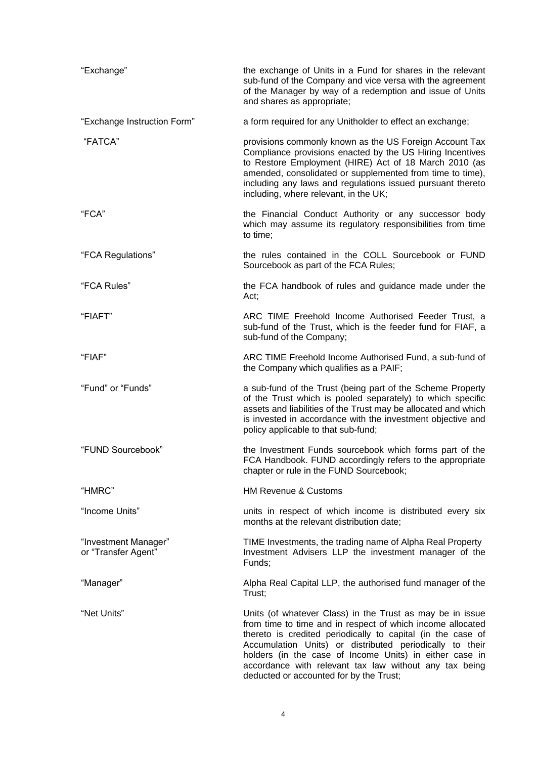| "Exchange"                                  | the exchange of Units in a Fund for shares in the relevant<br>sub-fund of the Company and vice versa with the agreement<br>of the Manager by way of a redemption and issue of Units<br>and shares as appropriate;                                                                                                                                                                                                  |  |  |  |
|---------------------------------------------|--------------------------------------------------------------------------------------------------------------------------------------------------------------------------------------------------------------------------------------------------------------------------------------------------------------------------------------------------------------------------------------------------------------------|--|--|--|
| "Exchange Instruction Form"                 | a form required for any Unitholder to effect an exchange;                                                                                                                                                                                                                                                                                                                                                          |  |  |  |
| "FATCA"                                     | provisions commonly known as the US Foreign Account Tax<br>Compliance provisions enacted by the US Hiring Incentives<br>to Restore Employment (HIRE) Act of 18 March 2010 (as<br>amended, consolidated or supplemented from time to time),<br>including any laws and regulations issued pursuant thereto<br>including, where relevant, in the UK;                                                                  |  |  |  |
| "FCA"                                       | the Financial Conduct Authority or any successor body<br>which may assume its regulatory responsibilities from time<br>to time;                                                                                                                                                                                                                                                                                    |  |  |  |
| "FCA Regulations"                           | the rules contained in the COLL Sourcebook or FUND<br>Sourcebook as part of the FCA Rules;                                                                                                                                                                                                                                                                                                                         |  |  |  |
| "FCA Rules"                                 | the FCA handbook of rules and guidance made under the<br>Act;                                                                                                                                                                                                                                                                                                                                                      |  |  |  |
| "FIAFT"                                     | ARC TIME Freehold Income Authorised Feeder Trust, a<br>sub-fund of the Trust, which is the feeder fund for FIAF, a<br>sub-fund of the Company;                                                                                                                                                                                                                                                                     |  |  |  |
| "FIAF"                                      | ARC TIME Freehold Income Authorised Fund, a sub-fund of<br>the Company which qualifies as a PAIF;                                                                                                                                                                                                                                                                                                                  |  |  |  |
| "Fund" or "Funds"                           | a sub-fund of the Trust (being part of the Scheme Property<br>of the Trust which is pooled separately) to which specific<br>assets and liabilities of the Trust may be allocated and which<br>is invested in accordance with the investment objective and<br>policy applicable to that sub-fund;                                                                                                                   |  |  |  |
| "FUND Sourcebook"                           | the Investment Funds sourcebook which forms part of the<br>FCA Handbook. FUND accordingly refers to the appropriate<br>chapter or rule in the FUND Sourcebook;                                                                                                                                                                                                                                                     |  |  |  |
| "HMRC"                                      | <b>HM Revenue &amp; Customs</b>                                                                                                                                                                                                                                                                                                                                                                                    |  |  |  |
| "Income Units"                              | units in respect of which income is distributed every six<br>months at the relevant distribution date;                                                                                                                                                                                                                                                                                                             |  |  |  |
| "Investment Manager"<br>or "Transfer Agent" | TIME Investments, the trading name of Alpha Real Property<br>Investment Advisers LLP the investment manager of the<br>Funds;                                                                                                                                                                                                                                                                                       |  |  |  |
| "Manager"                                   | Alpha Real Capital LLP, the authorised fund manager of the<br>Trust;                                                                                                                                                                                                                                                                                                                                               |  |  |  |
| "Net Units"                                 | Units (of whatever Class) in the Trust as may be in issue<br>from time to time and in respect of which income allocated<br>thereto is credited periodically to capital (in the case of<br>Accumulation Units) or distributed periodically to their<br>holders (in the case of Income Units) in either case in<br>accordance with relevant tax law without any tax being<br>deducted or accounted for by the Trust; |  |  |  |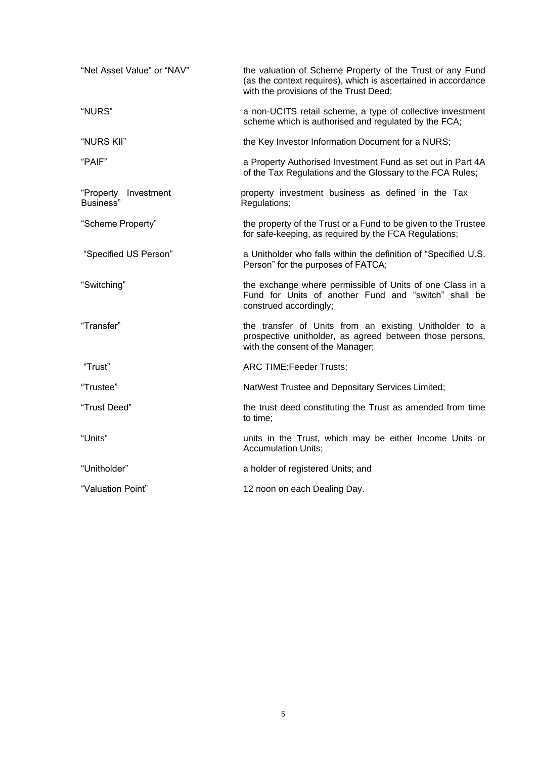| "Net Asset Value" or "NAV"        | the valuation of Scheme Property of the Trust or any Fund<br>(as the context requires), which is ascertained in accordance<br>with the provisions of the Trust Deed; |
|-----------------------------------|----------------------------------------------------------------------------------------------------------------------------------------------------------------------|
| "NURS"                            | a non-UCITS retail scheme, a type of collective investment<br>scheme which is authorised and regulated by the FCA;                                                   |
| "NURS KII"                        | the Key Investor Information Document for a NURS;                                                                                                                    |
| "PAIF"                            | a Property Authorised Investment Fund as set out in Part 4A<br>of the Tax Regulations and the Glossary to the FCA Rules;                                             |
| "Property Investment<br>Business" | property investment business as defined in the Tax<br>Regulations;                                                                                                   |
| "Scheme Property"                 | the property of the Trust or a Fund to be given to the Trustee<br>for safe-keeping, as required by the FCA Regulations;                                              |
| "Specified US Person"             | a Unitholder who falls within the definition of "Specified U.S.<br>Person" for the purposes of FATCA;                                                                |
| "Switching"                       | the exchange where permissible of Units of one Class in a<br>Fund for Units of another Fund and "switch" shall be<br>construed accordingly;                          |
| "Transfer"                        | the transfer of Units from an existing Unitholder to a<br>prospective unitholder, as agreed between those persons,<br>with the consent of the Manager;               |
| "Trust"                           | ARC TIME: Feeder Trusts;                                                                                                                                             |
| "Trustee"                         | NatWest Trustee and Depositary Services Limited;                                                                                                                     |
| "Trust Deed"                      | the trust deed constituting the Trust as amended from time<br>to time;                                                                                               |
| "Units"                           | units in the Trust, which may be either Income Units or<br><b>Accumulation Units;</b>                                                                                |
| "Unitholder"                      | a holder of registered Units; and                                                                                                                                    |
| "Valuation Point"                 | 12 noon on each Dealing Day.                                                                                                                                         |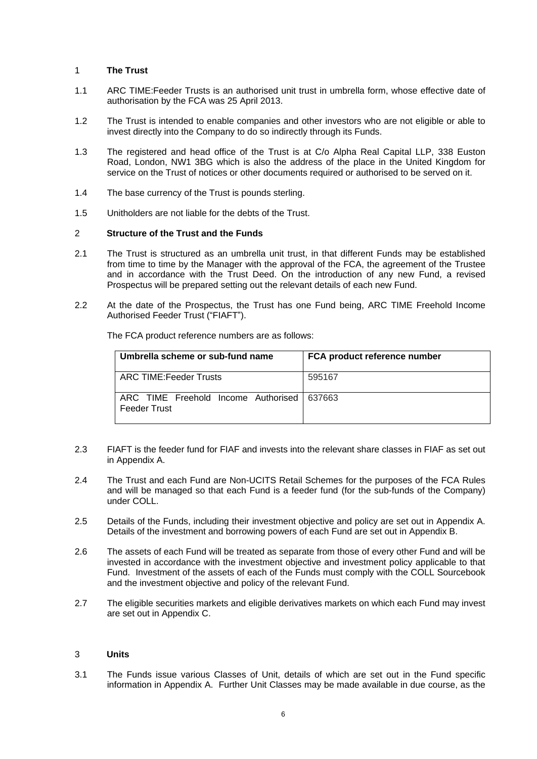## <span id="page-8-0"></span>1 **The Trust**

- 1.1 ARC TIME:Feeder Trusts is an authorised unit trust in umbrella form, whose effective date of authorisation by the FCA was 25 April 2013.
- 1.2 The Trust is intended to enable companies and other investors who are not eligible or able to invest directly into the Company to do so indirectly through its Funds.
- 1.3 The registered and head office of the Trust is at C/o Alpha Real Capital LLP, 338 Euston Road, London, NW1 3BG which is also the address of the place in the United Kingdom for service on the Trust of notices or other documents required or authorised to be served on it.
- 1.4 The base currency of the Trust is pounds sterling.
- 1.5 Unitholders are not liable for the debts of the Trust.

#### <span id="page-8-1"></span>2 **Structure of the Trust and the Funds**

- <span id="page-8-3"></span>2.1 The Trust is structured as an umbrella unit trust, in that different Funds may be established from time to time by the Manager with the approval of the FCA, the agreement of the Trustee and in accordance with the Trust Deed. On the introduction of any new Fund, a revised Prospectus will be prepared setting out the relevant details of each new Fund.
- 2.2 At the date of the Prospectus, the Trust has one Fund being, ARC TIME Freehold Income Authorised Feeder Trust ("FIAFT").

| Umbrella scheme or sub-fund name                                    | FCA product reference number |  |  |
|---------------------------------------------------------------------|------------------------------|--|--|
| I ARC TIME:Feeder Trusts                                            | 595167                       |  |  |
| ARC TIME Freehold Income Authorised   637663<br><b>Feeder Trust</b> |                              |  |  |

The FCA product reference numbers are as follows:

- 2.3 FIAFT is the feeder fund for FIAF and invests into the relevant share classes in FIAF as set out in Appendix A.
- 2.4 The Trust and each Fund are Non-UCITS Retail Schemes for the purposes of the FCA Rules and will be managed so that each Fund is a feeder fund (for the sub-funds of the Company) under COLL.
- 2.5 Details of the Funds, including their investment objective and policy are set out in Appendix A. Details of the investment and borrowing powers of each Fund are set out in Appendix B.
- 2.6 The assets of each Fund will be treated as separate from those of every other Fund and will be invested in accordance with the investment objective and investment policy applicable to that Fund. Investment of the assets of each of the Funds must comply with the COLL Sourcebook and the investment objective and policy of the relevant Fund.
- 2.7 The eligible securities markets and eligible derivatives markets on which each Fund may invest are set out in Appendix C.

#### <span id="page-8-2"></span>3 **Units**

3.1 The Funds issue various Classes of Unit, details of which are set out in the Fund specific information in Appendix A. Further Unit Classes may be made available in due course, as the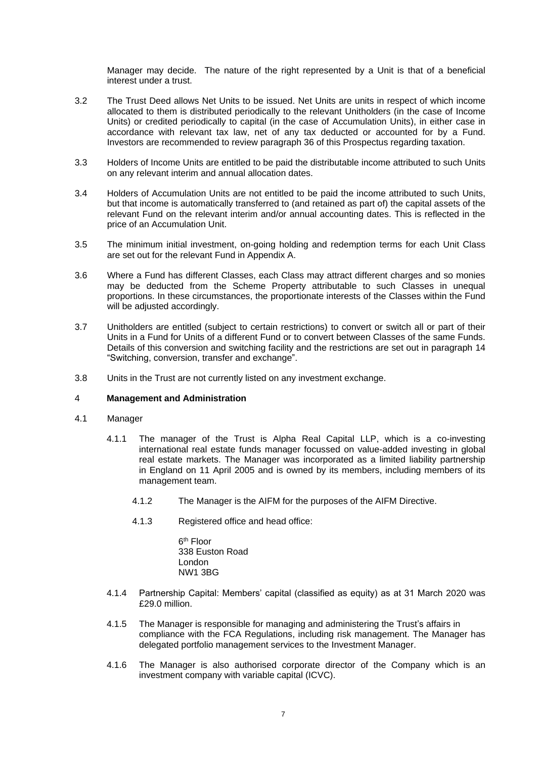Manager may decide. The nature of the right represented by a Unit is that of a beneficial interest under a trust.

- 3.2 The Trust Deed allows Net Units to be issued. Net Units are units in respect of which income allocated to them is distributed periodically to the relevant Unitholders (in the case of Income Units) or credited periodically to capital (in the case of Accumulation Units), in either case in accordance with relevant tax law, net of any tax deducted or accounted for by a Fund. Investors are recommended to review paragraph 36 of this Prospectus regarding taxation.
- 3.3 Holders of Income Units are entitled to be paid the distributable income attributed to such Units on any relevant interim and annual allocation dates.
- 3.4 Holders of Accumulation Units are not entitled to be paid the income attributed to such Units, but that income is automatically transferred to (and retained as part of) the capital assets of the relevant Fund on the relevant interim and/or annual accounting dates. This is reflected in the price of an Accumulation Unit.
- 3.5 The minimum initial investment, on-going holding and redemption terms for each Unit Class are set out for the relevant Fund in Appendix A.
- 3.6 Where a Fund has different Classes, each Class may attract different charges and so monies may be deducted from the Scheme Property attributable to such Classes in unequal proportions. In these circumstances, the proportionate interests of the Classes within the Fund will be adjusted accordingly.
- 3.7 Unitholders are entitled (subject to certain restrictions) to convert or switch all or part of their Units in a Fund for Units of a different Fund or to convert between Classes of the same Funds. Details of this conversion and switching facility and the restrictions are set out in paragraph 14 "Switching, conversion, transfer and exchange".
- 3.8 Units in the Trust are not currently listed on any investment exchange.

#### <span id="page-9-0"></span>4 **Management and Administration**

- 4.1 Manager
	- 4.1.1 The manager of the Trust is Alpha Real Capital LLP, which is a co-investing international real estate funds manager focussed on value-added investing in global real estate markets. The Manager was incorporated as a limited liability partnership in England on 11 April 2005 and is owned by its members, including members of its management team.
		- 4.1.2 The Manager is the AIFM for the purposes of the AIFM Directive.
		- 4.1.3 Registered office and head office:

6<sup>th</sup> Floor 338 Euston Road London NW1 3BG

- 4.1.4 Partnership Capital: Members' capital (classified as equity) as at 31 March 2020 was £29.0 million.
- 4.1.5 The Manager is responsible for managing and administering the Trust's affairs in compliance with the FCA Regulations, including risk management. The Manager has delegated portfolio management services to the Investment Manager.
- 4.1.6 The Manager is also authorised corporate director of the Company which is an investment company with variable capital (ICVC).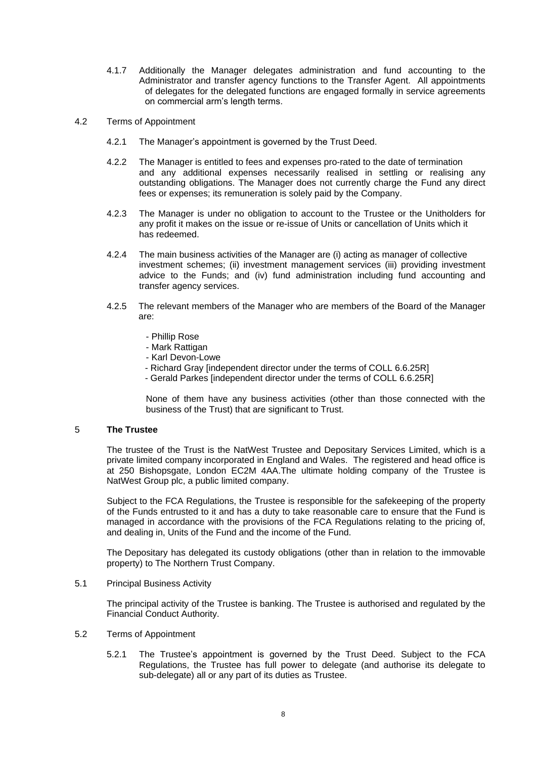- 4.1.7 Additionally the Manager delegates administration and fund accounting to the Administrator and transfer agency functions to the Transfer Agent. All appointments of delegates for the delegated functions are engaged formally in service agreements on commercial arm's length terms.
- 4.2 Terms of Appointment
	- 4.2.1 The Manager's appointment is governed by the Trust Deed.
	- 4.2.2 The Manager is entitled to fees and expenses pro-rated to the date of termination and any additional expenses necessarily realised in settling or realising any outstanding obligations. The Manager does not currently charge the Fund any direct fees or expenses; its remuneration is solely paid by the Company.
	- 4.2.3 The Manager is under no obligation to account to the Trustee or the Unitholders for any profit it makes on the issue or re-issue of Units or cancellation of Units which it has redeemed.
	- 4.2.4 The main business activities of the Manager are (i) acting as manager of collective investment schemes; (ii) investment management services (iii) providing investment advice to the Funds; and (iv) fund administration including fund accounting and transfer agency services.
	- 4.2.5 The relevant members of the Manager who are members of the Board of the Manager are:
		- Phillip Rose
		- Mark Rattigan
		- Karl Devon-Lowe
		- Richard Gray [independent director under the terms of COLL 6.6.25R]
		- Gerald Parkes [independent director under the terms of COLL 6.6.25R]

None of them have any business activities (other than those connected with the business of the Trust) that are significant to Trust.

## <span id="page-10-0"></span>5 **The Trustee**

The trustee of the Trust is the NatWest Trustee and Depositary Services Limited, which is a private limited company incorporated in England and Wales. The registered and head office is at 250 Bishopsgate, London EC2M 4AA.The ultimate holding company of the Trustee is NatWest Group plc, a public limited company.

Subject to the FCA Regulations, the Trustee is responsible for the safekeeping of the property of the Funds entrusted to it and has a duty to take reasonable care to ensure that the Fund is managed in accordance with the provisions of the FCA Regulations relating to the pricing of, and dealing in, Units of the Fund and the income of the Fund.

The Depositary has delegated its custody obligations (other than in relation to the immovable property) to The Northern Trust Company.

#### 5.1 Principal Business Activity

The principal activity of the Trustee is banking. The Trustee is authorised and regulated by the Financial Conduct Authority.

## 5.2 Terms of Appointment

5.2.1 The Trustee's appointment is governed by the Trust Deed. Subject to the FCA Regulations, the Trustee has full power to delegate (and authorise its delegate to sub-delegate) all or any part of its duties as Trustee.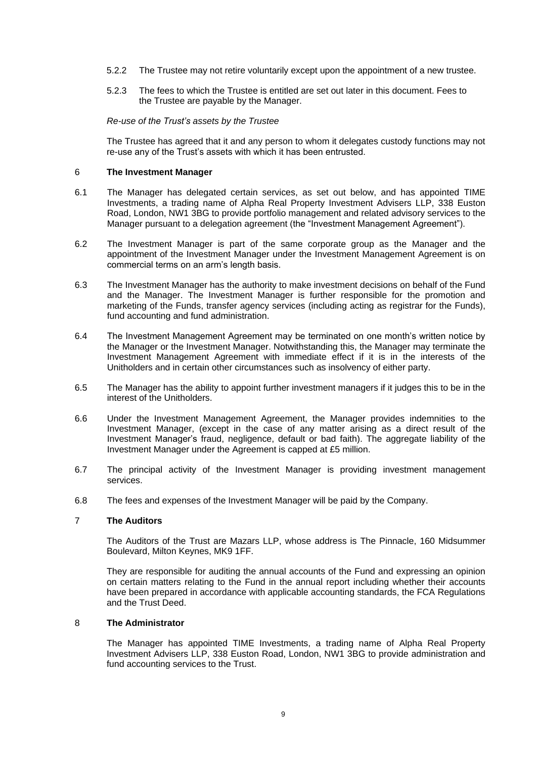- 5.2.2 The Trustee may not retire voluntarily except upon the appointment of a new trustee.
- 5.2.3 The fees to which the Trustee is entitled are set out later in this document. Fees to the Trustee are payable by the Manager.

#### *Re-use of the Trust's assets by the Trustee*

The Trustee has agreed that it and any person to whom it delegates custody functions may not re-use any of the Trust's assets with which it has been entrusted.

#### <span id="page-11-0"></span>6 **The Investment Manager**

- 6.1 The Manager has delegated certain services, as set out below, and has appointed TIME Investments, a trading name of Alpha Real Property Investment Advisers LLP, 338 Euston Road, London, NW1 3BG to provide portfolio management and related advisory services to the Manager pursuant to a delegation agreement (the "Investment Management Agreement").
- 6.2 The Investment Manager is part of the same corporate group as the Manager and the appointment of the Investment Manager under the Investment Management Agreement is on commercial terms on an arm's length basis.
- 6.3 The Investment Manager has the authority to make investment decisions on behalf of the Fund and the Manager. The Investment Manager is further responsible for the promotion and marketing of the Funds, transfer agency services (including acting as registrar for the Funds), fund accounting and fund administration.
- 6.4 The Investment Management Agreement may be terminated on one month's written notice by the Manager or the Investment Manager. Notwithstanding this, the Manager may terminate the Investment Management Agreement with immediate effect if it is in the interests of the Unitholders and in certain other circumstances such as insolvency of either party.
- 6.5 The Manager has the ability to appoint further investment managers if it judges this to be in the interest of the Unitholders.
- 6.6 Under the Investment Management Agreement, the Manager provides indemnities to the Investment Manager, (except in the case of any matter arising as a direct result of the Investment Manager's fraud, negligence, default or bad faith). The aggregate liability of the Investment Manager under the Agreement is capped at £5 million.
- 6.7 The principal activity of the Investment Manager is providing investment management services.
- 6.8 The fees and expenses of the Investment Manager will be paid by the Company.

## <span id="page-11-1"></span>7 **The Auditors**

The Auditors of the Trust are Mazars LLP, whose address is The Pinnacle, 160 Midsummer Boulevard, Milton Keynes, MK9 1FF.

They are responsible for auditing the annual accounts of the Fund and expressing an opinion on certain matters relating to the Fund in the annual report including whether their accounts have been prepared in accordance with applicable accounting standards, the FCA Regulations and the Trust Deed.

### <span id="page-11-2"></span>8 **The Administrator**

The Manager has appointed TIME Investments, a trading name of Alpha Real Property Investment Advisers LLP, 338 Euston Road, London, NW1 3BG to provide administration and fund accounting services to the Trust.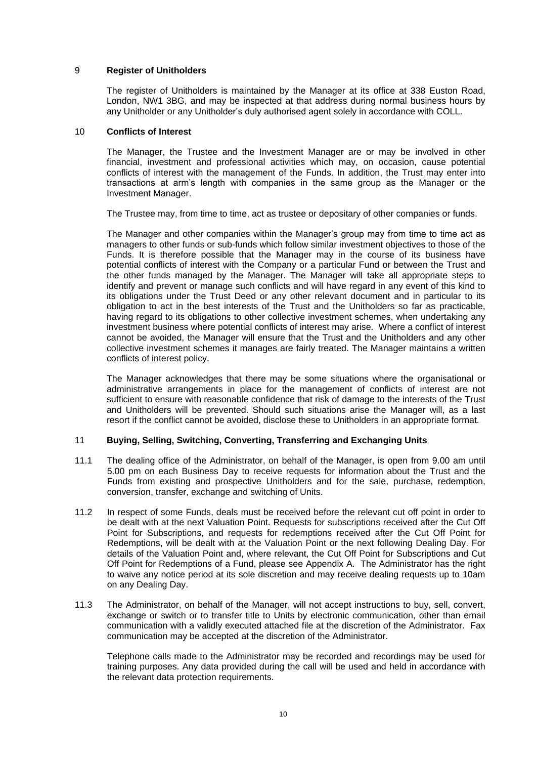## <span id="page-12-0"></span>9 **Register of Unitholders**

The register of Unitholders is maintained by the Manager at its office at 338 Euston Road, London, NW1 3BG, and may be inspected at that address during normal business hours by any Unitholder or any Unitholder's duly authorised agent solely in accordance with COLL.

#### <span id="page-12-1"></span>10 **Conflicts of Interest**

The Manager, the Trustee and the Investment Manager are or may be involved in other financial, investment and professional activities which may, on occasion, cause potential conflicts of interest with the management of the Funds. In addition, the Trust may enter into transactions at arm's length with companies in the same group as the Manager or the Investment Manager.

The Trustee may, from time to time, act as trustee or depositary of other companies or funds.

The Manager and other companies within the Manager's group may from time to time act as managers to other funds or sub-funds which follow similar investment objectives to those of the Funds. It is therefore possible that the Manager may in the course of its business have potential conflicts of interest with the Company or a particular Fund or between the Trust and the other funds managed by the Manager. The Manager will take all appropriate steps to identify and prevent or manage such conflicts and will have regard in any event of this kind to its obligations under the Trust Deed or any other relevant document and in particular to its obligation to act in the best interests of the Trust and the Unitholders so far as practicable, having regard to its obligations to other collective investment schemes, when undertaking any investment business where potential conflicts of interest may arise. Where a conflict of interest cannot be avoided, the Manager will ensure that the Trust and the Unitholders and any other collective investment schemes it manages are fairly treated. The Manager maintains a written conflicts of interest policy.

The Manager acknowledges that there may be some situations where the organisational or administrative arrangements in place for the management of conflicts of interest are not sufficient to ensure with reasonable confidence that risk of damage to the interests of the Trust and Unitholders will be prevented. Should such situations arise the Manager will, as a last resort if the conflict cannot be avoided, disclose these to Unitholders in an appropriate format.

## <span id="page-12-2"></span>11 **Buying, Selling, Switching, Converting, Transferring and Exchanging Units**

- 11.1 The dealing office of the Administrator, on behalf of the Manager, is open from 9.00 am until 5.00 pm on each Business Day to receive requests for information about the Trust and the Funds from existing and prospective Unitholders and for the sale, purchase, redemption, conversion, transfer, exchange and switching of Units.
- 11.2 In respect of some Funds, deals must be received before the relevant cut off point in order to be dealt with at the next Valuation Point. Requests for subscriptions received after the Cut Off Point for Subscriptions, and requests for redemptions received after the Cut Off Point for Redemptions, will be dealt with at the Valuation Point or the next following Dealing Day. For details of the Valuation Point and, where relevant, the Cut Off Point for Subscriptions and Cut Off Point for Redemptions of a Fund, please see Appendix A. The Administrator has the right to waive any notice period at its sole discretion and may receive dealing requests up to 10am on any Dealing Day.
- 11.3 The Administrator, on behalf of the Manager, will not accept instructions to buy, sell, convert, exchange or switch or to transfer title to Units by electronic communication, other than email communication with a validly executed attached file at the discretion of the Administrator. Fax communication may be accepted at the discretion of the Administrator.

Telephone calls made to the Administrator may be recorded and recordings may be used for training purposes. Any data provided during the call will be used and held in accordance with the relevant data protection requirements.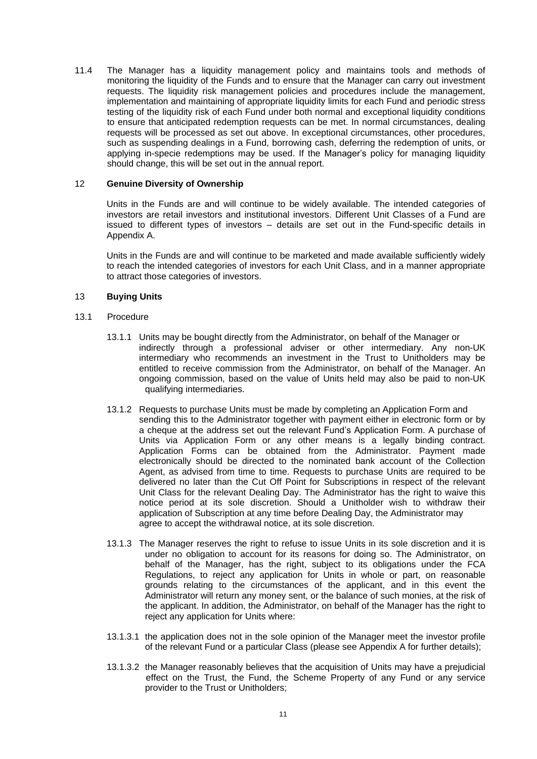11.4 The Manager has a liquidity management policy and maintains tools and methods of monitoring the liquidity of the Funds and to ensure that the Manager can carry out investment requests. The liquidity risk management policies and procedures include the management, implementation and maintaining of appropriate liquidity limits for each Fund and periodic stress testing of the liquidity risk of each Fund under both normal and exceptional liquidity conditions to ensure that anticipated redemption requests can be met. In normal circumstances, dealing requests will be processed as set out above. In exceptional circumstances, other procedures, such as suspending dealings in a Fund, borrowing cash, deferring the redemption of units, or applying in-specie redemptions may be used. If the Manager's policy for managing liquidity should change, this will be set out in the annual report.

## <span id="page-13-0"></span>12 **Genuine Diversity of Ownership**

Units in the Funds are and will continue to be widely available. The intended categories of investors are retail investors and institutional investors. Different Unit Classes of a Fund are issued to different types of investors – details are set out in the Fund-specific details in Appendix A.

Units in the Funds are and will continue to be marketed and made available sufficiently widely to reach the intended categories of investors for each Unit Class, and in a manner appropriate to attract those categories of investors.

## <span id="page-13-1"></span>13 **Buying Units**

- 13.1 Procedure
	- 13.1.1 Units may be bought directly from the Administrator, on behalf of the Manager or indirectly through a professional adviser or other intermediary. Any non-UK intermediary who recommends an investment in the Trust to Unitholders may be entitled to receive commission from the Administrator, on behalf of the Manager. An ongoing commission, based on the value of Units held may also be paid to non-UK qualifying intermediaries.
	- 13.1.2 Requests to purchase Units must be made by completing an Application Form and sending this to the Administrator together with payment either in electronic form or by a cheque at the address set out the relevant Fund's Application Form. A purchase of Units via Application Form or any other means is a legally binding contract. Application Forms can be obtained from the Administrator. Payment made electronically should be directed to the nominated bank account of the Collection Agent, as advised from time to time. Requests to purchase Units are required to be delivered no later than the Cut Off Point for Subscriptions in respect of the relevant Unit Class for the relevant Dealing Day. The Administrator has the right to waive this notice period at its sole discretion. Should a Unitholder wish to withdraw their application of Subscription at any time before Dealing Day, the Administrator may agree to accept the withdrawal notice, at its sole discretion.
	- 13.1.3 The Manager reserves the right to refuse to issue Units in its sole discretion and it is under no obligation to account for its reasons for doing so. The Administrator, on behalf of the Manager, has the right, subject to its obligations under the FCA Regulations, to reject any application for Units in whole or part, on reasonable grounds relating to the circumstances of the applicant, and in this event the Administrator will return any money sent, or the balance of such monies, at the risk of the applicant. In addition, the Administrator, on behalf of the Manager has the right to reject any application for Units where:
	- 13.1.3.1 the application does not in the sole opinion of the Manager meet the investor profile of the relevant Fund or a particular Class (please see Appendix A for further details);
	- 13.1.3.2 the Manager reasonably believes that the acquisition of Units may have a prejudicial effect on the Trust, the Fund, the Scheme Property of any Fund or any service provider to the Trust or Unitholders;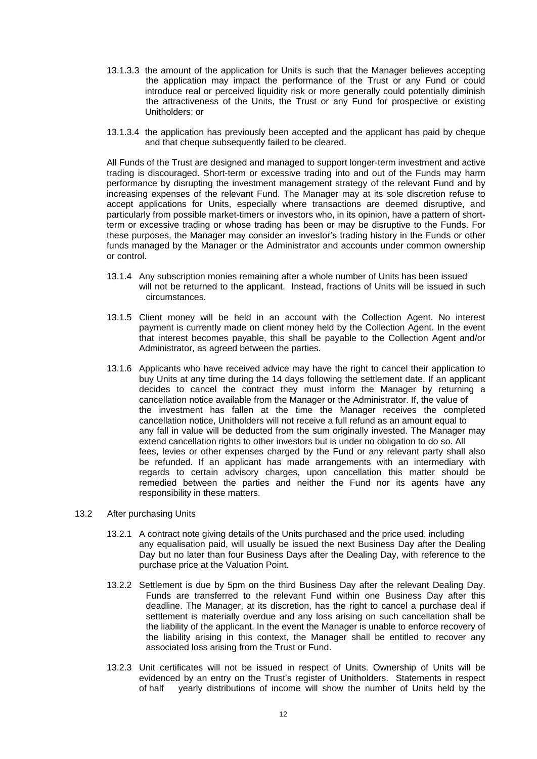- 13.1.3.3 the amount of the application for Units is such that the Manager believes accepting the application may impact the performance of the Trust or any Fund or could introduce real or perceived liquidity risk or more generally could potentially diminish the attractiveness of the Units, the Trust or any Fund for prospective or existing Unitholders; or
- 13.1.3.4 the application has previously been accepted and the applicant has paid by cheque and that cheque subsequently failed to be cleared.

All Funds of the Trust are designed and managed to support longer-term investment and active trading is discouraged. Short-term or excessive trading into and out of the Funds may harm performance by disrupting the investment management strategy of the relevant Fund and by increasing expenses of the relevant Fund. The Manager may at its sole discretion refuse to accept applications for Units, especially where transactions are deemed disruptive, and particularly from possible market-timers or investors who, in its opinion, have a pattern of shortterm or excessive trading or whose trading has been or may be disruptive to the Funds. For these purposes, the Manager may consider an investor's trading history in the Funds or other funds managed by the Manager or the Administrator and accounts under common ownership or control.

- 13.1.4 Any subscription monies remaining after a whole number of Units has been issued will not be returned to the applicant. Instead, fractions of Units will be issued in such circumstances.
- 13.1.5 Client money will be held in an account with the Collection Agent. No interest payment is currently made on client money held by the Collection Agent. In the event that interest becomes payable, this shall be payable to the Collection Agent and/or Administrator, as agreed between the parties.
- 13.1.6 Applicants who have received advice may have the right to cancel their application to buy Units at any time during the 14 days following the settlement date. If an applicant decides to cancel the contract they must inform the Manager by returning a cancellation notice available from the Manager or the Administrator. If, the value of the investment has fallen at the time the Manager receives the completed cancellation notice, Unitholders will not receive a full refund as an amount equal to any fall in value will be deducted from the sum originally invested. The Manager may extend cancellation rights to other investors but is under no obligation to do so. All fees, levies or other expenses charged by the Fund or any relevant party shall also be refunded. If an applicant has made arrangements with an intermediary with regards to certain advisory charges, upon cancellation this matter should be remedied between the parties and neither the Fund nor its agents have any responsibility in these matters.
- 13.2 After purchasing Units
	- 13.2.1 A contract note giving details of the Units purchased and the price used, including any equalisation paid, will usually be issued the next Business Day after the Dealing Day but no later than four Business Days after the Dealing Day, with reference to the purchase price at the Valuation Point.
	- 13.2.2 Settlement is due by 5pm on the third Business Day after the relevant Dealing Day. Funds are transferred to the relevant Fund within one Business Day after this deadline. The Manager, at its discretion, has the right to cancel a purchase deal if settlement is materially overdue and any loss arising on such cancellation shall be the liability of the applicant. In the event the Manager is unable to enforce recovery of the liability arising in this context, the Manager shall be entitled to recover any associated loss arising from the Trust or Fund.
	- 13.2.3 Unit certificates will not be issued in respect of Units. Ownership of Units will be evidenced by an entry on the Trust's register of Unitholders. Statements in respect of half yearly distributions of income will show the number of Units held by the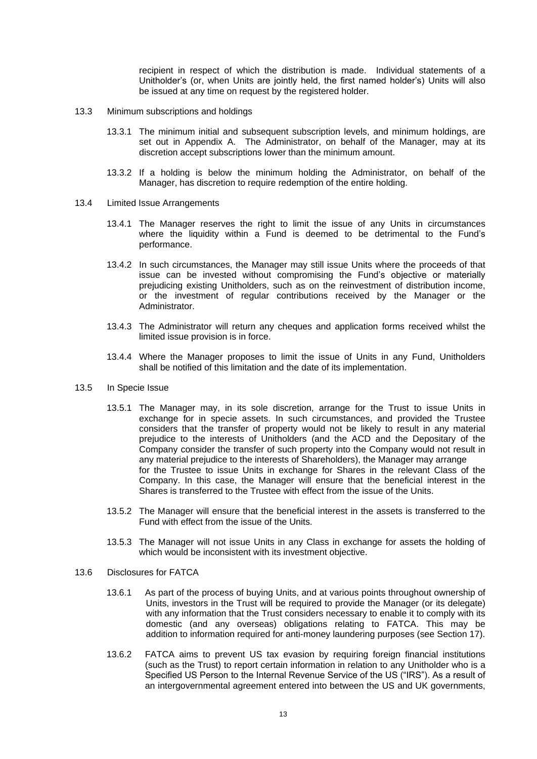recipient in respect of which the distribution is made. Individual statements of a Unitholder's (or, when Units are jointly held, the first named holder's) Units will also be issued at any time on request by the registered holder.

- 13.3 Minimum subscriptions and holdings
	- 13.3.1 The minimum initial and subsequent subscription levels, and minimum holdings, are set out in Appendix A. The Administrator, on behalf of the Manager, may at its discretion accept subscriptions lower than the minimum amount.
	- 13.3.2 If a holding is below the minimum holding the Administrator, on behalf of the Manager, has discretion to require redemption of the entire holding.
- 13.4 Limited Issue Arrangements
	- 13.4.1 The Manager reserves the right to limit the issue of any Units in circumstances where the liquidity within a Fund is deemed to be detrimental to the Fund's performance.
	- 13.4.2 In such circumstances, the Manager may still issue Units where the proceeds of that issue can be invested without compromising the Fund's objective or materially prejudicing existing Unitholders, such as on the reinvestment of distribution income, or the investment of regular contributions received by the Manager or the Administrator.
	- 13.4.3 The Administrator will return any cheques and application forms received whilst the limited issue provision is in force.
	- 13.4.4 Where the Manager proposes to limit the issue of Units in any Fund, Unitholders shall be notified of this limitation and the date of its implementation.
- 13.5 In Specie Issue
	- 13.5.1 The Manager may, in its sole discretion, arrange for the Trust to issue Units in exchange for in specie assets. In such circumstances, and provided the Trustee considers that the transfer of property would not be likely to result in any material prejudice to the interests of Unitholders (and the ACD and the Depositary of the Company consider the transfer of such property into the Company would not result in any material prejudice to the interests of Shareholders), the Manager may arrange for the Trustee to issue Units in exchange for Shares in the relevant Class of the Company. In this case, the Manager will ensure that the beneficial interest in the Shares is transferred to the Trustee with effect from the issue of the Units.
	- 13.5.2 The Manager will ensure that the beneficial interest in the assets is transferred to the Fund with effect from the issue of the Units.
	- 13.5.3 The Manager will not issue Units in any Class in exchange for assets the holding of which would be inconsistent with its investment objective.
- 13.6 Disclosures for FATCA
	- 13.6.1 As part of the process of buying Units, and at various points throughout ownership of Units, investors in the Trust will be required to provide the Manager (or its delegate) with any information that the Trust considers necessary to enable it to comply with its domestic (and any overseas) obligations relating to FATCA. This may be addition to information required for anti-money laundering purposes (see Section [17\)](#page-20-0).
	- 13.6.2 FATCA aims to prevent US tax evasion by requiring foreign financial institutions (such as the Trust) to report certain information in relation to any Unitholder who is a Specified US Person to the Internal Revenue Service of the US ("IRS"). As a result of an intergovernmental agreement entered into between the US and UK governments,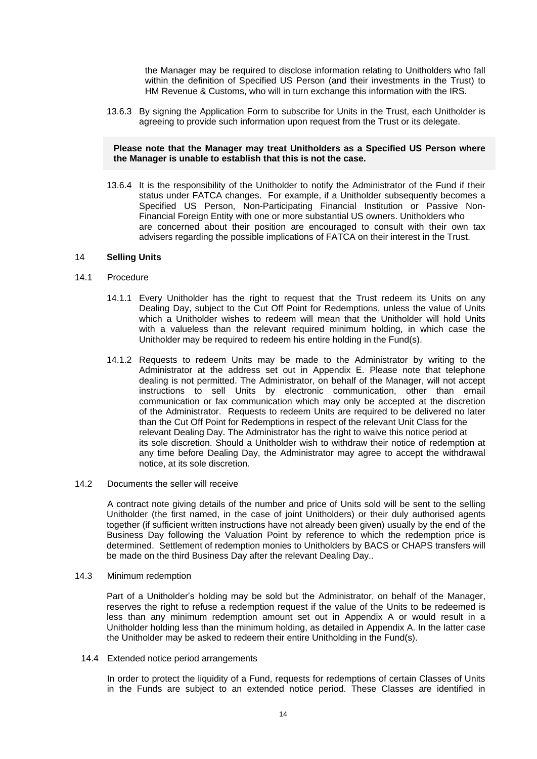the Manager may be required to disclose information relating to Unitholders who fall within the definition of Specified US Person (and their investments in the Trust) to HM Revenue & Customs, who will in turn exchange this information with the IRS.

13.6.3 By signing the Application Form to subscribe for Units in the Trust, each Unitholder is agreeing to provide such information upon request from the Trust or its delegate.

#### **Please note that the Manager may treat Unitholders as a Specified US Person where the Manager is unable to establish that this is not the case.**

13.6.4 It is the responsibility of the Unitholder to notify the Administrator of the Fund if their status under FATCA changes. For example, if a Unitholder subsequently becomes a Specified US Person, Non-Participating Financial Institution or Passive Non-Financial Foreign Entity with one or more substantial US owners. Unitholders who are concerned about their position are encouraged to consult with their own tax advisers regarding the possible implications of FATCA on their interest in the Trust.

## <span id="page-16-0"></span>14 **Selling Units**

#### 14.1 Procedure

- 14.1.1 Every Unitholder has the right to request that the Trust redeem its Units on any Dealing Day, subject to the Cut Off Point for Redemptions, unless the value of Units which a Unitholder wishes to redeem will mean that the Unitholder will hold Units with a valueless than the relevant required minimum holding, in which case the Unitholder may be required to redeem his entire holding in the Fund(s).
- 14.1.2 Requests to redeem Units may be made to the Administrator by writing to the Administrator at the address set out in Appendix E. Please note that telephone dealing is not permitted. The Administrator, on behalf of the Manager, will not accept instructions to sell Units by electronic communication, other than email communication or fax communication which may only be accepted at the discretion of the Administrator. Requests to redeem Units are required to be delivered no later than the Cut Off Point for Redemptions in respect of the relevant Unit Class for the relevant Dealing Day. The Administrator has the right to waive this notice period at its sole discretion. Should a Unitholder wish to withdraw their notice of redemption at any time before Dealing Day, the Administrator may agree to accept the withdrawal notice, at its sole discretion.
- 14.2 Documents the seller will receive

A contract note giving details of the number and price of Units sold will be sent to the selling Unitholder (the first named, in the case of joint Unitholders) or their duly authorised agents together (if sufficient written instructions have not already been given) usually by the end of the Business Day following the Valuation Point by reference to which the redemption price is determined. Settlement of redemption monies to Unitholders by BACS or CHAPS transfers will be made on the third Business Day after the relevant Dealing Day..

14.3 Minimum redemption

Part of a Unitholder's holding may be sold but the Administrator, on behalf of the Manager, reserves the right to refuse a redemption request if the value of the Units to be redeemed is less than any minimum redemption amount set out in Appendix A or would result in a Unitholder holding less than the minimum holding, as detailed in Appendix A. In the latter case the Unitholder may be asked to redeem their entire Unitholding in the Fund(s).

14.4 Extended notice period arrangements

In order to protect the liquidity of a Fund, requests for redemptions of certain Classes of Units in the Funds are subject to an extended notice period. These Classes are identified in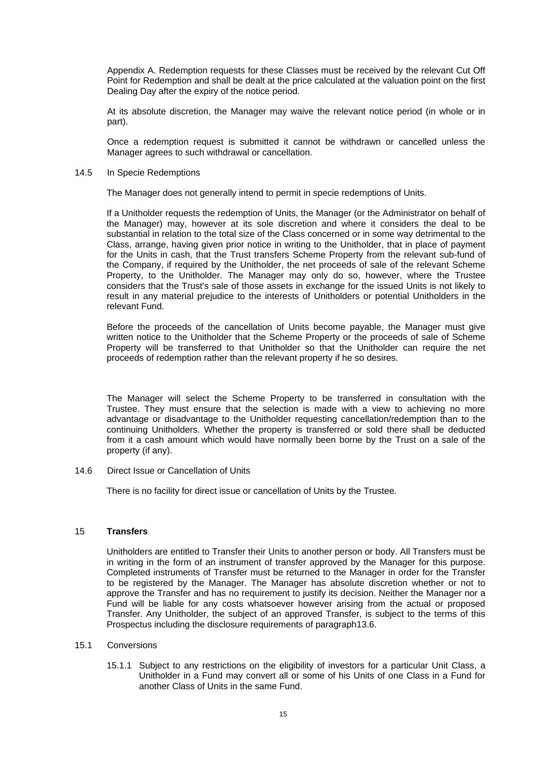Appendix A. Redemption requests for these Classes must be received by the relevant Cut Off Point for Redemption and shall be dealt at the price calculated at the valuation point on the first Dealing Day after the expiry of the notice period.

At its absolute discretion, the Manager may waive the relevant notice period (in whole or in part).

Once a redemption request is submitted it cannot be withdrawn or cancelled unless the Manager agrees to such withdrawal or cancellation.

#### 14.5 In Specie Redemptions

The Manager does not generally intend to permit in specie redemptions of Units.

If a Unitholder requests the redemption of Units, the Manager (or the Administrator on behalf of the Manager) may, however at its sole discretion and where it considers the deal to be substantial in relation to the total size of the Class concerned or in some way detrimental to the Class, arrange, having given prior notice in writing to the Unitholder, that in place of payment for the Units in cash, that the Trust transfers Scheme Property from the relevant sub-fund of the Company, if required by the Unitholder, the net proceeds of sale of the relevant Scheme Property, to the Unitholder. The Manager may only do so, however, where the Trustee considers that the Trust's sale of those assets in exchange for the issued Units is not likely to result in any material prejudice to the interests of Unitholders or potential Unitholders in the relevant Fund.

Before the proceeds of the cancellation of Units become payable, the Manager must give written notice to the Unitholder that the Scheme Property or the proceeds of sale of Scheme Property will be transferred to that Unitholder so that the Unitholder can require the net proceeds of redemption rather than the relevant property if he so desires.

The Manager will select the Scheme Property to be transferred in consultation with the Trustee. They must ensure that the selection is made with a view to achieving no more advantage or disadvantage to the Unitholder requesting cancellation/redemption than to the continuing Unitholders. Whether the property is transferred or sold there shall be deducted from it a cash amount which would have normally been borne by the Trust on a sale of the property (if any).

14.6 Direct Issue or Cancellation of Units

There is no facility for direct issue or cancellation of Units by the Trustee.

#### <span id="page-17-0"></span>15 **Transfers**

Unitholders are entitled to Transfer their Units to another person or body. All Transfers must be in writing in the form of an instrument of transfer approved by the Manager for this purpose. Completed instruments of Transfer must be returned to the Manager in order for the Transfer to be registered by the Manager. The Manager has absolute discretion whether or not to approve the Transfer and has no requirement to justify its decision. Neither the Manager nor a Fund will be liable for any costs whatsoever however arising from the actual or proposed Transfer. Any Unitholder, the subject of an approved Transfer, is subject to the terms of this Prospectus including the disclosure requirements of paragraph13.6.

#### 15.1 Conversions

15.1.1 Subject to any restrictions on the eligibility of investors for a particular Unit Class, a Unitholder in a Fund may convert all or some of his Units of one Class in a Fund for another Class of Units in the same Fund.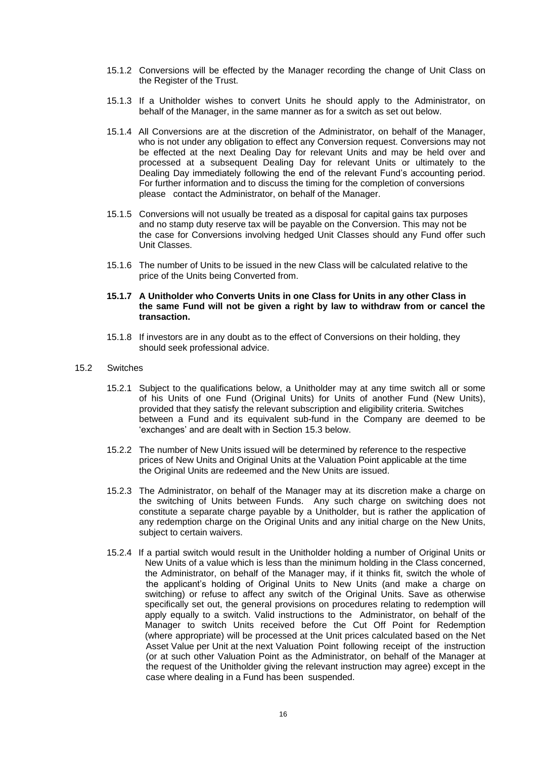- 15.1.2 Conversions will be effected by the Manager recording the change of Unit Class on the Register of the Trust.
- 15.1.3 If a Unitholder wishes to convert Units he should apply to the Administrator, on behalf of the Manager, in the same manner as for a switch as set out below.
- 15.1.4 All Conversions are at the discretion of the Administrator, on behalf of the Manager, who is not under any obligation to effect any Conversion request. Conversions may not be effected at the next Dealing Day for relevant Units and may be held over and processed at a subsequent Dealing Day for relevant Units or ultimately to the Dealing Day immediately following the end of the relevant Fund's accounting period. For further information and to discuss the timing for the completion of conversions please contact the Administrator, on behalf of the Manager.
- 15.1.5 Conversions will not usually be treated as a disposal for capital gains tax purposes and no stamp duty reserve tax will be payable on the Conversion. This may not be the case for Conversions involving hedged Unit Classes should any Fund offer such Unit Classes.
- 15.1.6 The number of Units to be issued in the new Class will be calculated relative to the price of the Units being Converted from.

#### **15.1.7 A Unitholder who Converts Units in one Class for Units in any other Class in the same Fund will not be given a right by law to withdraw from or cancel the transaction.**

15.1.8 If investors are in any doubt as to the effect of Conversions on their holding, they should seek professional advice.

#### 15.2 Switches

- 15.2.1 Subject to the qualifications below, a Unitholder may at any time switch all or some of his Units of one Fund (Original Units) for Units of another Fund (New Units), provided that they satisfy the relevant subscription and eligibility criteria. Switches between a Fund and its equivalent sub-fund in the Company are deemed to be 'exchanges' and are dealt with in Section [15.3](#page-19-1) below.
- 15.2.2 The number of New Units issued will be determined by reference to the respective prices of New Units and Original Units at the Valuation Point applicable at the time the Original Units are redeemed and the New Units are issued.
- 15.2.3 The Administrator, on behalf of the Manager may at its discretion make a charge on the switching of Units between Funds. Any such charge on switching does not constitute a separate charge payable by a Unitholder, but is rather the application of any redemption charge on the Original Units and any initial charge on the New Units, subject to certain waivers.
- 15.2.4 If a partial switch would result in the Unitholder holding a number of Original Units or New Units of a value which is less than the minimum holding in the Class concerned, the Administrator, on behalf of the Manager may, if it thinks fit, switch the whole of the applicant's holding of Original Units to New Units (and make a charge on switching) or refuse to affect any switch of the Original Units. Save as otherwise specifically set out, the general provisions on procedures relating to redemption will apply equally to a switch. Valid instructions to the Administrator, on behalf of the Manager to switch Units received before the Cut Off Point for Redemption (where appropriate) will be processed at the Unit prices calculated based on the Net Asset Value per Unit at the next Valuation Point following receipt of the instruction (or at such other Valuation Point as the Administrator, on behalf of the Manager at the request of the Unitholder giving the relevant instruction may agree) except in the case where dealing in a Fund has been suspended.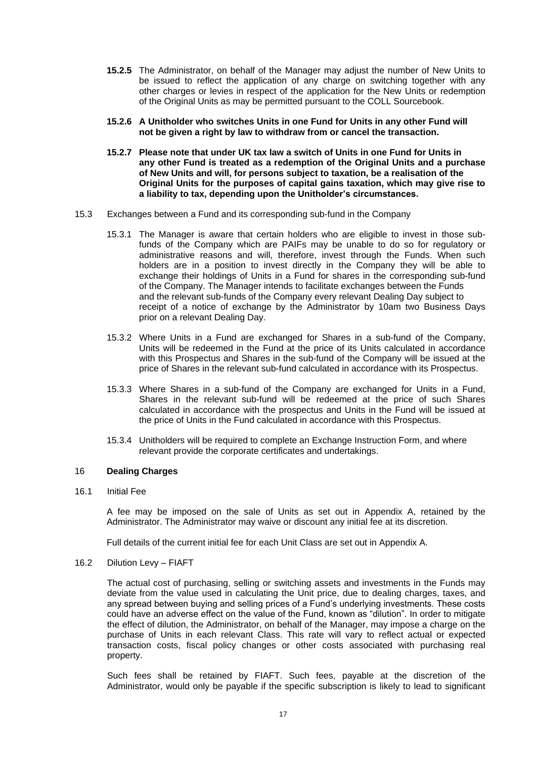- **15.2.5** The Administrator, on behalf of the Manager may adjust the number of New Units to be issued to reflect the application of any charge on switching together with any other charges or levies in respect of the application for the New Units or redemption of the Original Units as may be permitted pursuant to the COLL Sourcebook.
- **15.2.6 A Unitholder who switches Units in one Fund for Units in any other Fund will not be given a right by law to withdraw from or cancel the transaction.**
- **15.2.7 Please note that under UK tax law a switch of Units in one Fund for Units in any other Fund is treated as a redemption of the Original Units and a purchase of New Units and will, for persons subject to taxation, be a realisation of the Original Units for the purposes of capital gains taxation, which may give rise to a liability to tax, depending upon the Unitholder's circumstances.**
- <span id="page-19-1"></span>15.3 Exchanges between a Fund and its corresponding sub-fund in the Company
	- 15.3.1 The Manager is aware that certain holders who are eligible to invest in those subfunds of the Company which are PAIFs may be unable to do so for regulatory or administrative reasons and will, therefore, invest through the Funds. When such holders are in a position to invest directly in the Company they will be able to exchange their holdings of Units in a Fund for shares in the corresponding sub-fund of the Company. The Manager intends to facilitate exchanges between the Funds and the relevant sub-funds of the Company every relevant Dealing Day subject to receipt of a notice of exchange by the Administrator by 10am two Business Days prior on a relevant Dealing Day.
	- 15.3.2 Where Units in a Fund are exchanged for Shares in a sub-fund of the Company, Units will be redeemed in the Fund at the price of its Units calculated in accordance with this Prospectus and Shares in the sub-fund of the Company will be issued at the price of Shares in the relevant sub-fund calculated in accordance with its Prospectus.
	- 15.3.3 Where Shares in a sub-fund of the Company are exchanged for Units in a Fund, Shares in the relevant sub-fund will be redeemed at the price of such Shares calculated in accordance with the prospectus and Units in the Fund will be issued at the price of Units in the Fund calculated in accordance with this Prospectus.
	- 15.3.4 Unitholders will be required to complete an Exchange Instruction Form, and where relevant provide the corporate certificates and undertakings.

### <span id="page-19-0"></span>16 **Dealing Charges**

16.1 Initial Fee

A fee may be imposed on the sale of Units as set out in Appendix A, retained by the Administrator. The Administrator may waive or discount any initial fee at its discretion.

Full details of the current initial fee for each Unit Class are set out in Appendix A.

#### 16.2 Dilution Levy – FIAFT

The actual cost of purchasing, selling or switching assets and investments in the Funds may deviate from the value used in calculating the Unit price, due to dealing charges, taxes, and any spread between buying and selling prices of a Fund's underlying investments. These costs could have an adverse effect on the value of the Fund, known as "dilution". In order to mitigate the effect of dilution, the Administrator, on behalf of the Manager, may impose a charge on the purchase of Units in each relevant Class. This rate will vary to reflect actual or expected transaction costs, fiscal policy changes or other costs associated with purchasing real property.

Such fees shall be retained by FIAFT. Such fees, payable at the discretion of the Administrator, would only be payable if the specific subscription is likely to lead to significant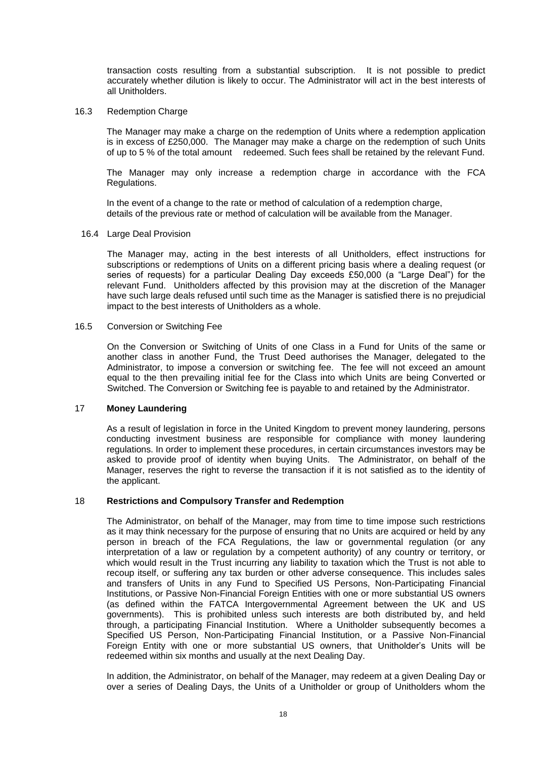transaction costs resulting from a substantial subscription. It is not possible to predict accurately whether dilution is likely to occur. The Administrator will act in the best interests of all Unitholders.

#### 16.3 Redemption Charge

The Manager may make a charge on the redemption of Units where a redemption application is in excess of £250,000. The Manager may make a charge on the redemption of such Units of up to 5 % of the total amount redeemed. Such fees shall be retained by the relevant Fund.

The Manager may only increase a redemption charge in accordance with the FCA Regulations.

In the event of a change to the rate or method of calculation of a redemption charge, details of the previous rate or method of calculation will be available from the Manager.

#### 16.4 Large Deal Provision

The Manager may, acting in the best interests of all Unitholders, effect instructions for subscriptions or redemptions of Units on a different pricing basis where a dealing request (or series of requests) for a particular Dealing Day exceeds £50,000 (a "Large Deal") for the relevant Fund. Unitholders affected by this provision may at the discretion of the Manager have such large deals refused until such time as the Manager is satisfied there is no prejudicial impact to the best interests of Unitholders as a whole.

#### 16.5 Conversion or Switching Fee

On the Conversion or Switching of Units of one Class in a Fund for Units of the same or another class in another Fund, the Trust Deed authorises the Manager, delegated to the Administrator, to impose a conversion or switching fee. The fee will not exceed an amount equal to the then prevailing initial fee for the Class into which Units are being Converted or Switched. The Conversion or Switching fee is payable to and retained by the Administrator.

## <span id="page-20-0"></span>17 **Money Laundering**

As a result of legislation in force in the United Kingdom to prevent money laundering, persons conducting investment business are responsible for compliance with money laundering regulations. In order to implement these procedures, in certain circumstances investors may be asked to provide proof of identity when buying Units. The Administrator, on behalf of the Manager, reserves the right to reverse the transaction if it is not satisfied as to the identity of the applicant.

#### <span id="page-20-1"></span>18 **Restrictions and Compulsory Transfer and Redemption**

The Administrator, on behalf of the Manager, may from time to time impose such restrictions as it may think necessary for the purpose of ensuring that no Units are acquired or held by any person in breach of the FCA Regulations, the law or governmental regulation (or any interpretation of a law or regulation by a competent authority) of any country or territory, or which would result in the Trust incurring any liability to taxation which the Trust is not able to recoup itself, or suffering any tax burden or other adverse consequence. This includes sales and transfers of Units in any Fund to Specified US Persons, Non-Participating Financial Institutions, or Passive Non-Financial Foreign Entities with one or more substantial US owners (as defined within the FATCA Intergovernmental Agreement between the UK and US governments). This is prohibited unless such interests are both distributed by, and held through, a participating Financial Institution. Where a Unitholder subsequently becomes a Specified US Person, Non-Participating Financial Institution, or a Passive Non-Financial Foreign Entity with one or more substantial US owners, that Unitholder's Units will be redeemed within six months and usually at the next Dealing Day.

In addition, the Administrator, on behalf of the Manager, may redeem at a given Dealing Day or over a series of Dealing Days, the Units of a Unitholder or group of Unitholders whom the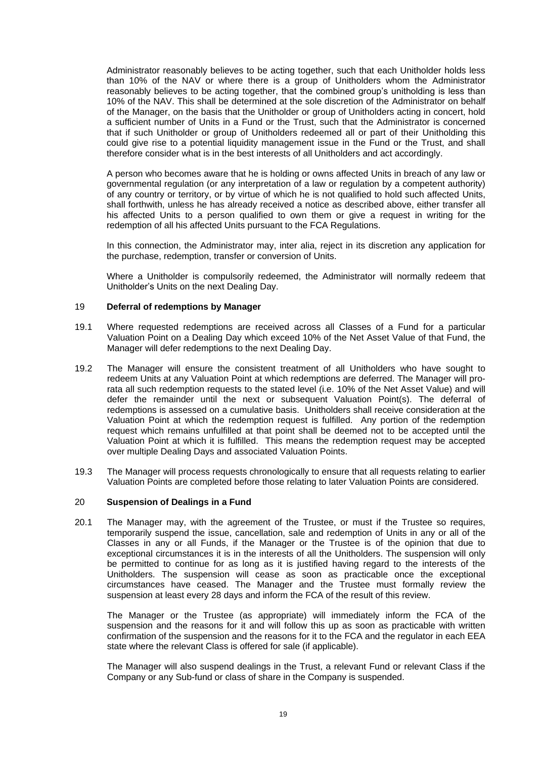Administrator reasonably believes to be acting together, such that each Unitholder holds less than 10% of the NAV or where there is a group of Unitholders whom the Administrator reasonably believes to be acting together, that the combined group's unitholding is less than 10% of the NAV. This shall be determined at the sole discretion of the Administrator on behalf of the Manager, on the basis that the Unitholder or group of Unitholders acting in concert, hold a sufficient number of Units in a Fund or the Trust, such that the Administrator is concerned that if such Unitholder or group of Unitholders redeemed all or part of their Unitholding this could give rise to a potential liquidity management issue in the Fund or the Trust, and shall therefore consider what is in the best interests of all Unitholders and act accordingly.

A person who becomes aware that he is holding or owns affected Units in breach of any law or governmental regulation (or any interpretation of a law or regulation by a competent authority) of any country or territory, or by virtue of which he is not qualified to hold such affected Units, shall forthwith, unless he has already received a notice as described above, either transfer all his affected Units to a person qualified to own them or give a request in writing for the redemption of all his affected Units pursuant to the FCA Regulations.

In this connection, the Administrator may, inter alia, reject in its discretion any application for the purchase, redemption, transfer or conversion of Units.

Where a Unitholder is compulsorily redeemed, the Administrator will normally redeem that Unitholder's Units on the next Dealing Day.

#### <span id="page-21-0"></span>19 **Deferral of redemptions by Manager**

- 19.1 Where requested redemptions are received across all Classes of a Fund for a particular Valuation Point on a Dealing Day which exceed 10% of the Net Asset Value of that Fund, the Manager will defer redemptions to the next Dealing Day.
- 19.2 The Manager will ensure the consistent treatment of all Unitholders who have sought to redeem Units at any Valuation Point at which redemptions are deferred. The Manager will prorata all such redemption requests to the stated level (i.e. 10% of the Net Asset Value) and will defer the remainder until the next or subsequent Valuation Point(s). The deferral of redemptions is assessed on a cumulative basis. Unitholders shall receive consideration at the Valuation Point at which the redemption request is fulfilled. Any portion of the redemption request which remains unfulfilled at that point shall be deemed not to be accepted until the Valuation Point at which it is fulfilled. This means the redemption request may be accepted over multiple Dealing Days and associated Valuation Points.
- 19.3 The Manager will process requests chronologically to ensure that all requests relating to earlier Valuation Points are completed before those relating to later Valuation Points are considered.

## <span id="page-21-1"></span>20 **Suspension of Dealings in a Fund**

20.1 The Manager may, with the agreement of the Trustee, or must if the Trustee so requires, temporarily suspend the issue, cancellation, sale and redemption of Units in any or all of the Classes in any or all Funds, if the Manager or the Trustee is of the opinion that due to exceptional circumstances it is in the interests of all the Unitholders. The suspension will only be permitted to continue for as long as it is justified having regard to the interests of the Unitholders. The suspension will cease as soon as practicable once the exceptional circumstances have ceased. The Manager and the Trustee must formally review the suspension at least every 28 days and inform the FCA of the result of this review.

The Manager or the Trustee (as appropriate) will immediately inform the FCA of the suspension and the reasons for it and will follow this up as soon as practicable with written confirmation of the suspension and the reasons for it to the FCA and the regulator in each EEA state where the relevant Class is offered for sale (if applicable).

The Manager will also suspend dealings in the Trust, a relevant Fund or relevant Class if the Company or any Sub-fund or class of share in the Company is suspended.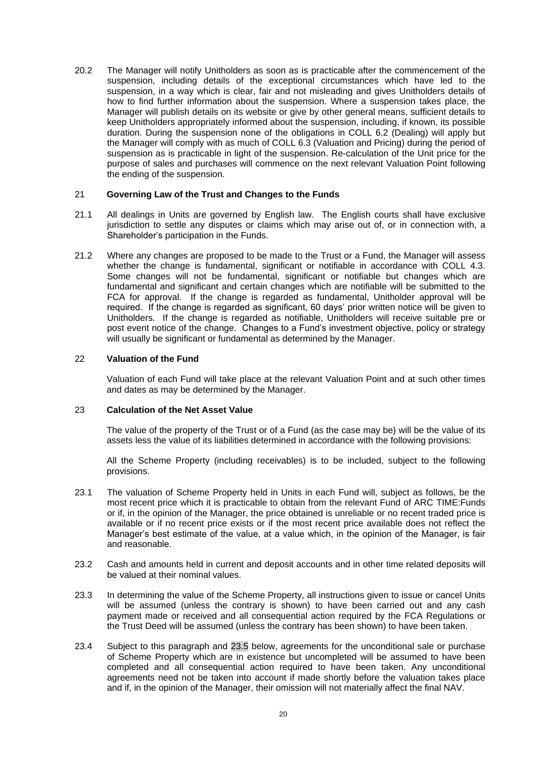20.2 The Manager will notify Unitholders as soon as is practicable after the commencement of the suspension, including details of the exceptional circumstances which have led to the suspension, in a way which is clear, fair and not misleading and gives Unitholders details of how to find further information about the suspension. Where a suspension takes place, the Manager will publish details on its website or give by other general means, sufficient details to keep Unitholders appropriately informed about the suspension, including, if known, its possible duration. During the suspension none of the obligations in COLL 6.2 (Dealing) will apply but the Manager will comply with as much of COLL 6.3 (Valuation and Pricing) during the period of suspension as is practicable in light of the suspension. Re-calculation of the Unit price for the purpose of sales and purchases will commence on the next relevant Valuation Point following the ending of the suspension.

## <span id="page-22-0"></span>21 **Governing Law of the Trust and Changes to the Funds**

- 21.1 All dealings in Units are governed by English law. The English courts shall have exclusive jurisdiction to settle any disputes or claims which may arise out of, or in connection with, a Shareholder's participation in the Funds.
- 21.2 Where any changes are proposed to be made to the Trust or a Fund, the Manager will assess whether the change is fundamental, significant or notifiable in accordance with COLL 4.3. Some changes will not be fundamental, significant or notifiable but changes which are fundamental and significant and certain changes which are notifiable will be submitted to the FCA for approval. If the change is regarded as fundamental, Unitholder approval will be required. If the change is regarded as significant, 60 days' prior written notice will be given to Unitholders. If the change is regarded as notifiable, Unitholders will receive suitable pre or post event notice of the change. Changes to a Fund's investment objective, policy or strategy will usually be significant or fundamental as determined by the Manager.

## <span id="page-22-1"></span>22 **Valuation of the Fund**

Valuation of each Fund will take place at the relevant Valuation Point and at such other times and dates as may be determined by the Manager.

## <span id="page-22-2"></span>23 **Calculation of the Net Asset Value**

The value of the property of the Trust or of a Fund (as the case may be) will be the value of its assets less the value of its liabilities determined in accordance with the following provisions:

All the Scheme Property (including receivables) is to be included, subject to the following provisions.

- 23.1 The valuation of Scheme Property held in Units in each Fund will, subject as follows, be the most recent price which it is practicable to obtain from the relevant Fund of ARC TIME:Funds or if, in the opinion of the Manager, the price obtained is unreliable or no recent traded price is available or if no recent price exists or if the most recent price available does not reflect the Manager's best estimate of the value, at a value which, in the opinion of the Manager, is fair and reasonable.
- 23.2 Cash and amounts held in current and deposit accounts and in other time related deposits will be valued at their nominal values.
- 23.3 In determining the value of the Scheme Property, all instructions given to issue or cancel Units will be assumed (unless the contrary is shown) to have been carried out and any cash payment made or received and all consequential action required by the FCA Regulations or the Trust Deed will be assumed (unless the contrary has been shown) to have been taken.
- <span id="page-22-3"></span>23.4 Subject to this paragraph and [23.5](#page-23-1) below, agreements for the unconditional sale or purchase of Scheme Property which are in existence but uncompleted will be assumed to have been completed and all consequential action required to have been taken. Any unconditional agreements need not be taken into account if made shortly before the valuation takes place and if, in the opinion of the Manager, their omission will not materially affect the final NAV.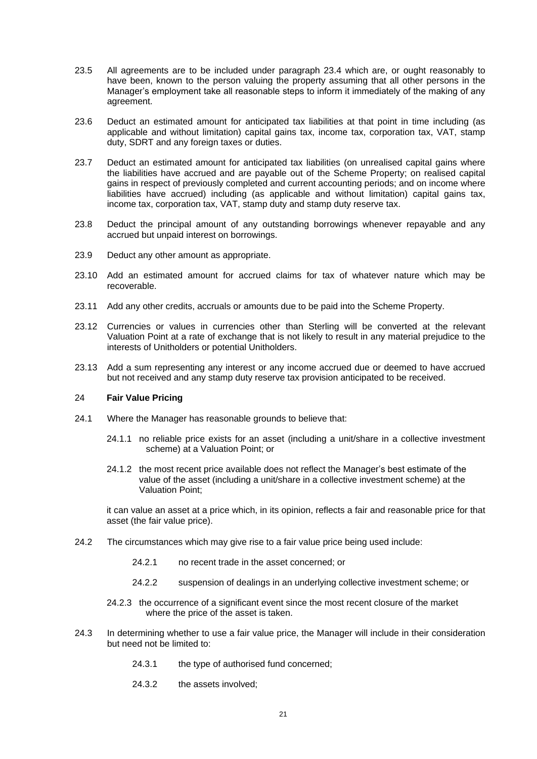- <span id="page-23-1"></span>23.5 All agreements are to be included under paragraph [23.4](#page-22-3) which are, or ought reasonably to have been, known to the person valuing the property assuming that all other persons in the Manager's employment take all reasonable steps to inform it immediately of the making of any agreement.
- 23.6 Deduct an estimated amount for anticipated tax liabilities at that point in time including (as applicable and without limitation) capital gains tax, income tax, corporation tax, VAT, stamp duty, SDRT and any foreign taxes or duties.
- 23.7 Deduct an estimated amount for anticipated tax liabilities (on unrealised capital gains where the liabilities have accrued and are payable out of the Scheme Property; on realised capital gains in respect of previously completed and current accounting periods; and on income where liabilities have accrued) including (as applicable and without limitation) capital gains tax, income tax, corporation tax, VAT, stamp duty and stamp duty reserve tax.
- 23.8 Deduct the principal amount of any outstanding borrowings whenever repayable and any accrued but unpaid interest on borrowings.
- 23.9 Deduct any other amount as appropriate.
- 23.10 Add an estimated amount for accrued claims for tax of whatever nature which may be recoverable.
- 23.11 Add any other credits, accruals or amounts due to be paid into the Scheme Property.
- 23.12 Currencies or values in currencies other than Sterling will be converted at the relevant Valuation Point at a rate of exchange that is not likely to result in any material prejudice to the interests of Unitholders or potential Unitholders.
- 23.13 Add a sum representing any interest or any income accrued due or deemed to have accrued but not received and any stamp duty reserve tax provision anticipated to be received.

## <span id="page-23-0"></span>24 **Fair Value Pricing**

- 24.1 Where the Manager has reasonable grounds to believe that:
	- 24.1.1 no reliable price exists for an asset (including a unit/share in a collective investment scheme) at a Valuation Point; or
	- 24.1.2 the most recent price available does not reflect the Manager's best estimate of the value of the asset (including a unit/share in a collective investment scheme) at the Valuation Point;

it can value an asset at a price which, in its opinion, reflects a fair and reasonable price for that asset (the fair value price).

- 24.2 The circumstances which may give rise to a fair value price being used include:
	- 24.2.1 no recent trade in the asset concerned; or
	- 24.2.2 suspension of dealings in an underlying collective investment scheme; or
	- 24.2.3 the occurrence of a significant event since the most recent closure of the market where the price of the asset is taken.
- 24.3 In determining whether to use a fair value price, the Manager will include in their consideration but need not be limited to:
	- 24.3.1 the type of authorised fund concerned;
	- 24.3.2 the assets involved;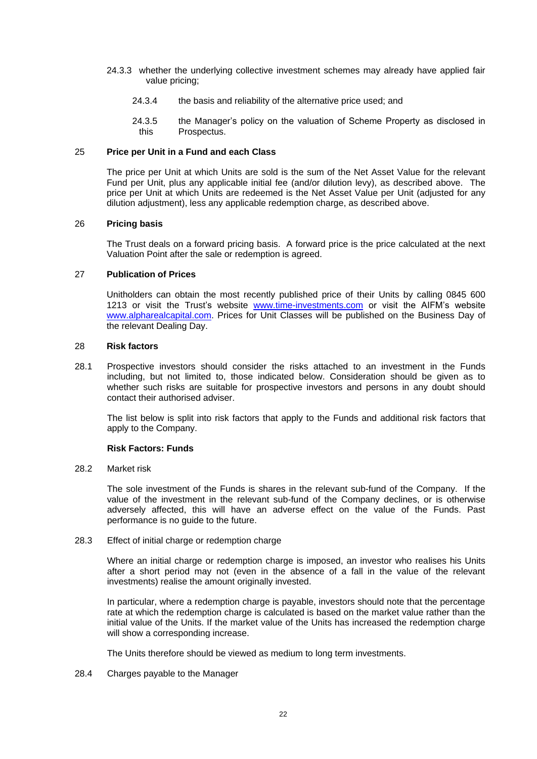- 24.3.3 whether the underlying collective investment schemes may already have applied fair value pricing;
	- 24.3.4 the basis and reliability of the alternative price used; and
	- 24.3.5 the Manager's policy on the valuation of Scheme Property as disclosed in this Prospectus.

### <span id="page-24-0"></span>25 **Price per Unit in a Fund and each Class**

The price per Unit at which Units are sold is the sum of the Net Asset Value for the relevant Fund per Unit, plus any applicable initial fee (and/or dilution levy), as described above. The price per Unit at which Units are redeemed is the Net Asset Value per Unit (adjusted for any dilution adjustment), less any applicable redemption charge, as described above.

#### <span id="page-24-1"></span>26 **Pricing basis**

The Trust deals on a forward pricing basis. A forward price is the price calculated at the next Valuation Point after the sale or redemption is agreed.

## <span id="page-24-2"></span>27 **Publication of Prices**

Unitholders can obtain the most recently published price of their Units by calling 0845 600 1213 or visit the Trust's website [www.time-investments.com](http://www.time-investments.com/) or visit the AIFM's website [www.alpharealcapital.com.](http://www.alpharealcapital.com/) Prices for Unit Classes will be published on the Business Day of the relevant Dealing Day.

#### <span id="page-24-3"></span>28 **Risk factors**

28.1 Prospective investors should consider the risks attached to an investment in the Funds including, but not limited to, those indicated below. Consideration should be given as to whether such risks are suitable for prospective investors and persons in any doubt should contact their authorised adviser.

The list below is split into risk factors that apply to the Funds and additional risk factors that apply to the Company.

## **Risk Factors: Funds**

28.2 Market risk

The sole investment of the Funds is shares in the relevant sub-fund of the Company. If the value of the investment in the relevant sub-fund of the Company declines, or is otherwise adversely affected, this will have an adverse effect on the value of the Funds. Past performance is no guide to the future.

### 28.3 Effect of initial charge or redemption charge

Where an initial charge or redemption charge is imposed, an investor who realises his Units after a short period may not (even in the absence of a fall in the value of the relevant investments) realise the amount originally invested.

In particular, where a redemption charge is payable, investors should note that the percentage rate at which the redemption charge is calculated is based on the market value rather than the initial value of the Units. If the market value of the Units has increased the redemption charge will show a corresponding increase.

The Units therefore should be viewed as medium to long term investments.

## 28.4 Charges payable to the Manager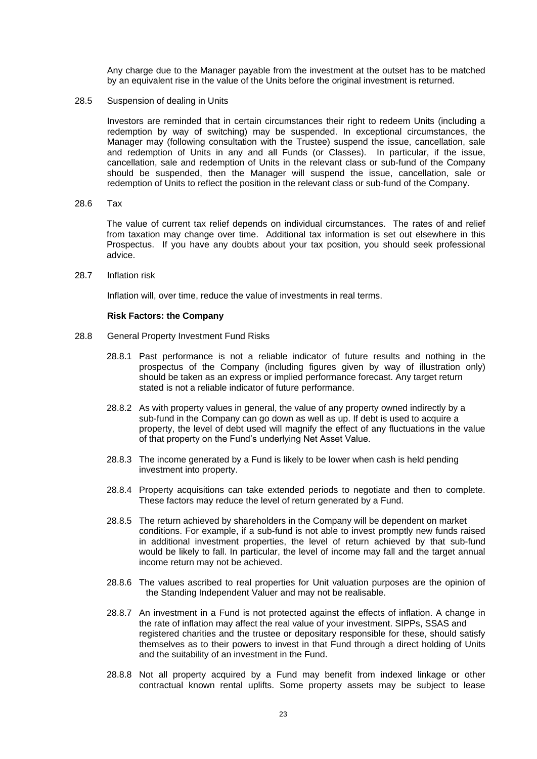Any charge due to the Manager payable from the investment at the outset has to be matched by an equivalent rise in the value of the Units before the original investment is returned.

28.5 Suspension of dealing in Units

Investors are reminded that in certain circumstances their right to redeem Units (including a redemption by way of switching) may be suspended. In exceptional circumstances, the Manager may (following consultation with the Trustee) suspend the issue, cancellation, sale and redemption of Units in any and all Funds (or Classes). In particular, if the issue, cancellation, sale and redemption of Units in the relevant class or sub-fund of the Company should be suspended, then the Manager will suspend the issue, cancellation, sale or redemption of Units to reflect the position in the relevant class or sub-fund of the Company.

28.6 Tax

The value of current tax relief depends on individual circumstances. The rates of and relief from taxation may change over time. Additional tax information is set out elsewhere in this Prospectus. If you have any doubts about your tax position, you should seek professional advice.

28.7 Inflation risk

Inflation will, over time, reduce the value of investments in real terms.

#### **Risk Factors: the Company**

- 28.8 General Property Investment Fund Risks
	- 28.8.1 Past performance is not a reliable indicator of future results and nothing in the prospectus of the Company (including figures given by way of illustration only) should be taken as an express or implied performance forecast. Any target return stated is not a reliable indicator of future performance.
	- 28.8.2 As with property values in general, the value of any property owned indirectly by a sub-fund in the Company can go down as well as up. If debt is used to acquire a property, the level of debt used will magnify the effect of any fluctuations in the value of that property on the Fund's underlying Net Asset Value.
	- 28.8.3 The income generated by a Fund is likely to be lower when cash is held pending investment into property.
	- 28.8.4 Property acquisitions can take extended periods to negotiate and then to complete. These factors may reduce the level of return generated by a Fund.
	- 28.8.5 The return achieved by shareholders in the Company will be dependent on market conditions. For example, if a sub-fund is not able to invest promptly new funds raised in additional investment properties, the level of return achieved by that sub-fund would be likely to fall. In particular, the level of income may fall and the target annual income return may not be achieved.
	- 28.8.6 The values ascribed to real properties for Unit valuation purposes are the opinion of the Standing Independent Valuer and may not be realisable.
	- 28.8.7 An investment in a Fund is not protected against the effects of inflation. A change in the rate of inflation may affect the real value of your investment. SIPPs, SSAS and registered charities and the trustee or depositary responsible for these, should satisfy themselves as to their powers to invest in that Fund through a direct holding of Units and the suitability of an investment in the Fund.
	- 28.8.8 Not all property acquired by a Fund may benefit from indexed linkage or other contractual known rental uplifts. Some property assets may be subject to lease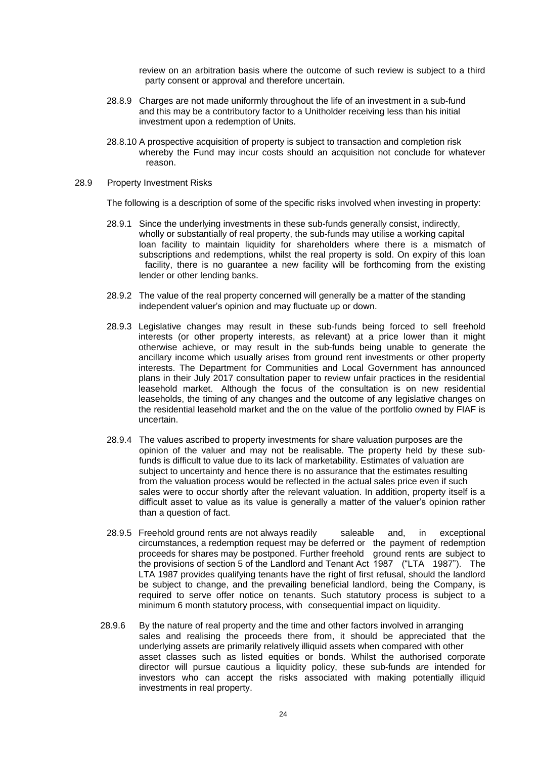review on an arbitration basis where the outcome of such review is subject to a third party consent or approval and therefore uncertain.

- 28.8.9 Charges are not made uniformly throughout the life of an investment in a sub-fund and this may be a contributory factor to a Unitholder receiving less than his initial investment upon a redemption of Units.
- 28.8.10 A prospective acquisition of property is subject to transaction and completion risk whereby the Fund may incur costs should an acquisition not conclude for whatever reason.
- 28.9 Property Investment Risks

The following is a description of some of the specific risks involved when investing in property:

- 28.9.1 Since the underlying investments in these sub-funds generally consist, indirectly, wholly or substantially of real property, the sub-funds may utilise a working capital loan facility to maintain liquidity for shareholders where there is a mismatch of subscriptions and redemptions, whilst the real property is sold. On expiry of this loan facility, there is no guarantee a new facility will be forthcoming from the existing lender or other lending banks.
- 28.9.2 The value of the real property concerned will generally be a matter of the standing independent valuer's opinion and may fluctuate up or down.
- 28.9.3 Legislative changes may result in these sub-funds being forced to sell freehold interests (or other property interests, as relevant) at a price lower than it might otherwise achieve, or may result in the sub-funds being unable to generate the ancillary income which usually arises from ground rent investments or other property interests. The Department for Communities and Local Government has announced plans in their July 2017 consultation paper to review unfair practices in the residential leasehold market. Although the focus of the consultation is on new residential leaseholds, the timing of any changes and the outcome of any legislative changes on the residential leasehold market and the on the value of the portfolio owned by FIAF is uncertain.
- 28.9.4 The values ascribed to property investments for share valuation purposes are the opinion of the valuer and may not be realisable. The property held by these subfunds is difficult to value due to its lack of marketability. Estimates of valuation are subject to uncertainty and hence there is no assurance that the estimates resulting from the valuation process would be reflected in the actual sales price even if such sales were to occur shortly after the relevant valuation. In addition, property itself is a difficult asset to value as its value is generally a matter of the valuer's opinion rather than a question of fact.
- 28.9.5 Freehold ground rents are not always readily saleable and, in exceptional circumstances, a redemption request may be deferred or the payment of redemption proceeds for shares may be postponed. Further freehold ground rents are subject to the provisions of section 5 of the Landlord and Tenant Act 1987 ("LTA 1987"). The LTA 1987 provides qualifying tenants have the right of first refusal, should the landlord be subject to change, and the prevailing beneficial landlord, being the Company, is required to serve offer notice on tenants. Such statutory process is subject to a minimum 6 month statutory process, with consequential impact on liquidity.
- 28.9.6 By the nature of real property and the time and other factors involved in arranging sales and realising the proceeds there from, it should be appreciated that the underlying assets are primarily relatively illiquid assets when compared with other asset classes such as listed equities or bonds. Whilst the authorised corporate director will pursue cautious a liquidity policy, these sub-funds are intended for investors who can accept the risks associated with making potentially illiquid investments in real property.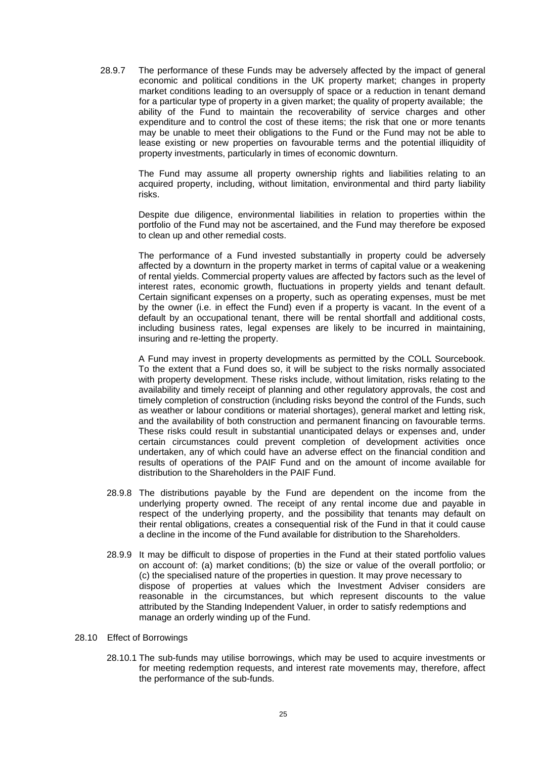28.9.7 The performance of these Funds may be adversely affected by the impact of general economic and political conditions in the UK property market; changes in property market conditions leading to an oversupply of space or a reduction in tenant demand for a particular type of property in a given market; the quality of property available; the ability of the Fund to maintain the recoverability of service charges and other expenditure and to control the cost of these items; the risk that one or more tenants may be unable to meet their obligations to the Fund or the Fund may not be able to lease existing or new properties on favourable terms and the potential illiquidity of property investments, particularly in times of economic downturn.

The Fund may assume all property ownership rights and liabilities relating to an acquired property, including, without limitation, environmental and third party liability risks.

Despite due diligence, environmental liabilities in relation to properties within the portfolio of the Fund may not be ascertained, and the Fund may therefore be exposed to clean up and other remedial costs.

The performance of a Fund invested substantially in property could be adversely affected by a downturn in the property market in terms of capital value or a weakening of rental yields. Commercial property values are affected by factors such as the level of interest rates, economic growth, fluctuations in property yields and tenant default. Certain significant expenses on a property, such as operating expenses, must be met by the owner (i.e. in effect the Fund) even if a property is vacant. In the event of a default by an occupational tenant, there will be rental shortfall and additional costs, including business rates, legal expenses are likely to be incurred in maintaining, insuring and re-letting the property.

A Fund may invest in property developments as permitted by the COLL Sourcebook. To the extent that a Fund does so, it will be subject to the risks normally associated with property development. These risks include, without limitation, risks relating to the availability and timely receipt of planning and other regulatory approvals, the cost and timely completion of construction (including risks beyond the control of the Funds, such as weather or labour conditions or material shortages), general market and letting risk, and the availability of both construction and permanent financing on favourable terms. These risks could result in substantial unanticipated delays or expenses and, under certain circumstances could prevent completion of development activities once undertaken, any of which could have an adverse effect on the financial condition and results of operations of the PAIF Fund and on the amount of income available for distribution to the Shareholders in the PAIF Fund.

- 28.9.8 The distributions payable by the Fund are dependent on the income from the underlying property owned. The receipt of any rental income due and payable in respect of the underlying property, and the possibility that tenants may default on their rental obligations, creates a consequential risk of the Fund in that it could cause a decline in the income of the Fund available for distribution to the Shareholders.
- 28.9.9 It may be difficult to dispose of properties in the Fund at their stated portfolio values on account of: (a) market conditions; (b) the size or value of the overall portfolio; or (c) the specialised nature of the properties in question. It may prove necessary to dispose of properties at values which the Investment Adviser considers are reasonable in the circumstances, but which represent discounts to the value attributed by the Standing Independent Valuer, in order to satisfy redemptions and manage an orderly winding up of the Fund.
- 28.10 Effect of Borrowings
	- 28.10.1 The sub-funds may utilise borrowings, which may be used to acquire investments or for meeting redemption requests, and interest rate movements may, therefore, affect the performance of the sub-funds.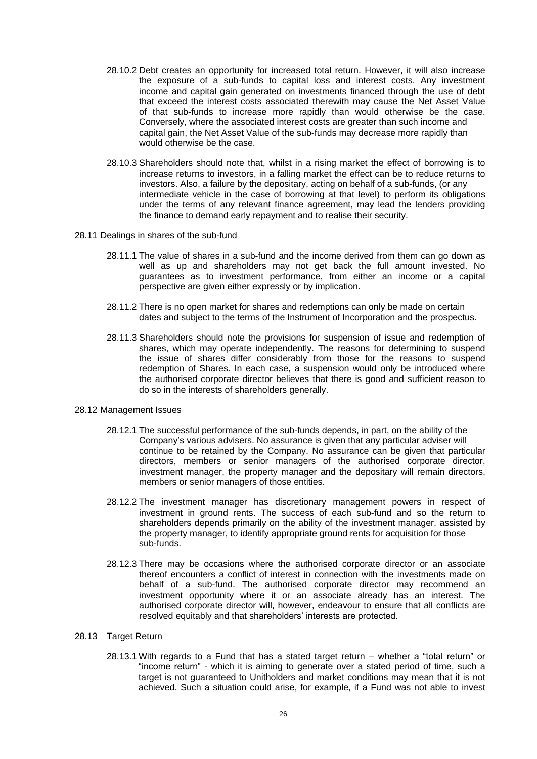- 28.10.2 Debt creates an opportunity for increased total return. However, it will also increase the exposure of a sub-funds to capital loss and interest costs. Any investment income and capital gain generated on investments financed through the use of debt that exceed the interest costs associated therewith may cause the Net Asset Value of that sub-funds to increase more rapidly than would otherwise be the case. Conversely, where the associated interest costs are greater than such income and capital gain, the Net Asset Value of the sub-funds may decrease more rapidly than would otherwise be the case.
- 28.10.3 Shareholders should note that, whilst in a rising market the effect of borrowing is to increase returns to investors, in a falling market the effect can be to reduce returns to investors. Also, a failure by the depositary, acting on behalf of a sub-funds, (or any intermediate vehicle in the case of borrowing at that level) to perform its obligations under the terms of any relevant finance agreement, may lead the lenders providing the finance to demand early repayment and to realise their security.
- 28.11 Dealings in shares of the sub-fund
	- 28.11.1 The value of shares in a sub-fund and the income derived from them can go down as well as up and shareholders may not get back the full amount invested. No guarantees as to investment performance, from either an income or a capital perspective are given either expressly or by implication.
	- 28.11.2 There is no open market for shares and redemptions can only be made on certain dates and subject to the terms of the Instrument of Incorporation and the prospectus.
	- 28.11.3 Shareholders should note the provisions for suspension of issue and redemption of shares, which may operate independently. The reasons for determining to suspend the issue of shares differ considerably from those for the reasons to suspend redemption of Shares. In each case, a suspension would only be introduced where the authorised corporate director believes that there is good and sufficient reason to do so in the interests of shareholders generally.

#### 28.12 Management Issues

- 28.12.1 The successful performance of the sub-funds depends, in part, on the ability of the Company's various advisers. No assurance is given that any particular adviser will continue to be retained by the Company. No assurance can be given that particular directors, members or senior managers of the authorised corporate director, investment manager, the property manager and the depositary will remain directors, members or senior managers of those entities.
- 28.12.2 The investment manager has discretionary management powers in respect of investment in ground rents. The success of each sub-fund and so the return to shareholders depends primarily on the ability of the investment manager, assisted by the property manager, to identify appropriate ground rents for acquisition for those sub-funds.
- 28.12.3 There may be occasions where the authorised corporate director or an associate thereof encounters a conflict of interest in connection with the investments made on behalf of a sub-fund. The authorised corporate director may recommend an investment opportunity where it or an associate already has an interest. The authorised corporate director will, however, endeavour to ensure that all conflicts are resolved equitably and that shareholders' interests are protected.

### 28.13 Target Return

28.13.1 With regards to a Fund that has a stated target return – whether a "total return" or "income return" - which it is aiming to generate over a stated period of time, such a target is not guaranteed to Unitholders and market conditions may mean that it is not achieved. Such a situation could arise, for example, if a Fund was not able to invest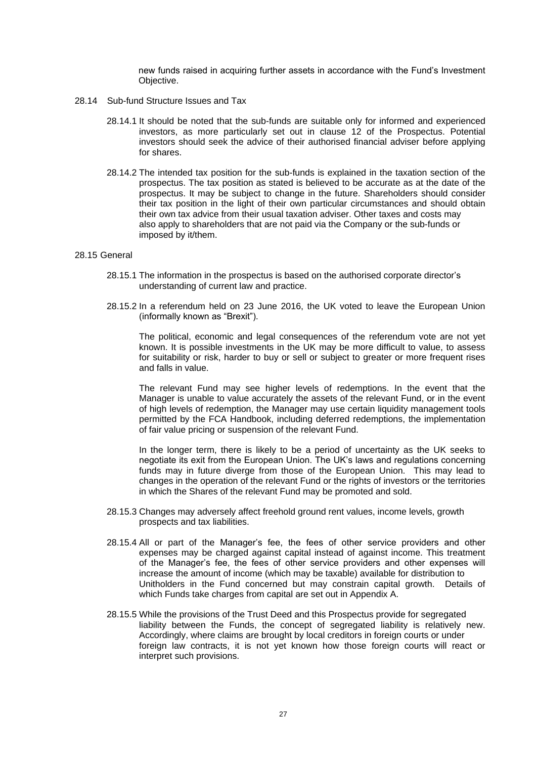new funds raised in acquiring further assets in accordance with the Fund's Investment Objective.

- 28.14 Sub-fund Structure Issues and Tax
	- 28.14.1 It should be noted that the sub-funds are suitable only for informed and experienced investors, as more particularly set out in clause  $12$  of the Prospectus. Potential investors should seek the advice of their authorised financial adviser before applying for shares.
	- 28.14.2 The intended tax position for the sub-funds is explained in the taxation section of the prospectus. The tax position as stated is believed to be accurate as at the date of the prospectus. It may be subject to change in the future. Shareholders should consider their tax position in the light of their own particular circumstances and should obtain their own tax advice from their usual taxation adviser. Other taxes and costs may also apply to shareholders that are not paid via the Company or the sub-funds or imposed by it/them.

#### 28.15 General

- 28.15.1 The information in the prospectus is based on the authorised corporate director's understanding of current law and practice.
- 28.15.2 In a referendum held on 23 June 2016, the UK voted to leave the European Union (informally known as "Brexit").

The political, economic and legal consequences of the referendum vote are not yet known. It is possible investments in the UK may be more difficult to value, to assess for suitability or risk, harder to buy or sell or subject to greater or more frequent rises and falls in value.

The relevant Fund may see higher levels of redemptions. In the event that the Manager is unable to value accurately the assets of the relevant Fund, or in the event of high levels of redemption, the Manager may use certain liquidity management tools permitted by the FCA Handbook, including deferred redemptions, the implementation of fair value pricing or suspension of the relevant Fund.

In the longer term, there is likely to be a period of uncertainty as the UK seeks to negotiate its exit from the European Union. The UK's laws and regulations concerning funds may in future diverge from those of the European Union. This may lead to changes in the operation of the relevant Fund or the rights of investors or the territories in which the Shares of the relevant Fund may be promoted and sold.

- 28.15.3 Changes may adversely affect freehold ground rent values, income levels, growth prospects and tax liabilities.
- 28.15.4 All or part of the Manager's fee, the fees of other service providers and other expenses may be charged against capital instead of against income. This treatment of the Manager's fee, the fees of other service providers and other expenses will increase the amount of income (which may be taxable) available for distribution to Unitholders in the Fund concerned but may constrain capital growth. Details of which Funds take charges from capital are set out in Appendix A.
- 28.15.5 While the provisions of the Trust Deed and this Prospectus provide for segregated liability between the Funds, the concept of segregated liability is relatively new. Accordingly, where claims are brought by local creditors in foreign courts or under foreign law contracts, it is not yet known how those foreign courts will react or interpret such provisions.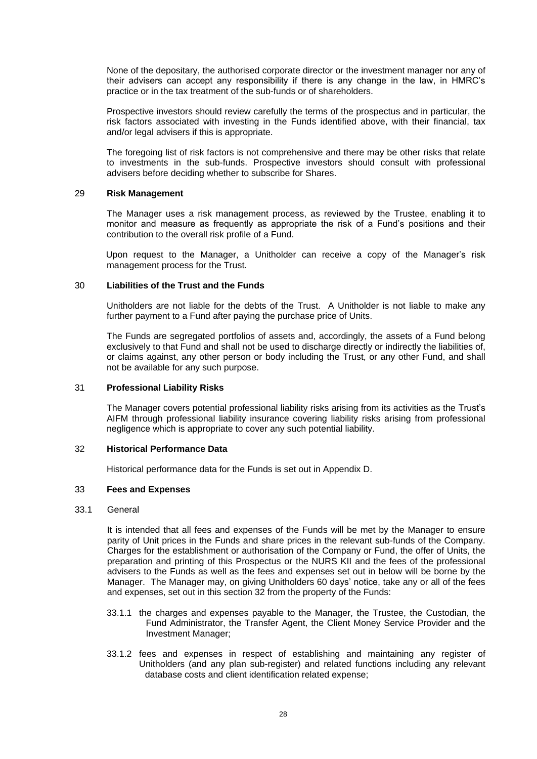None of the depositary, the authorised corporate director or the investment manager nor any of their advisers can accept any responsibility if there is any change in the law, in HMRC's practice or in the tax treatment of the sub-funds or of shareholders.

Prospective investors should review carefully the terms of the prospectus and in particular, the risk factors associated with investing in the Funds identified above, with their financial, tax and/or legal advisers if this is appropriate.

The foregoing list of risk factors is not comprehensive and there may be other risks that relate to investments in the sub-funds. Prospective investors should consult with professional advisers before deciding whether to subscribe for Shares.

## <span id="page-30-0"></span>29 **Risk Management**

The Manager uses a risk management process, as reviewed by the Trustee, enabling it to monitor and measure as frequently as appropriate the risk of a Fund's positions and their contribution to the overall risk profile of a Fund.

Upon request to the Manager, a Unitholder can receive a copy of the Manager's risk management process for the Trust.

#### <span id="page-30-1"></span>30 **Liabilities of the Trust and the Funds**

Unitholders are not liable for the debts of the Trust. A Unitholder is not liable to make any further payment to a Fund after paying the purchase price of Units.

The Funds are segregated portfolios of assets and, accordingly, the assets of a Fund belong exclusively to that Fund and shall not be used to discharge directly or indirectly the liabilities of, or claims against, any other person or body including the Trust, or any other Fund, and shall not be available for any such purpose.

#### <span id="page-30-2"></span>31 **Professional Liability Risks**

The Manager covers potential professional liability risks arising from its activities as the Trust's AIFM through professional liability insurance covering liability risks arising from professional negligence which is appropriate to cover any such potential liability.

## <span id="page-30-3"></span>32 **Historical Performance Data**

Historical performance data for the Funds is set out in Appendix D.

## <span id="page-30-4"></span>33 **Fees and Expenses**

#### 33.1 General

It is intended that all fees and expenses of the Funds will be met by the Manager to ensure parity of Unit prices in the Funds and share prices in the relevant sub-funds of the Company. Charges for the establishment or authorisation of the Company or Fund, the offer of Units, the preparation and printing of this Prospectus or the NURS KII and the fees of the professional advisers to the Funds as well as the fees and expenses set out in below will be borne by the Manager. The Manager may, on giving Unitholders 60 days' notice, take any or all of the fees and expenses, set out in this section 32 from the property of the Funds:

- 33.1.1 the charges and expenses payable to the Manager, the Trustee, the Custodian, the Fund Administrator, the Transfer Agent, the Client Money Service Provider and the Investment Manager;
- 33.1.2 fees and expenses in respect of establishing and maintaining any register of Unitholders (and any plan sub-register) and related functions including any relevant database costs and client identification related expense;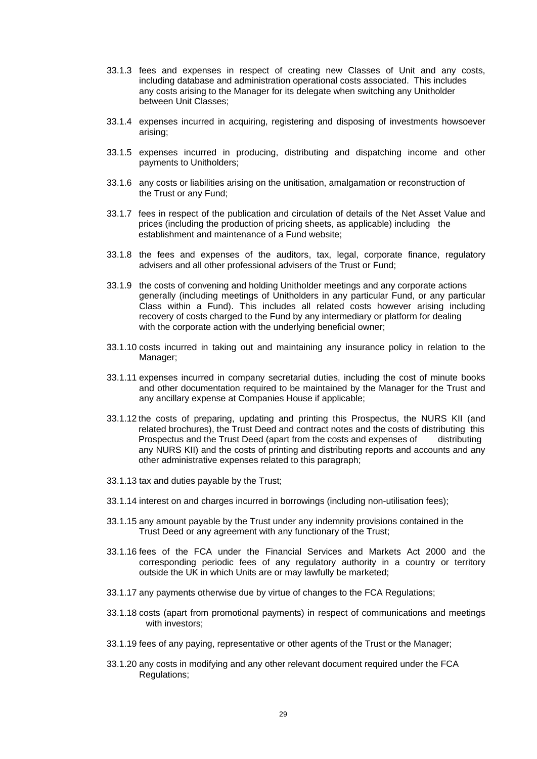- 33.1.3 fees and expenses in respect of creating new Classes of Unit and any costs, including database and administration operational costs associated. This includes any costs arising to the Manager for its delegate when switching any Unitholder between Unit Classes;
- 33.1.4 expenses incurred in acquiring, registering and disposing of investments howsoever arising;
- 33.1.5 expenses incurred in producing, distributing and dispatching income and other payments to Unitholders;
- 33.1.6 any costs or liabilities arising on the unitisation, amalgamation or reconstruction of the Trust or any Fund;
- 33.1.7 fees in respect of the publication and circulation of details of the Net Asset Value and prices (including the production of pricing sheets, as applicable) including the establishment and maintenance of a Fund website;
- 33.1.8 the fees and expenses of the auditors, tax, legal, corporate finance, regulatory advisers and all other professional advisers of the Trust or Fund;
- 33.1.9 the costs of convening and holding Unitholder meetings and any corporate actions generally (including meetings of Unitholders in any particular Fund, or any particular Class within a Fund). This includes all related costs however arising including recovery of costs charged to the Fund by any intermediary or platform for dealing with the corporate action with the underlying beneficial owner;
- 33.1.10 costs incurred in taking out and maintaining any insurance policy in relation to the Manager;
- 33.1.11 expenses incurred in company secretarial duties, including the cost of minute books and other documentation required to be maintained by the Manager for the Trust and any ancillary expense at Companies House if applicable;
- 33.1.12 the costs of preparing, updating and printing this Prospectus, the NURS KII (and related brochures), the Trust Deed and contract notes and the costs of distributing this Prospectus and the Trust Deed (apart from the costs and expenses of distributing any NURS KII) and the costs of printing and distributing reports and accounts and any other administrative expenses related to this paragraph;
- 33.1.13 tax and duties payable by the Trust;
- 33.1.14 interest on and charges incurred in borrowings (including non-utilisation fees);
- 33.1.15 any amount payable by the Trust under any indemnity provisions contained in the Trust Deed or any agreement with any functionary of the Trust;
- 33.1.16 fees of the FCA under the Financial Services and Markets Act 2000 and the corresponding periodic fees of any regulatory authority in a country or territory outside the UK in which Units are or may lawfully be marketed;
- 33.1.17 any payments otherwise due by virtue of changes to the FCA Regulations;
- 33.1.18 costs (apart from promotional payments) in respect of communications and meetings with investors;
- 33.1.19 fees of any paying, representative or other agents of the Trust or the Manager;
- 33.1.20 any costs in modifying and any other relevant document required under the FCA Regulations;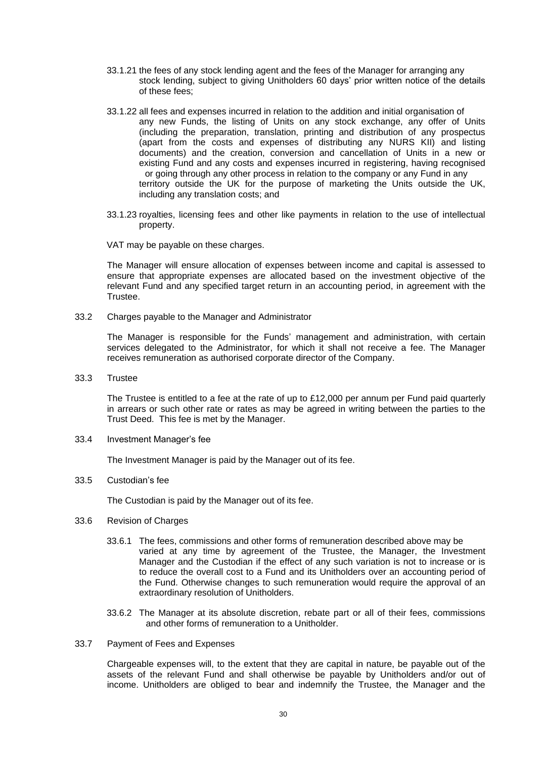- 33.1.21 the fees of any stock lending agent and the fees of the Manager for arranging any stock lending, subject to giving Unitholders 60 days' prior written notice of the details of these fees;
- 33.1.22 all fees and expenses incurred in relation to the addition and initial organisation of any new Funds, the listing of Units on any stock exchange, any offer of Units (including the preparation, translation, printing and distribution of any prospectus (apart from the costs and expenses of distributing any NURS KII) and listing documents) and the creation, conversion and cancellation of Units in a new or existing Fund and any costs and expenses incurred in registering, having recognised or going through any other process in relation to the company or any Fund in any territory outside the UK for the purpose of marketing the Units outside the UK, including any translation costs; and
- 33.1.23 royalties, licensing fees and other like payments in relation to the use of intellectual property.
- VAT may be payable on these charges.

The Manager will ensure allocation of expenses between income and capital is assessed to ensure that appropriate expenses are allocated based on the investment objective of the relevant Fund and any specified target return in an accounting period, in agreement with the Trustee.

33.2 Charges payable to the Manager and Administrator

The Manager is responsible for the Funds' management and administration, with certain services delegated to the Administrator, for which it shall not receive a fee. The Manager receives remuneration as authorised corporate director of the Company.

33.3 Trustee

The Trustee is entitled to a fee at the rate of up to £12,000 per annum per Fund paid quarterly in arrears or such other rate or rates as may be agreed in writing between the parties to the Trust Deed. This fee is met by the Manager.

33.4 Investment Manager's fee

The Investment Manager is paid by the Manager out of its fee.

33.5 Custodian's fee

The Custodian is paid by the Manager out of its fee.

- 33.6 Revision of Charges
	- 33.6.1 The fees, commissions and other forms of remuneration described above may be varied at any time by agreement of the Trustee, the Manager, the Investment Manager and the Custodian if the effect of any such variation is not to increase or is to reduce the overall cost to a Fund and its Unitholders over an accounting period of the Fund. Otherwise changes to such remuneration would require the approval of an extraordinary resolution of Unitholders.
	- 33.6.2 The Manager at its absolute discretion, rebate part or all of their fees, commissions and other forms of remuneration to a Unitholder.
- 33.7 Payment of Fees and Expenses

Chargeable expenses will, to the extent that they are capital in nature, be payable out of the assets of the relevant Fund and shall otherwise be payable by Unitholders and/or out of income. Unitholders are obliged to bear and indemnify the Trustee, the Manager and the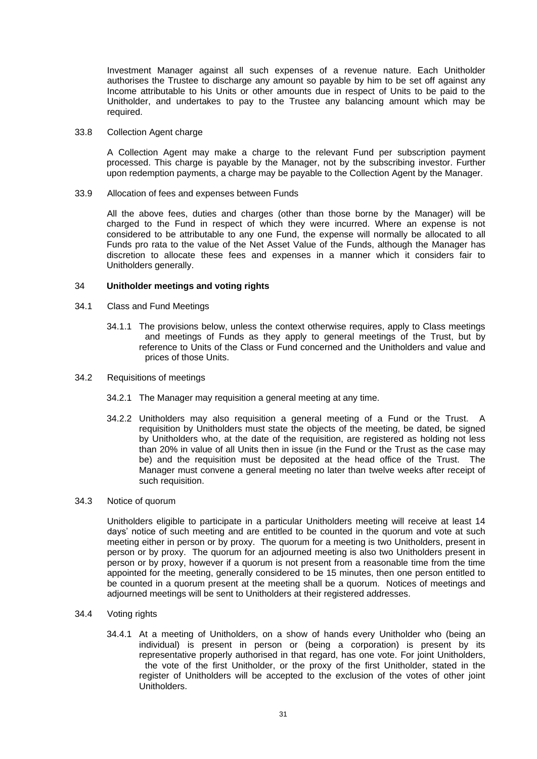Investment Manager against all such expenses of a revenue nature. Each Unitholder authorises the Trustee to discharge any amount so payable by him to be set off against any Income attributable to his Units or other amounts due in respect of Units to be paid to the Unitholder, and undertakes to pay to the Trustee any balancing amount which may be required.

#### 33.8 Collection Agent charge

A Collection Agent may make a charge to the relevant Fund per subscription payment processed. This charge is payable by the Manager, not by the subscribing investor. Further upon redemption payments, a charge may be payable to the Collection Agent by the Manager.

33.9 Allocation of fees and expenses between Funds

All the above fees, duties and charges (other than those borne by the Manager) will be charged to the Fund in respect of which they were incurred. Where an expense is not considered to be attributable to any one Fund, the expense will normally be allocated to all Funds pro rata to the value of the Net Asset Value of the Funds, although the Manager has discretion to allocate these fees and expenses in a manner which it considers fair to Unitholders generally.

#### <span id="page-33-0"></span>34 **Unitholder meetings and voting rights**

- 34.1 Class and Fund Meetings
	- 34.1.1 The provisions below, unless the context otherwise requires, apply to Class meetings and meetings of Funds as they apply to general meetings of the Trust, but by reference to Units of the Class or Fund concerned and the Unitholders and value and prices of those Units.
- 34.2 Requisitions of meetings
	- 34.2.1 The Manager may requisition a general meeting at any time.
	- 34.2.2 Unitholders may also requisition a general meeting of a Fund or the Trust. A requisition by Unitholders must state the objects of the meeting, be dated, be signed by Unitholders who, at the date of the requisition, are registered as holding not less than 20% in value of all Units then in issue (in the Fund or the Trust as the case may be) and the requisition must be deposited at the head office of the Trust. The Manager must convene a general meeting no later than twelve weeks after receipt of such requisition.

#### 34.3 Notice of quorum

Unitholders eligible to participate in a particular Unitholders meeting will receive at least 14 days' notice of such meeting and are entitled to be counted in the quorum and vote at such meeting either in person or by proxy. The quorum for a meeting is two Unitholders, present in person or by proxy. The quorum for an adjourned meeting is also two Unitholders present in person or by proxy, however if a quorum is not present from a reasonable time from the time appointed for the meeting, generally considered to be 15 minutes, then one person entitled to be counted in a quorum present at the meeting shall be a quorum. Notices of meetings and adjourned meetings will be sent to Unitholders at their registered addresses.

- 34.4 Voting rights
	- 34.4.1 At a meeting of Unitholders, on a show of hands every Unitholder who (being an individual) is present in person or (being a corporation) is present by its representative properly authorised in that regard, has one vote. For joint Unitholders, the vote of the first Unitholder, or the proxy of the first Unitholder, stated in the register of Unitholders will be accepted to the exclusion of the votes of other joint Unitholders.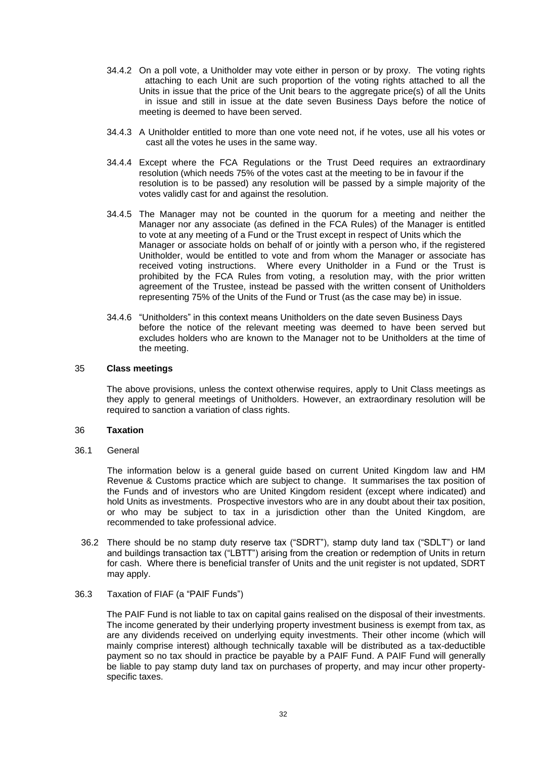- 34.4.2 On a poll vote, a Unitholder may vote either in person or by proxy. The voting rights attaching to each Unit are such proportion of the voting rights attached to all the Units in issue that the price of the Unit bears to the aggregate price(s) of all the Units in issue and still in issue at the date seven Business Days before the notice of meeting is deemed to have been served.
- 34.4.3 A Unitholder entitled to more than one vote need not, if he votes, use all his votes or cast all the votes he uses in the same way.
- 34.4.4 Except where the FCA Regulations or the Trust Deed requires an extraordinary resolution (which needs 75% of the votes cast at the meeting to be in favour if the resolution is to be passed) any resolution will be passed by a simple majority of the votes validly cast for and against the resolution.
- 34.4.5 The Manager may not be counted in the quorum for a meeting and neither the Manager nor any associate (as defined in the FCA Rules) of the Manager is entitled to vote at any meeting of a Fund or the Trust except in respect of Units which the Manager or associate holds on behalf of or jointly with a person who, if the registered Unitholder, would be entitled to vote and from whom the Manager or associate has received voting instructions. Where every Unitholder in a Fund or the Trust is prohibited by the FCA Rules from voting, a resolution may, with the prior written agreement of the Trustee, instead be passed with the written consent of Unitholders representing 75% of the Units of the Fund or Trust (as the case may be) in issue.
- 34.4.6 "Unitholders" in this context means Unitholders on the date seven Business Days before the notice of the relevant meeting was deemed to have been served but excludes holders who are known to the Manager not to be Unitholders at the time of the meeting.

#### <span id="page-34-0"></span>35 **Class meetings**

The above provisions, unless the context otherwise requires, apply to Unit Class meetings as they apply to general meetings of Unitholders. However, an extraordinary resolution will be required to sanction a variation of class rights.

#### <span id="page-34-1"></span>36 **Taxation**

36.1 General

The information below is a general guide based on current United Kingdom law and HM Revenue & Customs practice which are subject to change. It summarises the tax position of the Funds and of investors who are United Kingdom resident (except where indicated) and hold Units as investments. Prospective investors who are in any doubt about their tax position, or who may be subject to tax in a jurisdiction other than the United Kingdom, are recommended to take professional advice.

36.2 There should be no stamp duty reserve tax ("SDRT"), stamp duty land tax ("SDLT") or land and buildings transaction tax ("LBTT") arising from the creation or redemption of Units in return for cash. Where there is beneficial transfer of Units and the unit register is not updated, SDRT may apply.

#### 36.3 Taxation of FIAF (a "PAIF Funds")

The PAIF Fund is not liable to tax on capital gains realised on the disposal of their investments. The income generated by their underlying property investment business is exempt from tax, as are any dividends received on underlying equity investments. Their other income (which will mainly comprise interest) although technically taxable will be distributed as a tax-deductible payment so no tax should in practice be payable by a PAIF Fund. A PAIF Fund will generally be liable to pay stamp duty land tax on purchases of property, and may incur other propertyspecific taxes.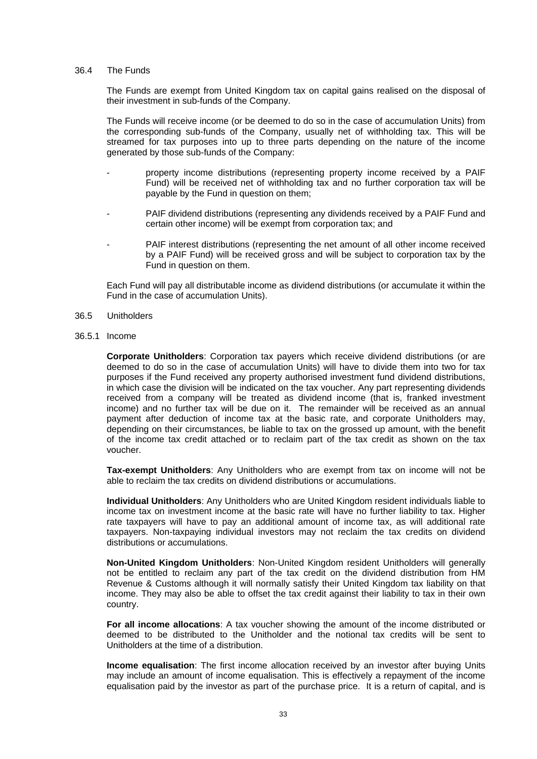#### 36.4 The Funds

The Funds are exempt from United Kingdom tax on capital gains realised on the disposal of their investment in sub-funds of the Company.

The Funds will receive income (or be deemed to do so in the case of accumulation Units) from the corresponding sub-funds of the Company, usually net of withholding tax. This will be streamed for tax purposes into up to three parts depending on the nature of the income generated by those sub-funds of the Company:

- property income distributions (representing property income received by a PAIF Fund) will be received net of withholding tax and no further corporation tax will be payable by the Fund in question on them;
- PAIF dividend distributions (representing any dividends received by a PAIF Fund and certain other income) will be exempt from corporation tax; and
- PAIF interest distributions (representing the net amount of all other income received by a PAIF Fund) will be received gross and will be subject to corporation tax by the Fund in question on them.

Each Fund will pay all distributable income as dividend distributions (or accumulate it within the Fund in the case of accumulation Units).

- 36.5 Unitholders
- 36.5.1 Income

**Corporate Unitholders**: Corporation tax payers which receive dividend distributions (or are deemed to do so in the case of accumulation Units) will have to divide them into two for tax purposes if the Fund received any property authorised investment fund dividend distributions, in which case the division will be indicated on the tax voucher. Any part representing dividends received from a company will be treated as dividend income (that is, franked investment income) and no further tax will be due on it. The remainder will be received as an annual payment after deduction of income tax at the basic rate, and corporate Unitholders may, depending on their circumstances, be liable to tax on the grossed up amount, with the benefit of the income tax credit attached or to reclaim part of the tax credit as shown on the tax voucher.

**Tax-exempt Unitholders**: Any Unitholders who are exempt from tax on income will not be able to reclaim the tax credits on dividend distributions or accumulations.

**Individual Unitholders**: Any Unitholders who are United Kingdom resident individuals liable to income tax on investment income at the basic rate will have no further liability to tax. Higher rate taxpayers will have to pay an additional amount of income tax, as will additional rate taxpayers. Non-taxpaying individual investors may not reclaim the tax credits on dividend distributions or accumulations.

**Non-United Kingdom Unitholders**: Non-United Kingdom resident Unitholders will generally not be entitled to reclaim any part of the tax credit on the dividend distribution from HM Revenue & Customs although it will normally satisfy their United Kingdom tax liability on that income. They may also be able to offset the tax credit against their liability to tax in their own country.

**For all income allocations**: A tax voucher showing the amount of the income distributed or deemed to be distributed to the Unitholder and the notional tax credits will be sent to Unitholders at the time of a distribution.

**Income equalisation**: The first income allocation received by an investor after buying Units may include an amount of income equalisation. This is effectively a repayment of the income equalisation paid by the investor as part of the purchase price. It is a return of capital, and is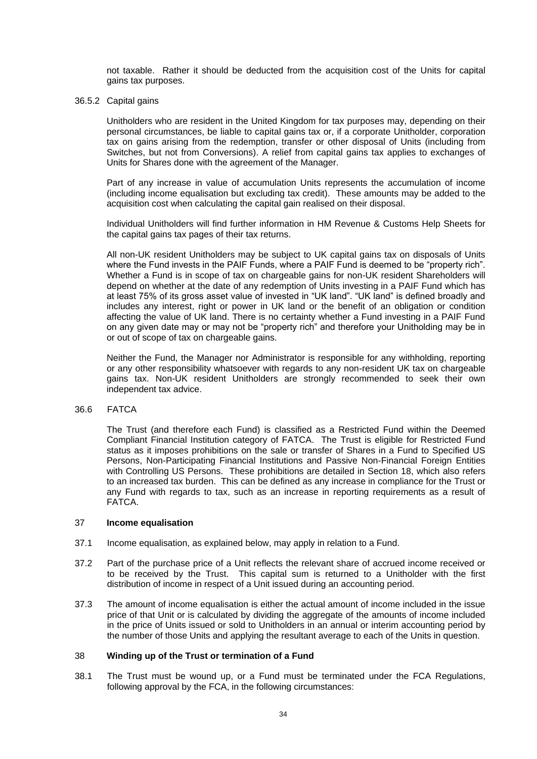not taxable. Rather it should be deducted from the acquisition cost of the Units for capital gains tax purposes.

#### 36.5.2 Capital gains

Unitholders who are resident in the United Kingdom for tax purposes may, depending on their personal circumstances, be liable to capital gains tax or, if a corporate Unitholder, corporation tax on gains arising from the redemption, transfer or other disposal of Units (including from Switches, but not from Conversions). A relief from capital gains tax applies to exchanges of Units for Shares done with the agreement of the Manager.

Part of any increase in value of accumulation Units represents the accumulation of income (including income equalisation but excluding tax credit). These amounts may be added to the acquisition cost when calculating the capital gain realised on their disposal.

Individual Unitholders will find further information in HM Revenue & Customs Help Sheets for the capital gains tax pages of their tax returns.

All non-UK resident Unitholders may be subject to UK capital gains tax on disposals of Units where the Fund invests in the PAIF Funds, where a PAIF Fund is deemed to be "property rich". Whether a Fund is in scope of tax on chargeable gains for non-UK resident Shareholders will depend on whether at the date of any redemption of Units investing in a PAIF Fund which has at least 75% of its gross asset value of invested in "UK land". "UK land" is defined broadly and includes any interest, right or power in UK land or the benefit of an obligation or condition affecting the value of UK land. There is no certainty whether a Fund investing in a PAIF Fund on any given date may or may not be "property rich" and therefore your Unitholding may be in or out of scope of tax on chargeable gains.

Neither the Fund, the Manager nor Administrator is responsible for any withholding, reporting or any other responsibility whatsoever with regards to any non-resident UK tax on chargeable gains tax. Non-UK resident Unitholders are strongly recommended to seek their own independent tax advice.

#### 36.6 FATCA

The Trust (and therefore each Fund) is classified as a Restricted Fund within the Deemed Compliant Financial Institution category of FATCA. The Trust is eligible for Restricted Fund status as it imposes prohibitions on the sale or transfer of Shares in a Fund to Specified US Persons, Non-Participating Financial Institutions and Passive Non-Financial Foreign Entities with Controlling US Persons. These prohibitions are detailed in Section 18, which also refers to an increased tax burden. This can be defined as any increase in compliance for the Trust or any Fund with regards to tax, such as an increase in reporting requirements as a result of FATCA.

#### <span id="page-36-0"></span>37 **Income equalisation**

- 37.1 Income equalisation, as explained below, may apply in relation to a Fund.
- 37.2 Part of the purchase price of a Unit reflects the relevant share of accrued income received or to be received by the Trust. This capital sum is returned to a Unitholder with the first distribution of income in respect of a Unit issued during an accounting period.
- 37.3 The amount of income equalisation is either the actual amount of income included in the issue price of that Unit or is calculated by dividing the aggregate of the amounts of income included in the price of Units issued or sold to Unitholders in an annual or interim accounting period by the number of those Units and applying the resultant average to each of the Units in question.

## <span id="page-36-1"></span>38 **Winding up of the Trust or termination of a Fund**

38.1 The Trust must be wound up, or a Fund must be terminated under the FCA Regulations, following approval by the FCA, in the following circumstances: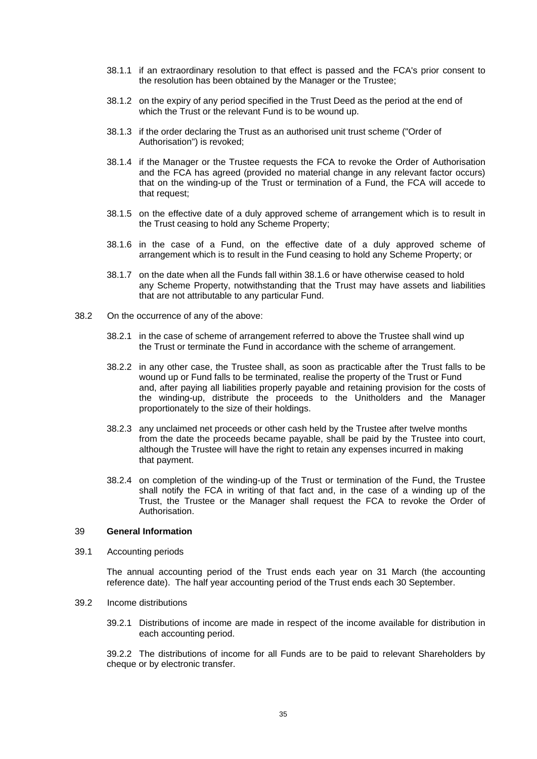- 38.1.1 if an extraordinary resolution to that effect is passed and the FCA's prior consent to the resolution has been obtained by the Manager or the Trustee;
- 38.1.2 on the expiry of any period specified in the Trust Deed as the period at the end of which the Trust or the relevant Fund is to be wound up.
- 38.1.3 if the order declaring the Trust as an authorised unit trust scheme ("Order of Authorisation") is revoked;
- 38.1.4 if the Manager or the Trustee requests the FCA to revoke the Order of Authorisation and the FCA has agreed (provided no material change in any relevant factor occurs) that on the winding-up of the Trust or termination of a Fund, the FCA will accede to that request;
- 38.1.5 on the effective date of a duly approved scheme of arrangement which is to result in the Trust ceasing to hold any Scheme Property;
- <span id="page-37-1"></span>38.1.6 in the case of a Fund, on the effective date of a duly approved scheme of arrangement which is to result in the Fund ceasing to hold any Scheme Property; or
- 38.1.7 on the date when all the Funds fall within [38.1.6](#page-37-1) or have otherwise ceased to hold any Scheme Property, notwithstanding that the Trust may have assets and liabilities that are not attributable to any particular Fund.
- 38.2 On the occurrence of any of the above:
	- 38.2.1 in the case of scheme of arrangement referred to above the Trustee shall wind up the Trust or terminate the Fund in accordance with the scheme of arrangement.
	- 38.2.2 in any other case, the Trustee shall, as soon as practicable after the Trust falls to be wound up or Fund falls to be terminated, realise the property of the Trust or Fund and, after paying all liabilities properly payable and retaining provision for the costs of the winding-up, distribute the proceeds to the Unitholders and the Manager proportionately to the size of their holdings.
	- 38.2.3 any unclaimed net proceeds or other cash held by the Trustee after twelve months from the date the proceeds became payable, shall be paid by the Trustee into court, although the Trustee will have the right to retain any expenses incurred in making that payment.
	- 38.2.4 on completion of the winding-up of the Trust or termination of the Fund, the Trustee shall notify the FCA in writing of that fact and, in the case of a winding up of the Trust, the Trustee or the Manager shall request the FCA to revoke the Order of Authorisation.

#### <span id="page-37-0"></span>39 **General Information**

39.1 Accounting periods

The annual accounting period of the Trust ends each year on 31 March (the accounting reference date). The half year accounting period of the Trust ends each 30 September.

- 39.2 Income distributions
	- 39.2.1 Distributions of income are made in respect of the income available for distribution in each accounting period.

39.2.2 The distributions of income for all Funds are to be paid to relevant Shareholders by cheque or by electronic transfer.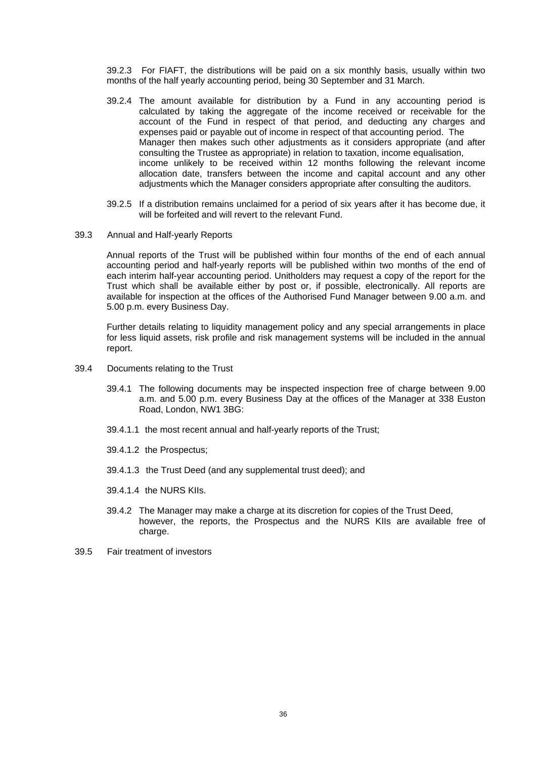39.2.3 For FIAFT, the distributions will be paid on a six monthly basis, usually within two months of the half yearly accounting period, being 30 September and 31 March.

- 39.2.4 The amount available for distribution by a Fund in any accounting period is calculated by taking the aggregate of the income received or receivable for the account of the Fund in respect of that period, and deducting any charges and expenses paid or payable out of income in respect of that accounting period. The Manager then makes such other adjustments as it considers appropriate (and after consulting the Trustee as appropriate) in relation to taxation, income equalisation, income unlikely to be received within 12 months following the relevant income allocation date, transfers between the income and capital account and any other adjustments which the Manager considers appropriate after consulting the auditors.
- 39.2.5 If a distribution remains unclaimed for a period of six years after it has become due, it will be forfeited and will revert to the relevant Fund.
- 39.3 Annual and Half-yearly Reports

Annual reports of the Trust will be published within four months of the end of each annual accounting period and half-yearly reports will be published within two months of the end of each interim half-year accounting period. Unitholders may request a copy of the report for the Trust which shall be available either by post or, if possible, electronically. All reports are available for inspection at the offices of the Authorised Fund Manager between 9.00 a.m. and 5.00 p.m. every Business Day.

Further details relating to liquidity management policy and any special arrangements in place for less liquid assets, risk profile and risk management systems will be included in the annual report.

- 39.4 Documents relating to the Trust
	- 39.4.1 The following documents may be inspected inspection free of charge between 9.00 a.m. and 5.00 p.m. every Business Day at the offices of the Manager at 338 Euston Road, London, NW1 3BG:
	- 39.4.1.1 the most recent annual and half-yearly reports of the Trust;
	- 39.4.1.2 the Prospectus;
	- 39.4.1.3 the Trust Deed (and any supplemental trust deed); and
	- 39.4.1.4 the NURS KIIs.
	- 39.4.2 The Manager may make a charge at its discretion for copies of the Trust Deed, however, the reports, the Prospectus and the NURS KIIs are available free of charge.
- 39.5 Fair treatment of investors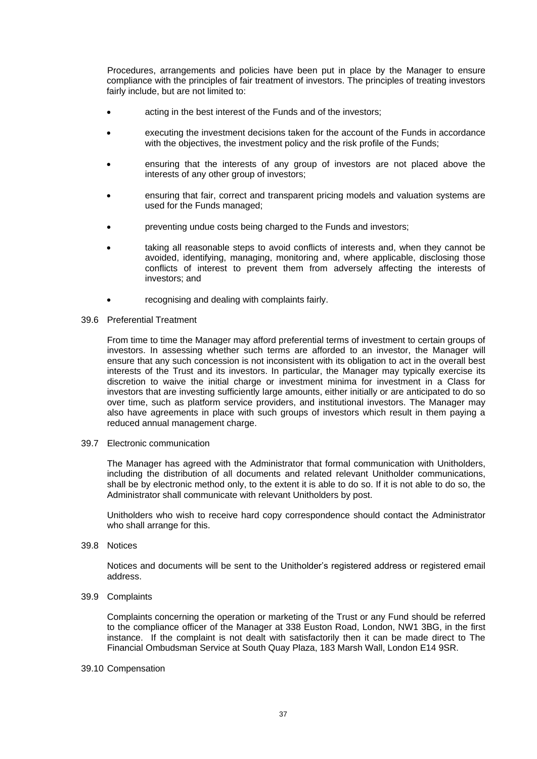Procedures, arrangements and policies have been put in place by the Manager to ensure compliance with the principles of fair treatment of investors. The principles of treating investors fairly include, but are not limited to:

- acting in the best interest of the Funds and of the investors;
- executing the investment decisions taken for the account of the Funds in accordance with the objectives, the investment policy and the risk profile of the Funds;
- ensuring that the interests of any group of investors are not placed above the interests of any other group of investors:
- ensuring that fair, correct and transparent pricing models and valuation systems are used for the Funds managed;
- preventing undue costs being charged to the Funds and investors;
- taking all reasonable steps to avoid conflicts of interests and, when they cannot be avoided, identifying, managing, monitoring and, where applicable, disclosing those conflicts of interest to prevent them from adversely affecting the interests of investors; and
- recognising and dealing with complaints fairly.
- 39.6 Preferential Treatment

From time to time the Manager may afford preferential terms of investment to certain groups of investors. In assessing whether such terms are afforded to an investor, the Manager will ensure that any such concession is not inconsistent with its obligation to act in the overall best interests of the Trust and its investors. In particular, the Manager may typically exercise its discretion to waive the initial charge or investment minima for investment in a Class for investors that are investing sufficiently large amounts, either initially or are anticipated to do so over time, such as platform service providers, and institutional investors. The Manager may also have agreements in place with such groups of investors which result in them paying a reduced annual management charge.

39.7 Electronic communication

The Manager has agreed with the Administrator that formal communication with Unitholders, including the distribution of all documents and related relevant Unitholder communications, shall be by electronic method only, to the extent it is able to do so. If it is not able to do so, the Administrator shall communicate with relevant Unitholders by post.

Unitholders who wish to receive hard copy correspondence should contact the Administrator who shall arrange for this.

39.8 Notices

Notices and documents will be sent to the Unitholder's registered address or registered email address.

39.9 Complaints

Complaints concerning the operation or marketing of the Trust or any Fund should be referred to the compliance officer of the Manager at 338 Euston Road, London, NW1 3BG, in the first instance. If the complaint is not dealt with satisfactorily then it can be made direct to The Financial Ombudsman Service at South Quay Plaza, 183 Marsh Wall, London E14 9SR.

#### 39.10 Compensation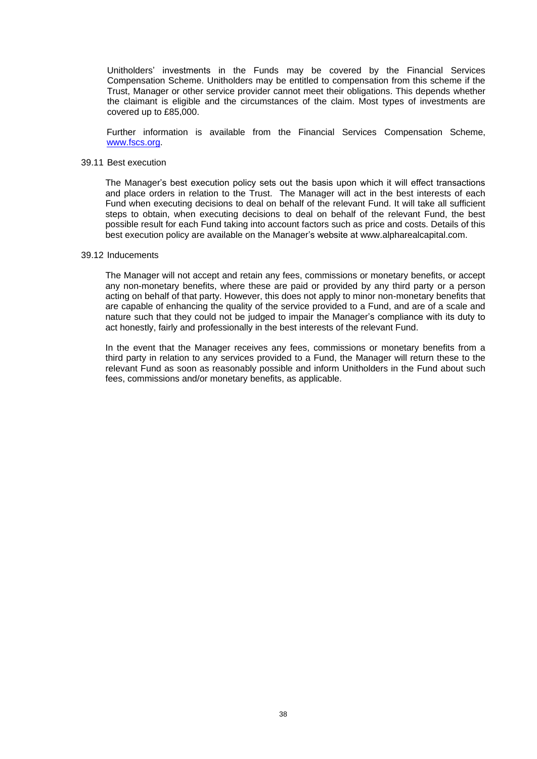Unitholders' investments in the Funds may be covered by the Financial Services Compensation Scheme. Unitholders may be entitled to compensation from this scheme if the Trust, Manager or other service provider cannot meet their obligations. This depends whether the claimant is eligible and the circumstances of the claim. Most types of investments are covered up to £85,000.

Further information is available from the Financial Services Compensation Scheme, [www.fscs.org.](http://www.fscs.org/)

#### 39.11 Best execution

The Manager's best execution policy sets out the basis upon which it will effect transactions and place orders in relation to the Trust. The Manager will act in the best interests of each Fund when executing decisions to deal on behalf of the relevant Fund. It will take all sufficient steps to obtain, when executing decisions to deal on behalf of the relevant Fund, the best possible result for each Fund taking into account factors such as price and costs. Details of this best execution policy are available on the Manager's website at www.alpharealcapital.com.

#### 39.12 Inducements

The Manager will not accept and retain any fees, commissions or monetary benefits, or accept any non-monetary benefits, where these are paid or provided by any third party or a person acting on behalf of that party. However, this does not apply to minor non-monetary benefits that are capable of enhancing the quality of the service provided to a Fund, and are of a scale and nature such that they could not be judged to impair the Manager's compliance with its duty to act honestly, fairly and professionally in the best interests of the relevant Fund.

<span id="page-40-0"></span>In the event that the Manager receives any fees, commissions or monetary benefits from a third party in relation to any services provided to a Fund, the Manager will return these to the relevant Fund as soon as reasonably possible and inform Unitholders in the Fund about such fees, commissions and/or monetary benefits, as applicable.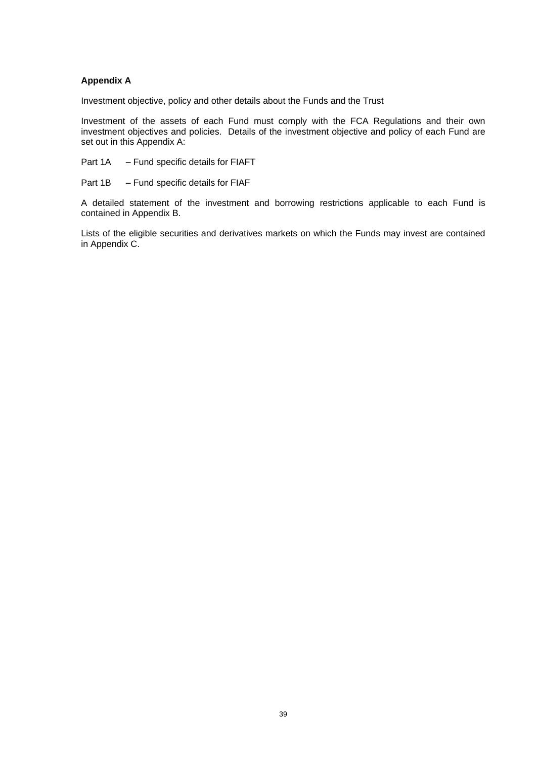## **Appendix A**

Investment objective, policy and other details about the Funds and the Trust

Investment of the assets of each Fund must comply with the FCA Regulations and their own investment objectives and policies. Details of the investment objective and policy of each Fund are set out in this Appendix A:

Part 1A – Fund specific details for FIAFT

Part 1B – Fund specific details for FIAF

A detailed statement of the investment and borrowing restrictions applicable to each Fund is contained in Appendix B.

Lists of the eligible securities and derivatives markets on which the Funds may invest are contained in Appendix C.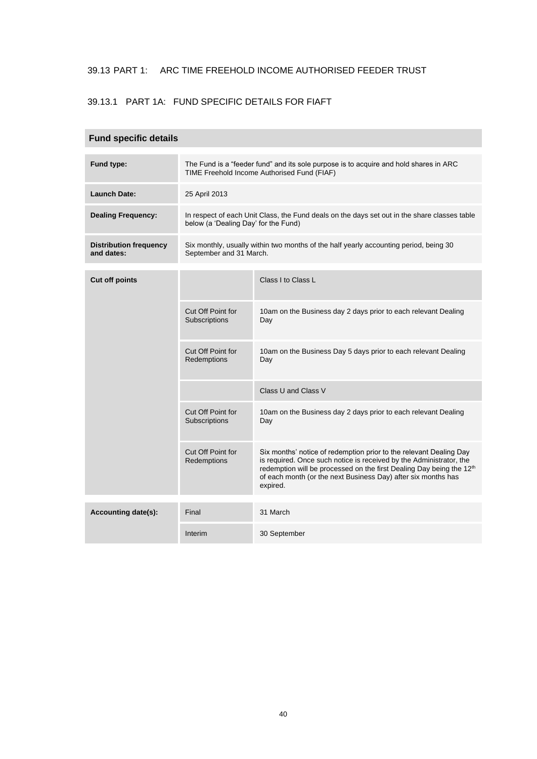## 39.13 PART 1: ARC TIME FREEHOLD INCOME AUTHORISED FEEDER TRUST

## 39.13.1 PART 1A: FUND SPECIFIC DETAILS FOR FIAFT

## **Fund specific details**

| Fund type:                                  | The Fund is a "feeder fund" and its sole purpose is to acquire and hold shares in ARC<br>TIME Freehold Income Authorised Fund (FIAF) |                                                                                                                                                                                                                                                                                                            |  |  |  |  |  |  |
|---------------------------------------------|--------------------------------------------------------------------------------------------------------------------------------------|------------------------------------------------------------------------------------------------------------------------------------------------------------------------------------------------------------------------------------------------------------------------------------------------------------|--|--|--|--|--|--|
| <b>Launch Date:</b>                         | 25 April 2013                                                                                                                        |                                                                                                                                                                                                                                                                                                            |  |  |  |  |  |  |
| <b>Dealing Frequency:</b>                   | In respect of each Unit Class, the Fund deals on the days set out in the share classes table<br>below (a 'Dealing Day' for the Fund) |                                                                                                                                                                                                                                                                                                            |  |  |  |  |  |  |
| <b>Distribution frequency</b><br>and dates: | Six monthly, usually within two months of the half yearly accounting period, being 30<br>September and 31 March.                     |                                                                                                                                                                                                                                                                                                            |  |  |  |  |  |  |
| <b>Cut off points</b>                       |                                                                                                                                      | Class I to Class L                                                                                                                                                                                                                                                                                         |  |  |  |  |  |  |
|                                             |                                                                                                                                      |                                                                                                                                                                                                                                                                                                            |  |  |  |  |  |  |
|                                             | Cut Off Point for<br>Subscriptions                                                                                                   | 10am on the Business day 2 days prior to each relevant Dealing<br>Day                                                                                                                                                                                                                                      |  |  |  |  |  |  |
|                                             | Cut Off Point for<br>Redemptions                                                                                                     | 10am on the Business Day 5 days prior to each relevant Dealing<br>Day                                                                                                                                                                                                                                      |  |  |  |  |  |  |
|                                             |                                                                                                                                      | Class U and Class V                                                                                                                                                                                                                                                                                        |  |  |  |  |  |  |
|                                             | Cut Off Point for<br>Subscriptions                                                                                                   | 10am on the Business day 2 days prior to each relevant Dealing<br>Day                                                                                                                                                                                                                                      |  |  |  |  |  |  |
|                                             | Cut Off Point for<br>Redemptions                                                                                                     | Six months' notice of redemption prior to the relevant Dealing Day<br>is required. Once such notice is received by the Administrator, the<br>redemption will be processed on the first Dealing Day being the 12 <sup>th</sup><br>of each month (or the next Business Day) after six months has<br>expired. |  |  |  |  |  |  |
| Accounting date(s):                         | Final                                                                                                                                | 31 March                                                                                                                                                                                                                                                                                                   |  |  |  |  |  |  |
|                                             | Interim                                                                                                                              | 30 September                                                                                                                                                                                                                                                                                               |  |  |  |  |  |  |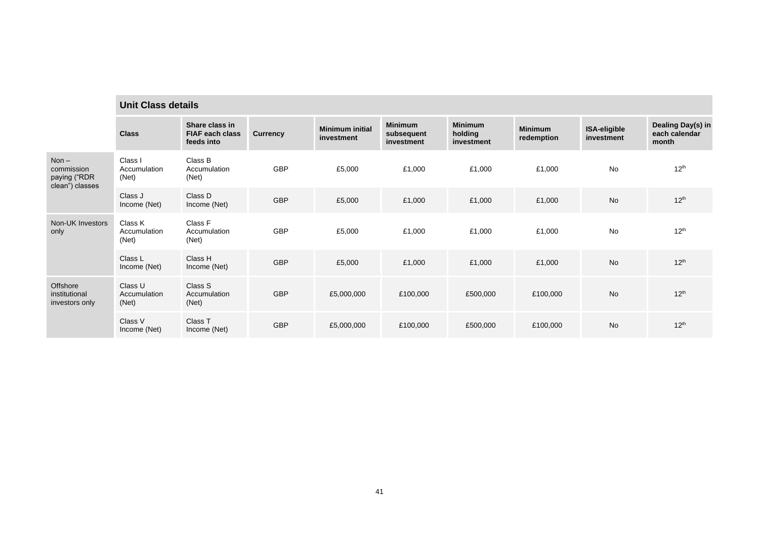|                                                          | <b>Unit Class details</b>        |                                                        |                 |                                      |                                            |                                         |                              |                            |                                             |
|----------------------------------------------------------|----------------------------------|--------------------------------------------------------|-----------------|--------------------------------------|--------------------------------------------|-----------------------------------------|------------------------------|----------------------------|---------------------------------------------|
|                                                          | <b>Class</b>                     | Share class in<br><b>FIAF each class</b><br>feeds into | <b>Currency</b> | <b>Minimum initial</b><br>investment | <b>Minimum</b><br>subsequent<br>investment | <b>Minimum</b><br>holding<br>investment | <b>Minimum</b><br>redemption | ISA-eligible<br>investment | Dealing Day(s) in<br>each calendar<br>month |
| $Non -$<br>commission<br>paying ("RDR<br>clean") classes | Class I<br>Accumulation<br>(Net) | Class B<br>Accumulation<br>(Net)                       | GBP             | £5,000                               | £1,000                                     | £1,000                                  | £1,000                       | <b>No</b>                  | $12^{th}$                                   |
|                                                          | Class J<br>Income (Net)          | Class D<br>Income (Net)                                | <b>GBP</b>      | £5,000                               | £1,000                                     | £1,000                                  | £1,000                       | <b>No</b>                  | $12^{th}$                                   |
| Non-UK Investors<br>only                                 | Class K<br>Accumulation<br>(Net) | Class F<br>Accumulation<br>(Net)                       | <b>GBP</b>      | £5,000                               | £1,000                                     | £1,000                                  | £1,000                       | <b>No</b>                  | $12^{th}$                                   |
|                                                          | Class L<br>Income (Net)          | Class H<br>Income (Net)                                | <b>GBP</b>      | £5,000                               | £1,000                                     | £1,000                                  | £1,000                       | <b>No</b>                  | $12^{th}$                                   |
| Offshore<br>institutional<br>investors only              | Class U<br>Accumulation<br>(Net) | Class S<br>Accumulation<br>(Net)                       | <b>GBP</b>      | £5,000,000                           | £100,000                                   | £500,000                                | £100,000                     | <b>No</b>                  | $12^{th}$                                   |
|                                                          | Class V<br>Income (Net)          | Class T<br>Income (Net)                                | <b>GBP</b>      | £5,000,000                           | £100,000                                   | £500,000                                | £100,000                     | <b>No</b>                  | 12 <sup>th</sup>                            |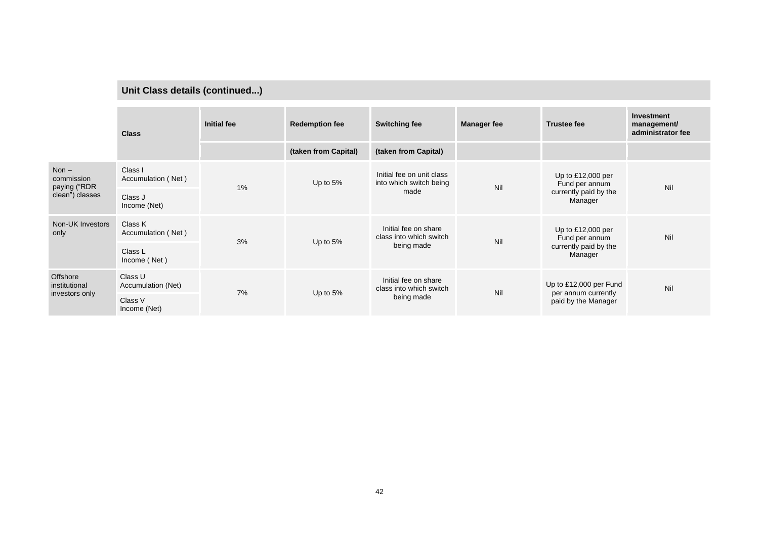# **Unit Class details (continued...)**

|                                                           | <b>Class</b>                  | <b>Initial fee</b> | <b>Redemption fee</b> | <b>Switching fee</b>                                          | <b>Manager fee</b> | <b>Trustee fee</b>                                                        | <b>Investment</b><br>management/<br>administrator fee |
|-----------------------------------------------------------|-------------------------------|--------------------|-----------------------|---------------------------------------------------------------|--------------------|---------------------------------------------------------------------------|-------------------------------------------------------|
|                                                           |                               |                    | (taken from Capital)  | (taken from Capital)                                          |                    |                                                                           |                                                       |
| Non $-$<br>commission<br>paying ("RDR"<br>clean") classes | Class I<br>Accumulation (Net) | 1%                 | Up to $5%$            | Initial fee on unit class<br>into which switch being<br>made  | Nil                | Up to $£12,000$ per<br>Fund per annum<br>currently paid by the<br>Manager | Nil                                                   |
|                                                           | Class J<br>Income (Net)       |                    |                       |                                                               |                    |                                                                           |                                                       |
| Non-UK Investors<br>only                                  | Class K<br>Accumulation (Net) | 3%                 | Up to $5%$            | Initial fee on share<br>class into which switch<br>being made | Nil                | Up to $£12,000$ per<br>Fund per annum<br>currently paid by the<br>Manager | Nil                                                   |
|                                                           | Class L<br>Income (Net)       |                    |                       |                                                               |                    |                                                                           |                                                       |
| Offshore<br>institutional<br>investors only               | Class U<br>Accumulation (Net) | 7%                 | Up to $5%$            | Initial fee on share<br>class into which switch<br>being made | Nil                | Up to £12,000 per Fund<br>per annum currently<br>paid by the Manager      | Nil                                                   |
|                                                           | Class V<br>Income (Net)       |                    |                       |                                                               |                    |                                                                           |                                                       |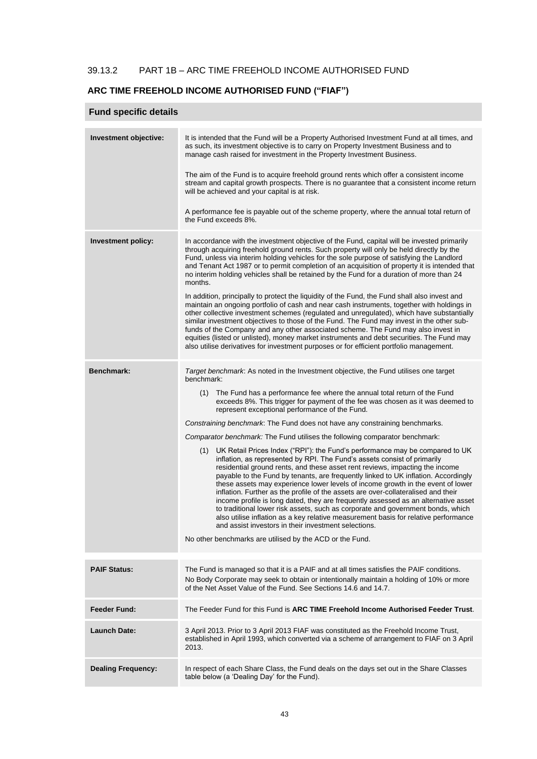## 39.13.2 PART 1B – ARC TIME FREEHOLD INCOME AUTHORISED FUND

## **ARC TIME FREEHOLD INCOME AUTHORISED FUND ("FIAF")**

## **Fund specific details**

| Investment objective:     | It is intended that the Fund will be a Property Authorised Investment Fund at all times, and<br>as such, its investment objective is to carry on Property Investment Business and to<br>manage cash raised for investment in the Property Investment Business.<br>The aim of the Fund is to acquire freehold ground rents which offer a consistent income<br>stream and capital growth prospects. There is no guarantee that a consistent income return<br>will be achieved and your capital is at risk.<br>A performance fee is payable out of the scheme property, where the annual total return of<br>the Fund exceeds 8%.                                                                                                                                                                                                                                                                                                                                                                                                                                                                                                                                                                                                                                                                                                                                                                |
|---------------------------|----------------------------------------------------------------------------------------------------------------------------------------------------------------------------------------------------------------------------------------------------------------------------------------------------------------------------------------------------------------------------------------------------------------------------------------------------------------------------------------------------------------------------------------------------------------------------------------------------------------------------------------------------------------------------------------------------------------------------------------------------------------------------------------------------------------------------------------------------------------------------------------------------------------------------------------------------------------------------------------------------------------------------------------------------------------------------------------------------------------------------------------------------------------------------------------------------------------------------------------------------------------------------------------------------------------------------------------------------------------------------------------------|
| <b>Investment policy:</b> | In accordance with the investment objective of the Fund, capital will be invested primarily<br>through acquiring freehold ground rents. Such property will only be held directly by the<br>Fund, unless via interim holding vehicles for the sole purpose of satisfying the Landlord<br>and Tenant Act 1987 or to permit completion of an acquisition of property it is intended that<br>no interim holding vehicles shall be retained by the Fund for a duration of more than 24<br>months.<br>In addition, principally to protect the liquidity of the Fund, the Fund shall also invest and<br>maintain an ongoing portfolio of cash and near cash instruments, together with holdings in<br>other collective investment schemes (regulated and unregulated), which have substantially<br>similar investment objectives to those of the Fund. The Fund may invest in the other sub-<br>funds of the Company and any other associated scheme. The Fund may also invest in<br>equities (listed or unlisted), money market instruments and debt securities. The Fund may<br>also utilise derivatives for investment purposes or for efficient portfolio management.                                                                                                                                                                                                                           |
| <b>Benchmark:</b>         | Target benchmark: As noted in the Investment objective, the Fund utilises one target<br>benchmark:<br>The Fund has a performance fee where the annual total return of the Fund<br>(1)<br>exceeds 8%. This trigger for payment of the fee was chosen as it was deemed to<br>represent exceptional performance of the Fund.<br>Constraining benchmark: The Fund does not have any constraining benchmarks.<br>Comparator benchmark: The Fund utilises the following comparator benchmark:<br>UK Retail Prices Index ("RPI"): the Fund's performance may be compared to UK<br>(1)<br>inflation, as represented by RPI. The Fund's assets consist of primarily<br>residential ground rents, and these asset rent reviews, impacting the income<br>payable to the Fund by tenants, are frequently linked to UK inflation. Accordingly<br>these assets may experience lower levels of income growth in the event of lower<br>inflation. Further as the profile of the assets are over-collateralised and their<br>income profile is long dated, they are frequently assessed as an alternative asset<br>to traditional lower risk assets, such as corporate and government bonds, which<br>also utilise inflation as a key relative measurement basis for relative performance<br>and assist investors in their investment selections.<br>No other benchmarks are utilised by the ACD or the Fund. |
| <b>PAIF Status:</b>       | The Fund is managed so that it is a PAIF and at all times satisfies the PAIF conditions.<br>No Body Corporate may seek to obtain or intentionally maintain a holding of 10% or more<br>of the Net Asset Value of the Fund. See Sections 14.6 and 14.7.                                                                                                                                                                                                                                                                                                                                                                                                                                                                                                                                                                                                                                                                                                                                                                                                                                                                                                                                                                                                                                                                                                                                       |
| Feeder Fund:              | The Feeder Fund for this Fund is ARC TIME Freehold Income Authorised Feeder Trust.                                                                                                                                                                                                                                                                                                                                                                                                                                                                                                                                                                                                                                                                                                                                                                                                                                                                                                                                                                                                                                                                                                                                                                                                                                                                                                           |
| Launch Date:              | 3 April 2013. Prior to 3 April 2013 FIAF was constituted as the Freehold Income Trust,<br>established in April 1993, which converted via a scheme of arrangement to FIAF on 3 April<br>2013.                                                                                                                                                                                                                                                                                                                                                                                                                                                                                                                                                                                                                                                                                                                                                                                                                                                                                                                                                                                                                                                                                                                                                                                                 |
| <b>Dealing Frequency:</b> | In respect of each Share Class, the Fund deals on the days set out in the Share Classes<br>table below (a 'Dealing Day' for the Fund).                                                                                                                                                                                                                                                                                                                                                                                                                                                                                                                                                                                                                                                                                                                                                                                                                                                                                                                                                                                                                                                                                                                                                                                                                                                       |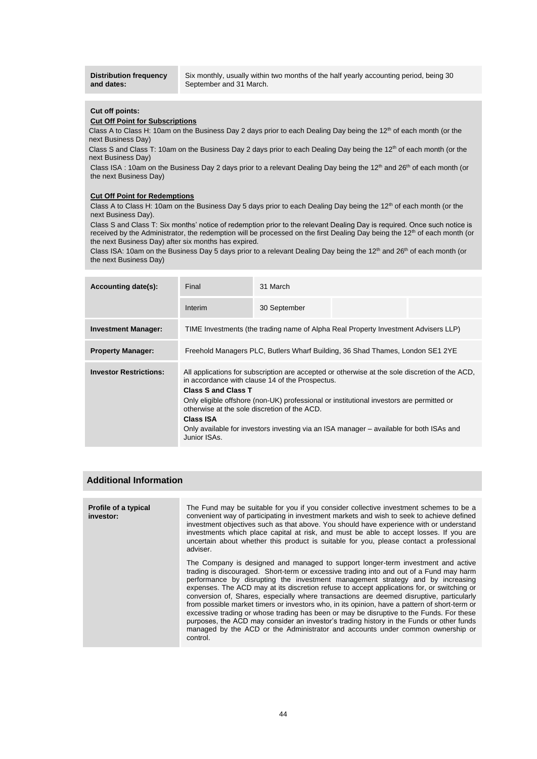**Distribution frequency and dates:** 

Six monthly, usually within two months of the half yearly accounting period, being 30 September and 31 March.

#### **Cut off points:**

#### **Cut Off Point for Subscriptions**

Class A to Class H: 10am on the Business Day 2 days prior to each Dealing Day being the 12<sup>th</sup> of each month (or the next Business Day)

Class S and Class T: 10am on the Business Day 2 days prior to each Dealing Day being the 12<sup>th</sup> of each month (or the next Business Day)

Class ISA : 10am on the Business Day 2 days prior to a relevant Dealing Day being the 12<sup>th</sup> and 26<sup>th</sup> of each month (or the next Business Day)

#### **Cut Off Point for Redemptions**

Class A to Class H: 10am on the Business Day 5 days prior to each Dealing Day being the 12<sup>th</sup> of each month (or the next Business Day).

Class S and Class T: Six months' notice of redemption prior to the relevant Dealing Day is required. Once such notice is received by the Administrator, the redemption will be processed on the first Dealing Day being the 12<sup>th</sup> of each month (or the next Business Day) after six months has expired.

Class ISA: 10am on the Business Day 5 days prior to a relevant Dealing Day being the 12<sup>th</sup> and 26<sup>th</sup> of each month (or the next Business Day)

| Accounting date(s):           | Final                                                   | 31 March                                                                                                                                                                                                                                                                                                                                                                                 |  |  |  |  |  |
|-------------------------------|---------------------------------------------------------|------------------------------------------------------------------------------------------------------------------------------------------------------------------------------------------------------------------------------------------------------------------------------------------------------------------------------------------------------------------------------------------|--|--|--|--|--|
|                               | Interim                                                 | 30 September                                                                                                                                                                                                                                                                                                                                                                             |  |  |  |  |  |
| <b>Investment Manager:</b>    |                                                         | TIME Investments (the trading name of Alpha Real Property Investment Advisers LLP)                                                                                                                                                                                                                                                                                                       |  |  |  |  |  |
| <b>Property Manager:</b>      |                                                         | Freehold Managers PLC, Butlers Wharf Building, 36 Shad Thames, London SE1 2YE                                                                                                                                                                                                                                                                                                            |  |  |  |  |  |
| <b>Investor Restrictions:</b> | <b>Class S and Class T</b><br>Class ISA<br>Junior ISAs. | All applications for subscription are accepted or otherwise at the sole discretion of the ACD,<br>in accordance with clause 14 of the Prospectus.<br>Only eligible offshore (non-UK) professional or institutional investors are permitted or<br>otherwise at the sole discretion of the ACD.<br>Only available for investors investing via an ISA manager – available for both ISAs and |  |  |  |  |  |

| <b>Profile of a typical</b><br>investor: | The Fund may be suitable for you if you consider collective investment schemes to be a<br>convenient way of participating in investment markets and wish to seek to achieve defined<br>investment objectives such as that above. You should have experience with or understand<br>investments which place capital at risk, and must be able to accept losses. If you are<br>uncertain about whether this product is suitable for you, please contact a professional<br>adviser.                                                                                                                                                                                                                                                                                                                                                                |
|------------------------------------------|------------------------------------------------------------------------------------------------------------------------------------------------------------------------------------------------------------------------------------------------------------------------------------------------------------------------------------------------------------------------------------------------------------------------------------------------------------------------------------------------------------------------------------------------------------------------------------------------------------------------------------------------------------------------------------------------------------------------------------------------------------------------------------------------------------------------------------------------|
|                                          | The Company is designed and managed to support longer-term investment and active<br>trading is discouraged. Short-term or excessive trading into and out of a Fund may harm<br>performance by disrupting the investment management strategy and by increasing<br>expenses. The ACD may at its discretion refuse to accept applications for, or switching or<br>conversion of, Shares, especially where transactions are deemed disruptive, particularly<br>from possible market timers or investors who, in its opinion, have a pattern of short-term or<br>excessive trading or whose trading has been or may be disruptive to the Funds. For these<br>purposes, the ACD may consider an investor's trading history in the Funds or other funds<br>managed by the ACD or the Administrator and accounts under common ownership or<br>control. |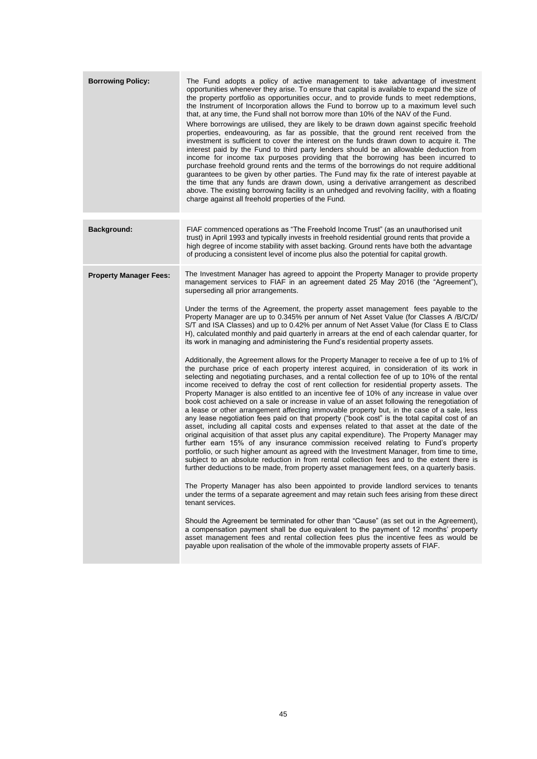| <b>Borrowing Policy:</b>      | The Fund adopts a policy of active management to take advantage of investment<br>opportunities whenever they arise. To ensure that capital is available to expand the size of<br>the property portfolio as opportunities occur, and to provide funds to meet redemptions,<br>the Instrument of Incorporation allows the Fund to borrow up to a maximum level such<br>that, at any time, the Fund shall not borrow more than 10% of the NAV of the Fund.<br>Where borrowings are utilised, they are likely to be drawn down against specific freehold<br>properties, endeavouring, as far as possible, that the ground rent received from the<br>investment is sufficient to cover the interest on the funds drawn down to acquire it. The<br>interest paid by the Fund to third party lenders should be an allowable deduction from<br>income for income tax purposes providing that the borrowing has been incurred to<br>purchase freehold ground rents and the terms of the borrowings do not require additional<br>quarantees to be given by other parties. The Fund may fix the rate of interest payable at<br>the time that any funds are drawn down, using a derivative arrangement as described<br>above. The existing borrowing facility is an unhedged and revolving facility, with a floating<br>charge against all freehold properties of the Fund.                                                                                                                                                                                                                                                                                                                                                                                                                                                                                                                                                                                                                                                                                                                                                                                                                                                                                                                                                                                                                                                                                                                                                                                                                                                    |
|-------------------------------|--------------------------------------------------------------------------------------------------------------------------------------------------------------------------------------------------------------------------------------------------------------------------------------------------------------------------------------------------------------------------------------------------------------------------------------------------------------------------------------------------------------------------------------------------------------------------------------------------------------------------------------------------------------------------------------------------------------------------------------------------------------------------------------------------------------------------------------------------------------------------------------------------------------------------------------------------------------------------------------------------------------------------------------------------------------------------------------------------------------------------------------------------------------------------------------------------------------------------------------------------------------------------------------------------------------------------------------------------------------------------------------------------------------------------------------------------------------------------------------------------------------------------------------------------------------------------------------------------------------------------------------------------------------------------------------------------------------------------------------------------------------------------------------------------------------------------------------------------------------------------------------------------------------------------------------------------------------------------------------------------------------------------------------------------------------------------------------------------------------------------------------------------------------------------------------------------------------------------------------------------------------------------------------------------------------------------------------------------------------------------------------------------------------------------------------------------------------------------------------------------------------------------------------------------------------------------------------------------------------------|
| Background:                   | FIAF commenced operations as "The Freehold Income Trust" (as an unauthorised unit<br>trust) in April 1993 and typically invests in freehold residential ground rents that provide a<br>high degree of income stability with asset backing. Ground rents have both the advantage<br>of producing a consistent level of income plus also the potential for capital growth.                                                                                                                                                                                                                                                                                                                                                                                                                                                                                                                                                                                                                                                                                                                                                                                                                                                                                                                                                                                                                                                                                                                                                                                                                                                                                                                                                                                                                                                                                                                                                                                                                                                                                                                                                                                                                                                                                                                                                                                                                                                                                                                                                                                                                                           |
| <b>Property Manager Fees:</b> | The Investment Manager has agreed to appoint the Property Manager to provide property<br>management services to FIAF in an agreement dated 25 May 2016 (the "Agreement"),<br>superseding all prior arrangements.<br>Under the terms of the Agreement, the property asset management fees payable to the<br>Property Manager are up to 0.345% per annum of Net Asset Value (for Classes A /B/C/D/<br>S/T and ISA Classes) and up to 0.42% per annum of Net Asset Value (for Class E to Class<br>H), calculated monthly and paid quarterly in arrears at the end of each calendar quarter, for<br>its work in managing and administering the Fund's residential property assets.<br>Additionally, the Agreement allows for the Property Manager to receive a fee of up to 1% of<br>the purchase price of each property interest acquired, in consideration of its work in<br>selecting and negotiating purchases, and a rental collection fee of up to 10% of the rental<br>income received to defray the cost of rent collection for residential property assets. The<br>Property Manager is also entitled to an incentive fee of 10% of any increase in value over<br>book cost achieved on a sale or increase in value of an asset following the renegotiation of<br>a lease or other arrangement affecting immovable property but, in the case of a sale, less<br>any lease negotiation fees paid on that property ("book cost" is the total capital cost of an<br>asset, including all capital costs and expenses related to that asset at the date of the<br>original acquisition of that asset plus any capital expenditure). The Property Manager may<br>further earn 15% of any insurance commission received relating to Fund's property<br>portfolio, or such higher amount as agreed with the Investment Manager, from time to time,<br>subject to an absolute reduction in from rental collection fees and to the extent there is<br>further deductions to be made, from property asset management fees, on a quarterly basis.<br>The Property Manager has also been appointed to provide landlord services to tenants<br>under the terms of a separate agreement and may retain such fees arising from these direct<br>tenant services.<br>Should the Agreement be terminated for other than "Cause" (as set out in the Agreement),<br>a compensation payment shall be due equivalent to the payment of 12 months' property<br>asset management fees and rental collection fees plus the incentive fees as would be<br>payable upon realisation of the whole of the immovable property assets of FIAF. |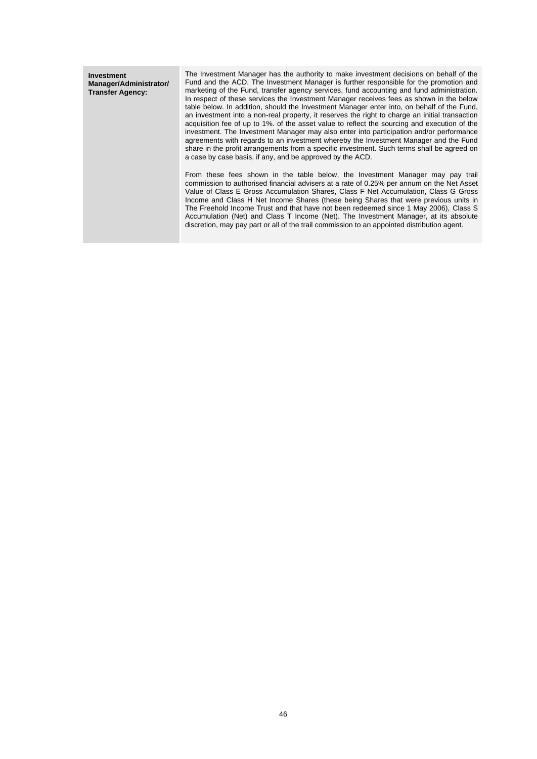**Investment Manager/Administrator/ Transfer Agency:**

The Investment Manager has the authority to make investment decisions on behalf of the Fund and the ACD. The Investment Manager is further responsible for the promotion and marketing of the Fund, transfer agency services, fund accounting and fund administration. In respect of these services the Investment Manager receives fees as shown in the below table below. In addition, should the Investment Manager enter into, on behalf of the Fund, an investment into a non-real property, it reserves the right to charge an initial transaction acquisition fee of up to 1%. of the asset value to reflect the sourcing and execution of the investment. The Investment Manager may also enter into participation and/or performance agreements with regards to an investment whereby the Investment Manager and the Fund share in the profit arrangements from a specific investment. Such terms shall be agreed on a case by case basis, if any, and be approved by the ACD.

From these fees shown in the table below, the Investment Manager may pay trail commission to authorised financial advisers at a rate of 0.25% per annum on the Net Asset Value of Class E Gross Accumulation Shares, Class F Net Accumulation, Class G Gross Income and Class H Net Income Shares (these being Shares that were previous units in The Freehold Income Trust and that have not been redeemed since 1 May 2006), Class S Accumulation (Net) and Class T Income (Net). The Investment Manager, at its absolute discretion, may pay part or all of the trail commission to an appointed distribution agent.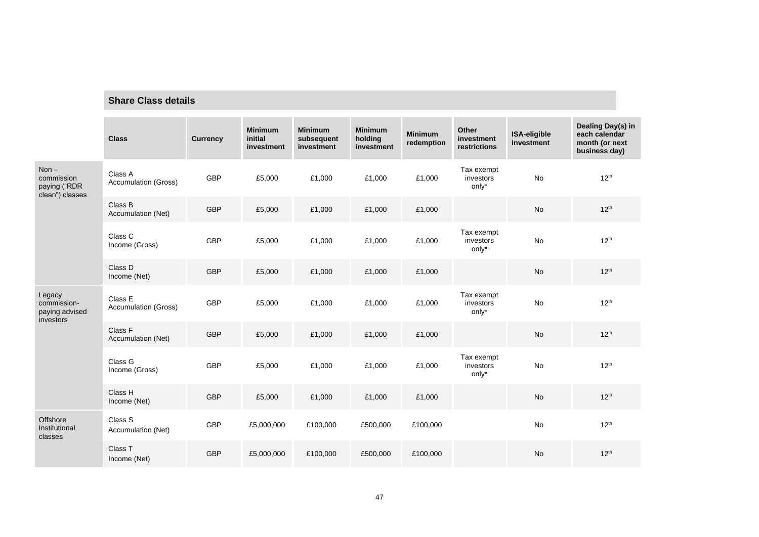## **Share Class details**

|                                                                                                                                                                                             | <b>Class</b>                    | <b>Currency</b> | <b>Minimum</b><br>initial<br>investment | <b>Minimum</b><br>subsequent<br>investment | <b>Minimum</b><br>holding<br>investment | <b>Minimum</b><br>redemption | Other<br>investment<br>restrictions | ISA-eligible<br>investment | Dealing Day(s) in<br>each calendar<br>month (or next<br>business day) |
|---------------------------------------------------------------------------------------------------------------------------------------------------------------------------------------------|---------------------------------|-----------------|-----------------------------------------|--------------------------------------------|-----------------------------------------|------------------------------|-------------------------------------|----------------------------|-----------------------------------------------------------------------|
| $Non -$<br>Class A<br>commission<br><b>Accumulation (Gross)</b><br>paying ("RDR<br>clean") classes<br>Class B<br>Accumulation (Net)<br>Class C<br>Income (Gross)<br>Class D<br>Income (Net) |                                 | <b>GBP</b>      | £5,000                                  | £1,000                                     | £1,000                                  | £1,000                       | Tax exempt<br>investors<br>only*    | <b>No</b>                  | $12^{th}$                                                             |
|                                                                                                                                                                                             | <b>GBP</b>                      | £5,000          | £1,000                                  | £1,000                                     | £1,000                                  |                              | No                                  | $12^{th}$                  |                                                                       |
|                                                                                                                                                                                             |                                 | <b>GBP</b>      | £5,000                                  | £1,000                                     | £1,000                                  | £1,000                       | Tax exempt<br>investors<br>only*    | No                         | $12^{th}$                                                             |
|                                                                                                                                                                                             |                                 | <b>GBP</b>      | £5,000                                  | £1,000                                     | £1,000                                  | £1,000                       |                                     | <b>No</b>                  | $12^{th}$                                                             |
| Legacy<br>commission-<br>paying advised<br>investors                                                                                                                                        | Class E<br>Accumulation (Gross) | <b>GBP</b>      | £5,000                                  | £1,000                                     | £1,000                                  | £1,000                       | Tax exempt<br>investors<br>only*    | No                         | $12^{th}$                                                             |
|                                                                                                                                                                                             | Class F<br>Accumulation (Net)   | <b>GBP</b>      | £5,000                                  | £1,000                                     | £1,000                                  | £1,000                       |                                     | No                         | $12^{th}$                                                             |
|                                                                                                                                                                                             | Class G<br>Income (Gross)       | <b>GBP</b>      | £5,000                                  | £1,000                                     | £1,000                                  | £1,000                       | Tax exempt<br>investors<br>only*    | No                         | 12 <sup>th</sup>                                                      |
|                                                                                                                                                                                             | Class H<br>Income (Net)         | <b>GBP</b>      | £5,000                                  | £1,000                                     | £1,000                                  | £1,000                       |                                     | <b>No</b>                  | $12^{th}$                                                             |
| Offshore<br>Institutional<br>classes                                                                                                                                                        | Class S<br>Accumulation (Net)   | <b>GBP</b>      | £5,000,000                              | £100,000                                   | £500,000                                | £100,000                     |                                     | No                         | $12^{th}$                                                             |
|                                                                                                                                                                                             | Class T<br>Income (Net)         | <b>GBP</b>      | £5,000,000                              | £100,000                                   | £500,000                                | £100,000                     |                                     | <b>No</b>                  | $12^{th}$                                                             |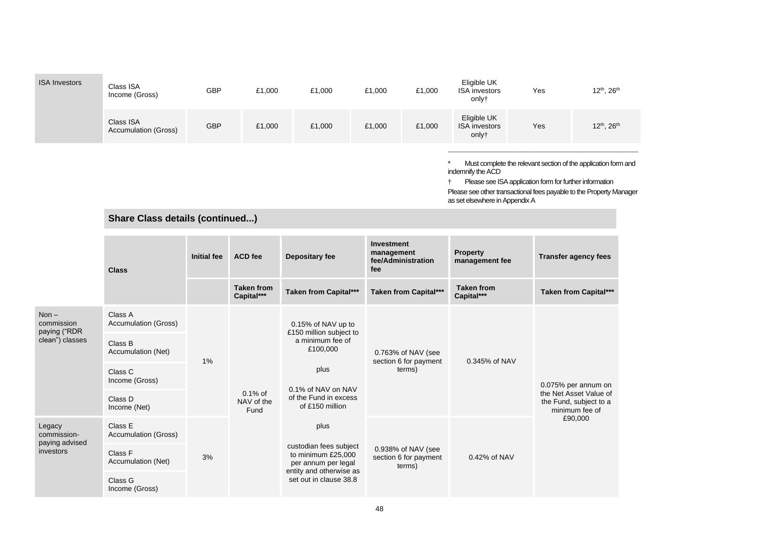| <b>ISA Investors</b>                                     | Class ISA<br>Income (Gross)            | <b>GBP</b>         | £1,000                           | £1,000                                                                                                                                                  | £1,000                                                | £1,000                       | Eligible UK<br><b>ISA</b> investors<br>only†                     | Yes                                                                | 12 <sup>th</sup> , 26 <sup>th</sup>                                                                                                   |
|----------------------------------------------------------|----------------------------------------|--------------------|----------------------------------|---------------------------------------------------------------------------------------------------------------------------------------------------------|-------------------------------------------------------|------------------------------|------------------------------------------------------------------|--------------------------------------------------------------------|---------------------------------------------------------------------------------------------------------------------------------------|
|                                                          | Class ISA<br>Accumulation (Gross)      | <b>GBP</b>         | £1,000                           | £1,000                                                                                                                                                  | £1,000                                                | £1,000                       | Eligible UK<br><b>ISA</b> investors<br>only†                     | Yes                                                                | 12 <sup>th</sup> , 26 <sup>th</sup>                                                                                                   |
|                                                          | <b>Share Class details (continued)</b> |                    |                                  |                                                                                                                                                         |                                                       |                              | indemnify the ACD<br>as set elsewhere in Appendix A              | Please see ISA application form for further information            | Must complete the relevant section of the application form and<br>Please see other transactional fees payable to the Property Manager |
|                                                          | <b>Class</b>                           | <b>Initial fee</b> | <b>ACD</b> fee                   | <b>Investment</b><br>management<br><b>Depositary fee</b><br>fee/Administration<br>fee                                                                   |                                                       |                              | <b>Property</b><br><b>Transfer agency fees</b><br>management fee |                                                                    |                                                                                                                                       |
|                                                          |                                        |                    | <b>Taken from</b><br>Capital***  | <b>Taken from Capital***</b>                                                                                                                            |                                                       | <b>Taken from Capital***</b> | <b>Taken from</b><br>Capital***                                  |                                                                    | <b>Taken from Capital***</b>                                                                                                          |
| Non $-$<br>commission<br>paying ("RDR<br>clean") classes | Class A<br><b>Accumulation (Gross)</b> | 1%                 | $0.1\%$ of<br>NAV of the<br>Fund | 0.15% of NAV up to<br>£150 million subject to<br>a minimum fee of<br>£100,000<br>plus<br>0.1% of NAV on NAV<br>of the Fund in excess<br>of £150 million | 0.763% of NAV (see<br>section 6 for payment<br>terms) | 0.345% of NAV                |                                                                  | 0.075% per annum on                                                |                                                                                                                                       |
|                                                          | Class B<br>Accumulation (Net)          |                    |                                  |                                                                                                                                                         |                                                       |                              |                                                                  |                                                                    |                                                                                                                                       |
|                                                          | Class C<br>Income (Gross)              |                    |                                  |                                                                                                                                                         |                                                       |                              |                                                                  |                                                                    |                                                                                                                                       |
|                                                          | Class D<br>Income (Net)                |                    |                                  |                                                                                                                                                         |                                                       |                              |                                                                  | the Net Asset Value of<br>the Fund, subject to a<br>minimum fee of |                                                                                                                                       |
| Legacy<br>commission-<br>paying advised<br>investors     | Class E<br>Accumulation (Gross)        | 3%                 |                                  | plus<br>custodian fees subject<br>to minimum £25,000<br>per annum per legal<br>entity and otherwise as<br>set out in clause 38.8                        |                                                       |                              | 0.42% of NAV                                                     |                                                                    | £90,000                                                                                                                               |
|                                                          | Class F<br>Accumulation (Net)          |                    |                                  |                                                                                                                                                         | 0.938% of NAV (see<br>section 6 for payment<br>terms) |                              |                                                                  |                                                                    |                                                                                                                                       |
|                                                          | Class G<br>Income (Gross)              |                    |                                  |                                                                                                                                                         |                                                       |                              |                                                                  |                                                                    |                                                                                                                                       |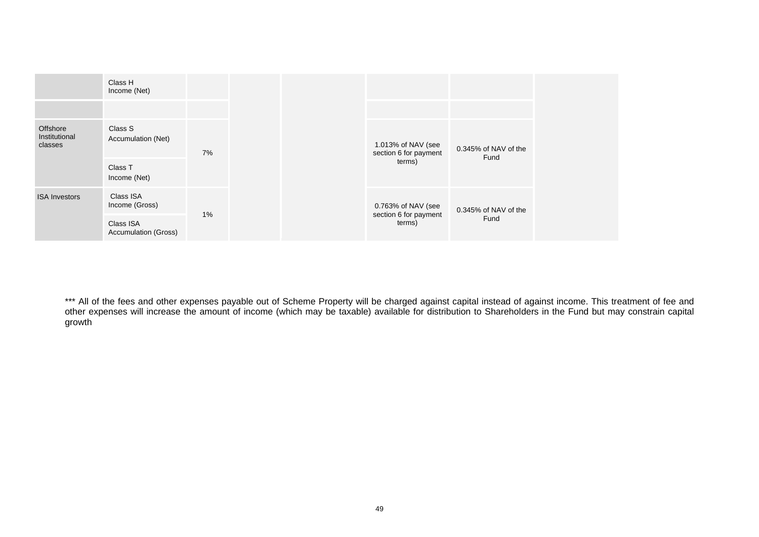|                                      | Class H<br>Income (Net)                  |    |                                             |                              |                                 |                      |
|--------------------------------------|------------------------------------------|----|---------------------------------------------|------------------------------|---------------------------------|----------------------|
|                                      |                                          |    |                                             |                              |                                 |                      |
| Offshore<br>Institutional<br>classes | Class S<br>Accumulation (Net)            | 7% | 1.013% of NAV (see<br>section 6 for payment | 0.345% of NAV of the<br>Fund |                                 |                      |
|                                      | Class T<br>Income (Net)                  |    |                                             |                              | terms)                          |                      |
| <b>ISA Investors</b>                 | Class ISA<br>Income (Gross)              |    |                                             |                              | 0.763% of NAV (see              | 0.345% of NAV of the |
|                                      | Class ISA<br><b>Accumulation (Gross)</b> | 1% |                                             |                              | section 6 for payment<br>terms) | Fund                 |

\*\*\* All of the fees and other expenses payable out of Scheme Property will be charged against capital instead of against income. This treatment of fee and other expenses will increase the amount of income (which may be taxable) available for distribution to Shareholders in the Fund but may constrain capital growth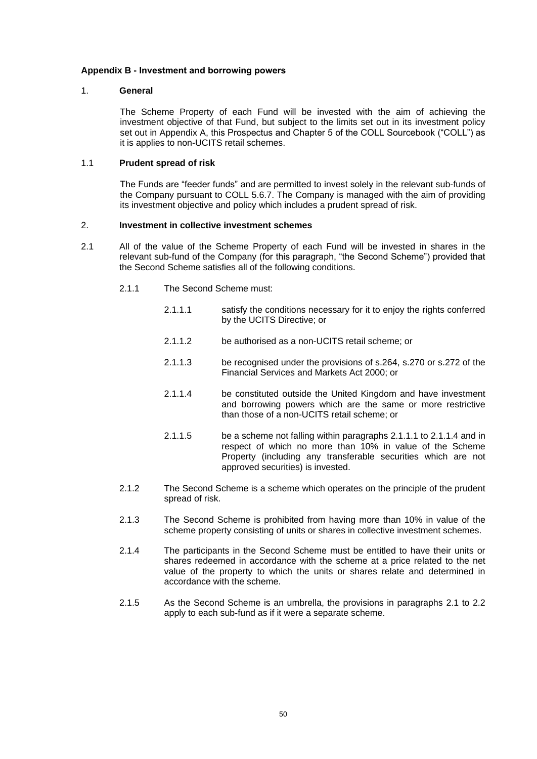### <span id="page-52-0"></span>**Appendix B - Investment and borrowing powers**

### 1. **General**

The Scheme Property of each Fund will be invested with the aim of achieving the investment objective of that Fund, but subject to the limits set out in its investment policy set out in Appendix A, this Prospectus and Chapter 5 of the COLL Sourcebook ("COLL") as it is applies to non-UCITS retail schemes.

## 1.1 **Prudent spread of risk**

The Funds are "feeder funds" and are permitted to invest solely in the relevant sub-funds of the Company pursuant to COLL 5.6.7. The Company is managed with the aim of providing its investment objective and policy which includes a prudent spread of risk.

## 2. **Investment in collective investment schemes**

- <span id="page-52-2"></span><span id="page-52-1"></span>2.1 All of the value of the Scheme Property of each Fund will be invested in shares in the relevant sub-fund of the Company (for this paragraph, "the Second Scheme") provided that the Second Scheme satisfies all of the following conditions.
	- 2.1.1 The Second Scheme must:
		- 2.1.1.1 satisfy the conditions necessary for it to enjoy the rights conferred by the UCITS Directive; or
		- 2.1.1.2 be authorised as a non-UCITS retail scheme; or
		- 2.1.1.3 be recognised under the provisions of s.264, s.270 or s.272 of the Financial Services and Markets Act 2000; or
		- 2.1.1.4 be constituted outside the United Kingdom and have investment and borrowing powers which are the same or more restrictive than those of a non-UCITS retail scheme; or
		- 2.1.1.5 be a scheme not falling within paragraphs [2.1.1.1](#page-52-1) to [2.1.1.4](#page-52-2) and in respect of which no more than 10% in value of the Scheme Property (including any transferable securities which are not approved securities) is invested.
	- 2.1.2 The Second Scheme is a scheme which operates on the principle of the prudent spread of risk.
	- 2.1.3 The Second Scheme is prohibited from having more than 10% in value of the scheme property consisting of units or shares in collective investment schemes.
	- 2.1.4 The participants in the Second Scheme must be entitled to have their units or shares redeemed in accordance with the scheme at a price related to the net value of the property to which the units or shares relate and determined in accordance with the scheme.
	- 2.1.5 As the Second Scheme is an umbrella, the provisions in paragraphs [2.1](#page-8-3) to [2.2](#page-53-0) apply to each sub-fund as if it were a separate scheme.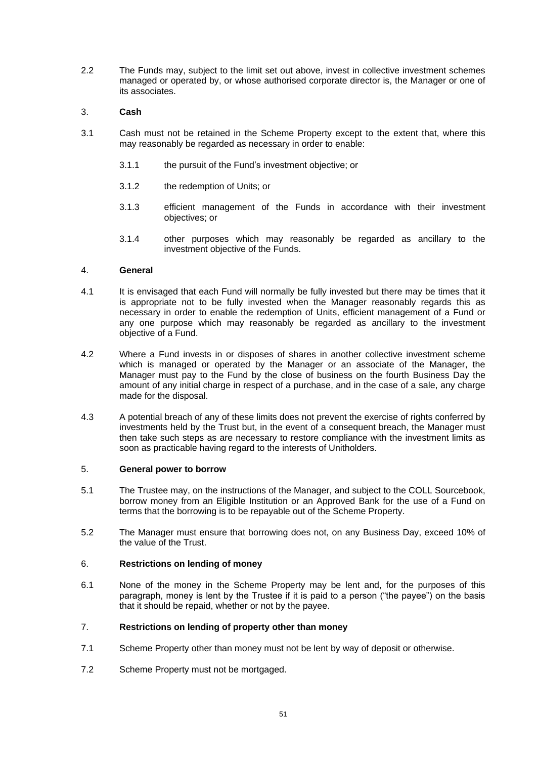<span id="page-53-0"></span>2.2 The Funds may, subject to the limit set out above, invest in collective investment schemes managed or operated by, or whose authorised corporate director is, the Manager or one of its associates.

## 3. **Cash**

- 3.1 Cash must not be retained in the Scheme Property except to the extent that, where this may reasonably be regarded as necessary in order to enable:
	- 3.1.1 the pursuit of the Fund's investment objective; or
	- 3.1.2 the redemption of Units; or
	- 3.1.3 efficient management of the Funds in accordance with their investment objectives; or
	- 3.1.4 other purposes which may reasonably be regarded as ancillary to the investment objective of the Funds.

## 4. **General**

- 4.1 It is envisaged that each Fund will normally be fully invested but there may be times that it is appropriate not to be fully invested when the Manager reasonably regards this as necessary in order to enable the redemption of Units, efficient management of a Fund or any one purpose which may reasonably be regarded as ancillary to the investment objective of a Fund.
- 4.2 Where a Fund invests in or disposes of shares in another collective investment scheme which is managed or operated by the Manager or an associate of the Manager, the Manager must pay to the Fund by the close of business on the fourth Business Day the amount of any initial charge in respect of a purchase, and in the case of a sale, any charge made for the disposal.
- 4.3 A potential breach of any of these limits does not prevent the exercise of rights conferred by investments held by the Trust but, in the event of a consequent breach, the Manager must then take such steps as are necessary to restore compliance with the investment limits as soon as practicable having regard to the interests of Unitholders.

#### <span id="page-53-1"></span>5. **General power to borrow**

- 5.1 The Trustee may, on the instructions of the Manager, and subject to the COLL Sourcebook, borrow money from an Eligible Institution or an Approved Bank for the use of a Fund on terms that the borrowing is to be repayable out of the Scheme Property.
- 5.2 The Manager must ensure that borrowing does not, on any Business Day, exceed 10% of the value of the Trust.

#### 6. **Restrictions on lending of money**

6.1 None of the money in the Scheme Property may be lent and, for the purposes of this paragraph, money is lent by the Trustee if it is paid to a person ("the payee") on the basis that it should be repaid, whether or not by the payee.

## 7. **Restrictions on lending of property other than money**

- 7.1 Scheme Property other than money must not be lent by way of deposit or otherwise.
- 7.2 Scheme Property must not be mortgaged.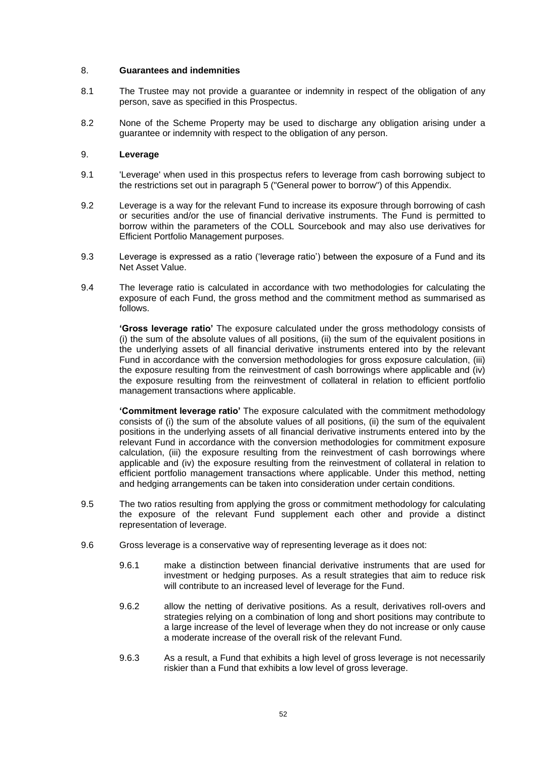### 8. **Guarantees and indemnities**

- 8.1 The Trustee may not provide a guarantee or indemnity in respect of the obligation of any person, save as specified in this Prospectus.
- 8.2 None of the Scheme Property may be used to discharge any obligation arising under a guarantee or indemnity with respect to the obligation of any person.

## 9. **Leverage**

- 9.1 'Leverage' when used in this prospectus refers to leverage from cash borrowing subject to the restrictions set out in paragraph [5](#page-53-1) ("General power to borrow") of this Appendix.
- 9.2 Leverage is a way for the relevant Fund to increase its exposure through borrowing of cash or securities and/or the use of financial derivative instruments. The Fund is permitted to borrow within the parameters of the COLL Sourcebook and may also use derivatives for Efficient Portfolio Management purposes.
- 9.3 Leverage is expressed as a ratio ('leverage ratio') between the exposure of a Fund and its Net Asset Value.
- 9.4 The leverage ratio is calculated in accordance with two methodologies for calculating the exposure of each Fund, the gross method and the commitment method as summarised as follows.

**'Gross leverage ratio'** The exposure calculated under the gross methodology consists of (i) the sum of the absolute values of all positions, (ii) the sum of the equivalent positions in the underlying assets of all financial derivative instruments entered into by the relevant Fund in accordance with the conversion methodologies for gross exposure calculation, (iii) the exposure resulting from the reinvestment of cash borrowings where applicable and (iv) the exposure resulting from the reinvestment of collateral in relation to efficient portfolio management transactions where applicable.

**'Commitment leverage ratio'** The exposure calculated with the commitment methodology consists of (i) the sum of the absolute values of all positions, (ii) the sum of the equivalent positions in the underlying assets of all financial derivative instruments entered into by the relevant Fund in accordance with the conversion methodologies for commitment exposure calculation, (iii) the exposure resulting from the reinvestment of cash borrowings where applicable and (iv) the exposure resulting from the reinvestment of collateral in relation to efficient portfolio management transactions where applicable. Under this method, netting and hedging arrangements can be taken into consideration under certain conditions.

- 9.5 The two ratios resulting from applying the gross or commitment methodology for calculating the exposure of the relevant Fund supplement each other and provide a distinct representation of leverage.
- 9.6 Gross leverage is a conservative way of representing leverage as it does not:
	- 9.6.1 make a distinction between financial derivative instruments that are used for investment or hedging purposes. As a result strategies that aim to reduce risk will contribute to an increased level of leverage for the Fund.
	- 9.6.2 allow the netting of derivative positions. As a result, derivatives roll-overs and strategies relying on a combination of long and short positions may contribute to a large increase of the level of leverage when they do not increase or only cause a moderate increase of the overall risk of the relevant Fund.
	- 9.6.3 As a result, a Fund that exhibits a high level of gross leverage is not necessarily riskier than a Fund that exhibits a low level of gross leverage.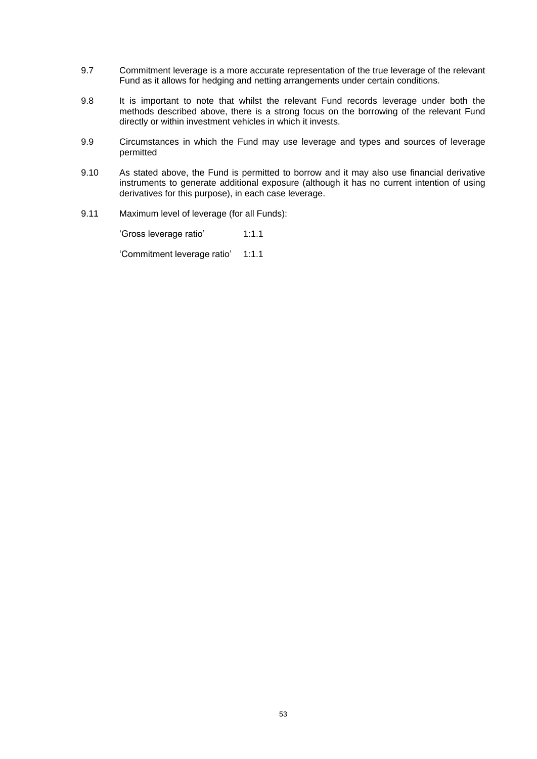- 9.7 Commitment leverage is a more accurate representation of the true leverage of the relevant Fund as it allows for hedging and netting arrangements under certain conditions.
- 9.8 It is important to note that whilst the relevant Fund records leverage under both the methods described above, there is a strong focus on the borrowing of the relevant Fund directly or within investment vehicles in which it invests.
- 9.9 Circumstances in which the Fund may use leverage and types and sources of leverage permitted
- 9.10 As stated above, the Fund is permitted to borrow and it may also use financial derivative instruments to generate additional exposure (although it has no current intention of using derivatives for this purpose), in each case leverage.
- 9.11 Maximum level of leverage (for all Funds):

'Gross leverage ratio' 1:1.1

'Commitment leverage ratio' 1:1.1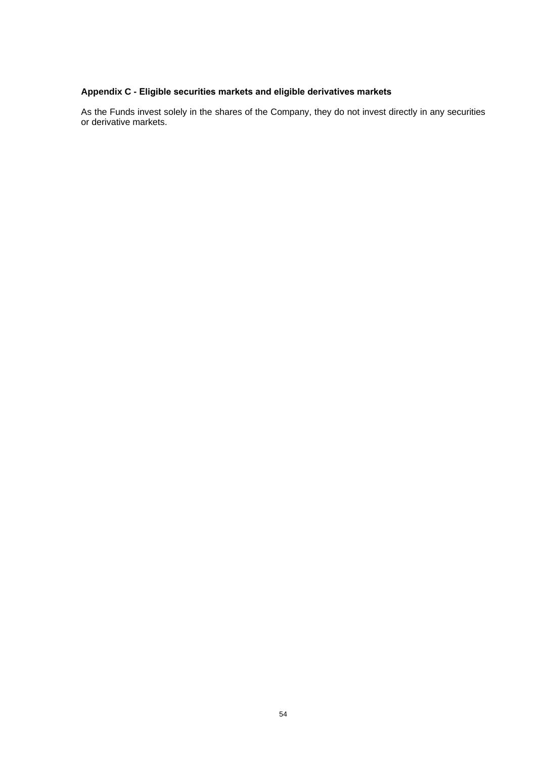## <span id="page-56-0"></span>**Appendix C - Eligible securities markets and eligible derivatives markets**

As the Funds invest solely in the shares of the Company, they do not invest directly in any securities or derivative markets.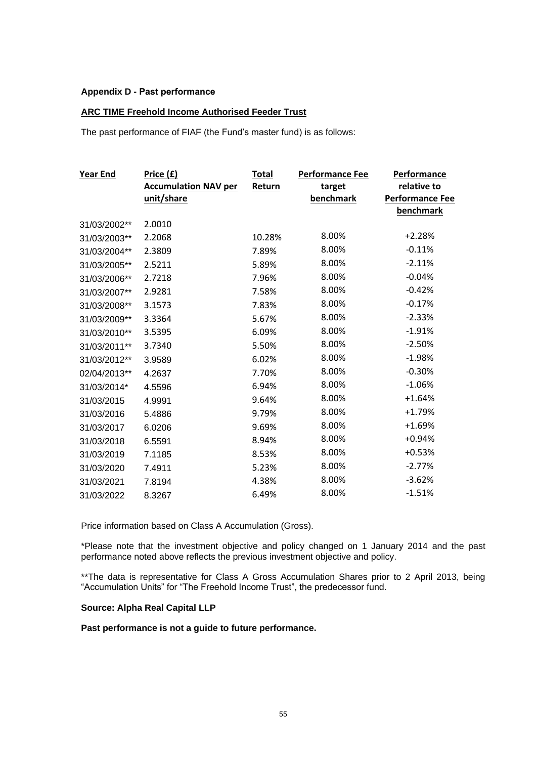## <span id="page-57-0"></span>**Appendix D - Past performance**

## **ARC TIME Freehold Income Authorised Feeder Trust**

The past performance of FIAF (the Fund's master fund) is as follows:

| <b>Year End</b> | <u>Price (£)</u>            | <b>Total</b> | <b>Performance Fee</b> | Performance            |
|-----------------|-----------------------------|--------------|------------------------|------------------------|
|                 | <b>Accumulation NAV per</b> | Return       | target                 | relative to            |
|                 | unit/share                  |              | benchmark              | <b>Performance Fee</b> |
|                 |                             |              |                        | <b>benchmark</b>       |
| 31/03/2002**    | 2.0010                      |              |                        |                        |
| 31/03/2003**    | 2.2068                      | 10.28%       | 8.00%                  | $+2.28%$               |
| 31/03/2004**    | 2.3809                      | 7.89%        | 8.00%                  | $-0.11%$               |
| 31/03/2005**    | 2.5211                      | 5.89%        | 8.00%                  | $-2.11%$               |
| 31/03/2006**    | 2.7218                      | 7.96%        | 8.00%                  | $-0.04%$               |
| 31/03/2007**    | 2.9281                      | 7.58%        | 8.00%                  | $-0.42%$               |
| 31/03/2008**    | 3.1573                      | 7.83%        | 8.00%                  | $-0.17%$               |
| 31/03/2009**    | 3.3364                      | 5.67%        | 8.00%                  | $-2.33%$               |
| 31/03/2010**    | 3.5395                      | 6.09%        | 8.00%                  | $-1.91%$               |
| 31/03/2011**    | 3.7340                      | 5.50%        | 8.00%                  | $-2.50%$               |
| 31/03/2012**    | 3.9589                      | 6.02%        | 8.00%                  | $-1.98%$               |
| 02/04/2013**    | 4.2637                      | 7.70%        | 8.00%                  | $-0.30%$               |
| 31/03/2014*     | 4.5596                      | 6.94%        | 8.00%                  | $-1.06%$               |
| 31/03/2015      | 4.9991                      | 9.64%        | 8.00%                  | $+1.64%$               |
| 31/03/2016      | 5.4886                      | 9.79%        | 8.00%                  | $+1.79%$               |
| 31/03/2017      | 6.0206                      | 9.69%        | 8.00%                  | $+1.69%$               |
| 31/03/2018      | 6.5591                      | 8.94%        | 8.00%                  | $+0.94%$               |
| 31/03/2019      | 7.1185                      | 8.53%        | 8.00%                  | $+0.53%$               |
| 31/03/2020      | 7.4911                      | 5.23%        | 8.00%                  | $-2.77%$               |
| 31/03/2021      | 7.8194                      | 4.38%        | 8.00%                  | $-3.62%$               |
| 31/03/2022      | 8.3267                      | 6.49%        | 8.00%                  | $-1.51%$               |

Price information based on Class A Accumulation (Gross).

\*Please note that the investment objective and policy changed on 1 January 2014 and the past performance noted above reflects the previous investment objective and policy.

\*\*The data is representative for Class A Gross Accumulation Shares prior to 2 April 2013, being "Accumulation Units" for "The Freehold Income Trust", the predecessor fund.

## **Source: Alpha Real Capital LLP**

**Past performance is not a guide to future performance.**